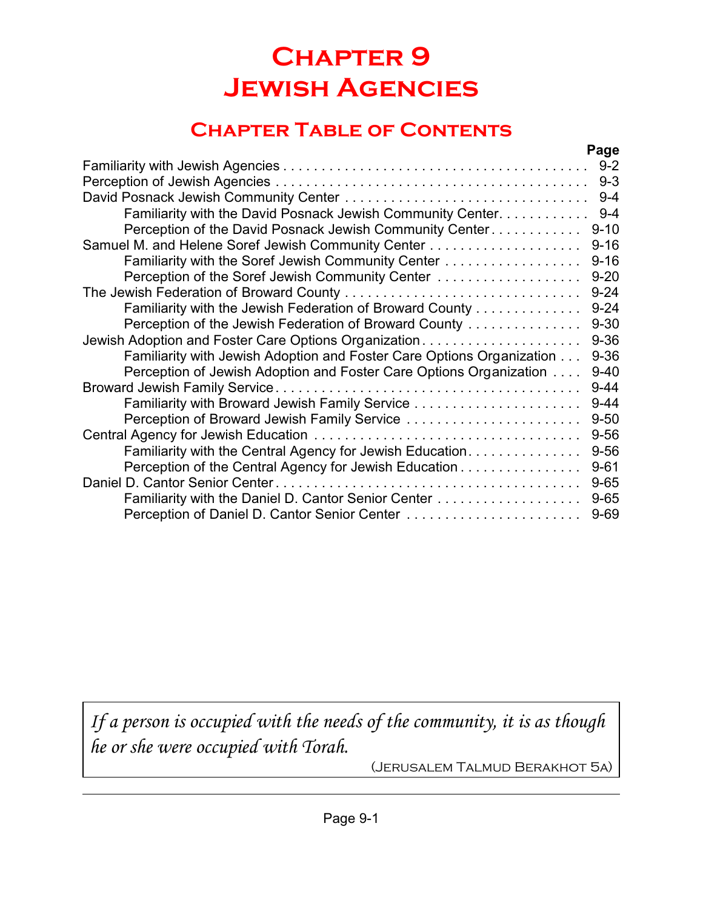# **Chapter 9 Jewish Agencies**

# **Chapter Table of Contents**

|                                                                       | Page     |
|-----------------------------------------------------------------------|----------|
|                                                                       | $9 - 2$  |
|                                                                       | $9 - 3$  |
|                                                                       | $9 - 4$  |
| Familiarity with the David Posnack Jewish Community Center            | $9 - 4$  |
| Perception of the David Posnack Jewish Community Center               | $9 - 10$ |
|                                                                       | $9 - 16$ |
| Familiarity with the Soref Jewish Community Center                    | $9 - 16$ |
| Perception of the Soref Jewish Community Center                       | $9 - 20$ |
| The Jewish Federation of Broward County                               | $9 - 24$ |
| Familiarity with the Jewish Federation of Broward County              | $9 - 24$ |
| Perception of the Jewish Federation of Broward County                 | $9 - 30$ |
| Jewish Adoption and Foster Care Options Organization                  | $9 - 36$ |
| Familiarity with Jewish Adoption and Foster Care Options Organization | $9 - 36$ |
| Perception of Jewish Adoption and Foster Care Options Organization    | $9 - 40$ |
|                                                                       | $9 - 44$ |
|                                                                       | $9 - 44$ |
| Perception of Broward Jewish Family Service                           | $9 - 50$ |
|                                                                       | $9 - 56$ |
| Familiarity with the Central Agency for Jewish Education              | $9 - 56$ |
| Perception of the Central Agency for Jewish Education                 | $9 - 61$ |
|                                                                       | $9 - 65$ |
| Familiarity with the Daniel D. Cantor Senior Center                   | $9 - 65$ |
|                                                                       | $9 - 69$ |
|                                                                       |          |

*If a person is occupied with the needs of the community, it is as though he or she were occupied with Torah.*

(Jerusalem Talmud Berakhot 5a)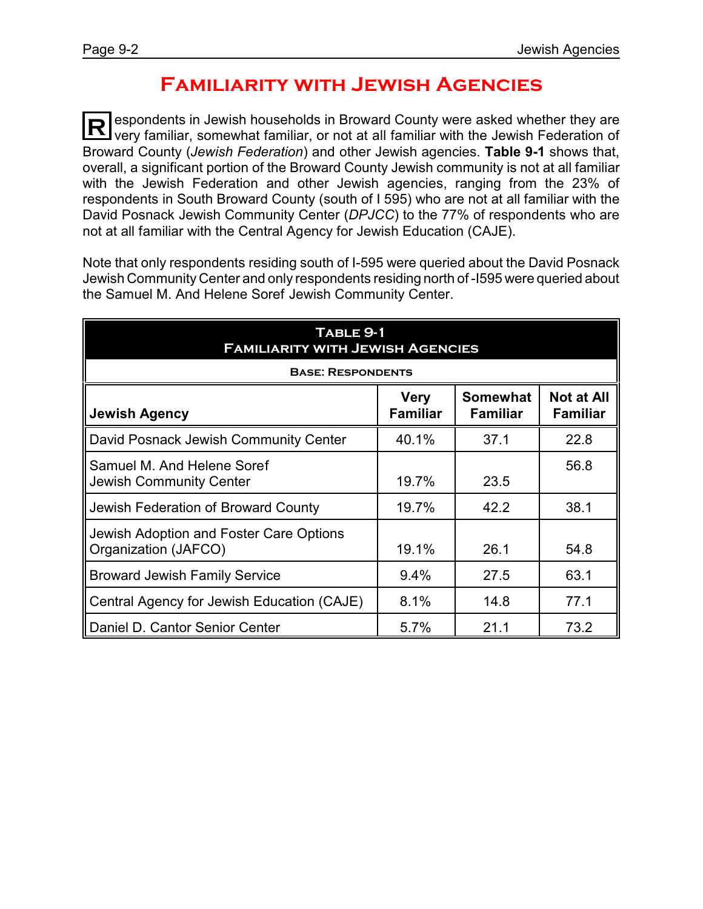## **Familiarity with Jewish Agencies**

 $\bf R$ espondents in Jewish households in Broward County were asked whether they are very familiar, somewhat familiar, or not at all familiar with the Jewish Federation of Broward County (*Jewish Federation*) and other Jewish agencies. **Table 9-1** shows that, overall, a significant portion of the Broward County Jewish community is not at all familiar with the Jewish Federation and other Jewish agencies, ranging from the 23% of respondents in South Broward County (south of I 595) who are not at all familiar with the David Posnack Jewish Community Center (*DPJCC*) to the 77% of respondents who are not at all familiar with the Central Agency for Jewish Education (CAJE).

Note that only respondents residing south of I-595 were queried about the David Posnack Jewish Community Center and only respondents residing north of -I595 were queried about the Samuel M. And Helene Soref Jewish Community Center.

| TABLE 9-1<br><b>FAMILIARITY WITH JEWISH AGENCIES</b>                                                                                 |       |      |      |  |  |  |
|--------------------------------------------------------------------------------------------------------------------------------------|-------|------|------|--|--|--|
| <b>BASE: RESPONDENTS</b>                                                                                                             |       |      |      |  |  |  |
| <b>Not at All</b><br><b>Somewhat</b><br><b>Very</b><br><b>Familiar</b><br><b>Familiar</b><br><b>Jewish Agency</b><br><b>Familiar</b> |       |      |      |  |  |  |
| David Posnack Jewish Community Center                                                                                                | 40.1% | 37.1 | 22.8 |  |  |  |
| Samuel M. And Helene Soref<br><b>Jewish Community Center</b>                                                                         | 19.7% | 23.5 | 56.8 |  |  |  |
| Jewish Federation of Broward County                                                                                                  | 19.7% | 42.2 | 38.1 |  |  |  |
| Jewish Adoption and Foster Care Options<br>Organization (JAFCO)                                                                      | 19.1% | 26.1 | 54.8 |  |  |  |
| <b>Broward Jewish Family Service</b>                                                                                                 | 9.4%  | 27.5 | 63.1 |  |  |  |
| Central Agency for Jewish Education (CAJE)                                                                                           | 8.1%  | 14.8 | 77.1 |  |  |  |
| Daniel D. Cantor Senior Center                                                                                                       | 5.7%  | 21.1 | 73.2 |  |  |  |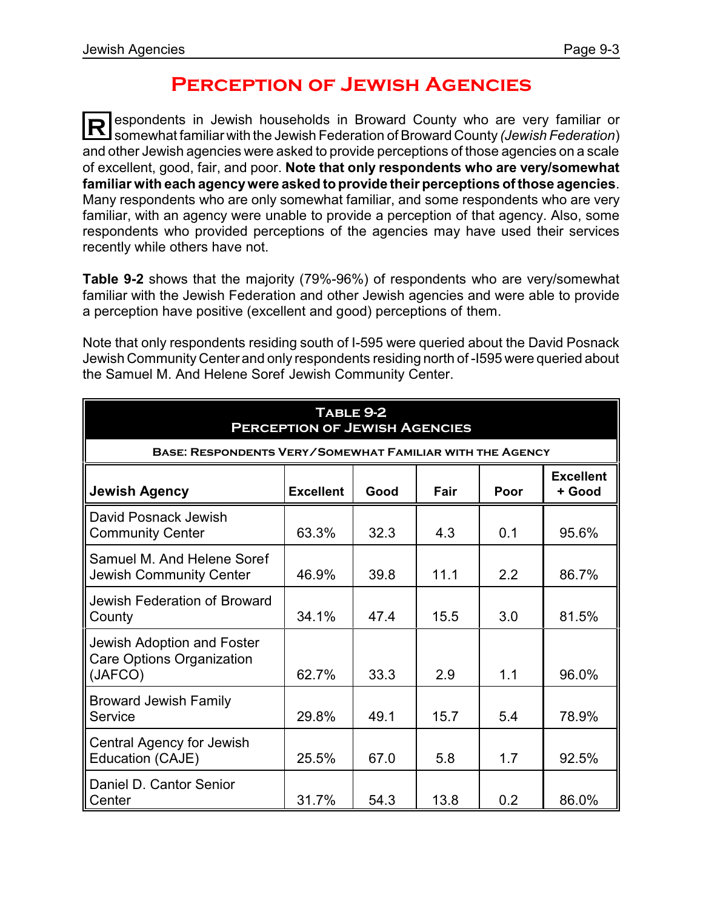### **Perception of Jewish Agencies**

**R** espondents in Jewish households in Broward County who are very familiar or somewhat familiar with the Jewish Federation of Broward County *(Jewish Federation*) and other Jewish agencies were asked to provide perceptions of those agencies on a scale of excellent, good, fair, and poor. **Note that only respondents who are very/somewhat familiar with each agencywere asked to provide their perceptions of those agencies**. Many respondents who are only somewhat familiar, and some respondents who are very familiar, with an agency were unable to provide a perception of that agency. Also, some respondents who provided perceptions of the agencies may have used their services recently while others have not.

**Table 9-2** shows that the majority (79%-96%) of respondents who are very/somewhat familiar with the Jewish Federation and other Jewish agencies and were able to provide a perception have positive (excellent and good) perceptions of them.

Note that only respondents residing south of I-595 were queried about the David Posnack Jewish Community Center and only respondents residing north of -I595 were queried about the Samuel M. And Helene Soref Jewish Community Center.

| TABLE 9-2<br><b>PERCEPTION OF JEWISH AGENCIES</b>                                              |       |      |      |     |       |  |  |
|------------------------------------------------------------------------------------------------|-------|------|------|-----|-------|--|--|
| <b>BASE: RESPONDENTS VERY/SOMEWHAT FAMILIAR WITH THE AGENCY</b>                                |       |      |      |     |       |  |  |
| <b>Excellent</b><br><b>Jewish Agency</b><br><b>Excellent</b><br>Good<br>Fair<br>Poor<br>+ Good |       |      |      |     |       |  |  |
| David Posnack Jewish<br><b>Community Center</b>                                                | 63.3% | 32.3 | 4.3  | 0.1 | 95.6% |  |  |
| Samuel M. And Helene Soref<br>Jewish Community Center                                          | 46.9% | 39.8 | 11.1 | 2.2 | 86.7% |  |  |
| Jewish Federation of Broward<br>County                                                         | 34.1% | 47.4 | 15.5 | 3.0 | 81.5% |  |  |
| Jewish Adoption and Foster<br><b>Care Options Organization</b><br>(JAFCO)                      | 62.7% | 33.3 | 2.9  | 1.1 | 96.0% |  |  |
| <b>Broward Jewish Family</b><br>Service                                                        | 29.8% | 49.1 | 15.7 | 5.4 | 78.9% |  |  |
| <b>Central Agency for Jewish</b><br>Education (CAJE)                                           | 25.5% | 67.0 | 5.8  | 1.7 | 92.5% |  |  |
| Daniel D. Cantor Senior<br>Center                                                              | 31.7% | 54.3 | 13.8 | 0.2 | 86.0% |  |  |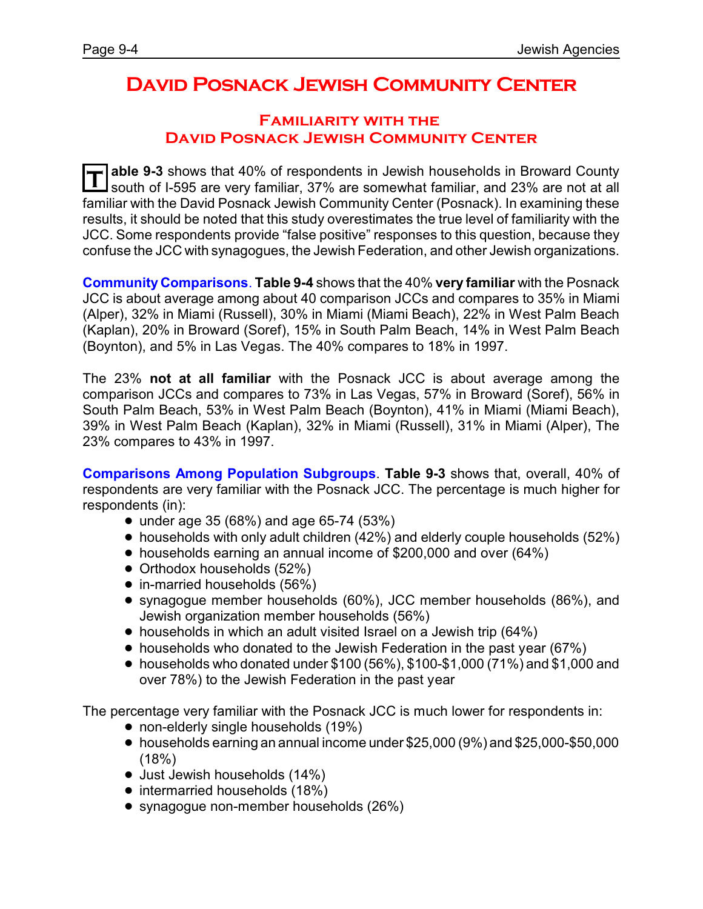### **David Posnack Jewish Community Center**

#### **Familiarity with the David Posnack Jewish Community Center**

**T able 9-3** shows that 40% of respondents in Jewish households in Broward County south of I-595 are very familiar, 37% are somewhat familiar, and 23% are not at all familiar with the David Posnack Jewish Community Center (Posnack). In examining these results, it should be noted that this study overestimates the true level of familiarity with the JCC. Some respondents provide "false positive" responses to this question, because they confuse the JCC with synagogues, the Jewish Federation, and other Jewish organizations.

**Community Comparisons**. **Table 9-4** shows that the 40% **very familiar** with the Posnack JCC is about average among about 40 comparison JCCs and compares to 35% in Miami (Alper), 32% in Miami (Russell), 30% in Miami (Miami Beach), 22% in West Palm Beach (Kaplan), 20% in Broward (Soref), 15% in South Palm Beach, 14% in West Palm Beach (Boynton), and 5% in Las Vegas. The 40% compares to 18% in 1997.

The 23% **not at all familiar** with the Posnack JCC is about average among the comparison JCCs and compares to 73% in Las Vegas, 57% in Broward (Soref), 56% in South Palm Beach, 53% in West Palm Beach (Boynton), 41% in Miami (Miami Beach), 39% in West Palm Beach (Kaplan), 32% in Miami (Russell), 31% in Miami (Alper), The 23% compares to 43% in 1997.

**Comparisons Among Population Subgroups**. **Table 9-3** shows that, overall, 40% of respondents are very familiar with the Posnack JCC. The percentage is much higher for respondents (in):

- under age 35 (68%) and age 65-74 (53%)
- $\bullet$  households with only adult children (42%) and elderly couple households (52%)
- ! households earning an annual income of \$200,000 and over (64%)
- Orthodox households (52%)
- in-married households (56%)
- ! synagogue member households (60%), JCC member households (86%), and Jewish organization member households (56%)
- households in which an adult visited Israel on a Jewish trip (64%)
- households who donated to the Jewish Federation in the past year (67%)
- $\bullet$  households who donated under \$100 (56%), \$100-\$1,000 (71%) and \$1,000 and over 78%) to the Jewish Federation in the past year

The percentage very familiar with the Posnack JCC is much lower for respondents in:

- non-elderly single households (19%)
- ! households earning an annual income under \$25,000 (9%) and \$25,000-\$50,000  $(18%)$
- Just Jewish households (14%)
- intermarried households (18%)
- synagogue non-member households (26%)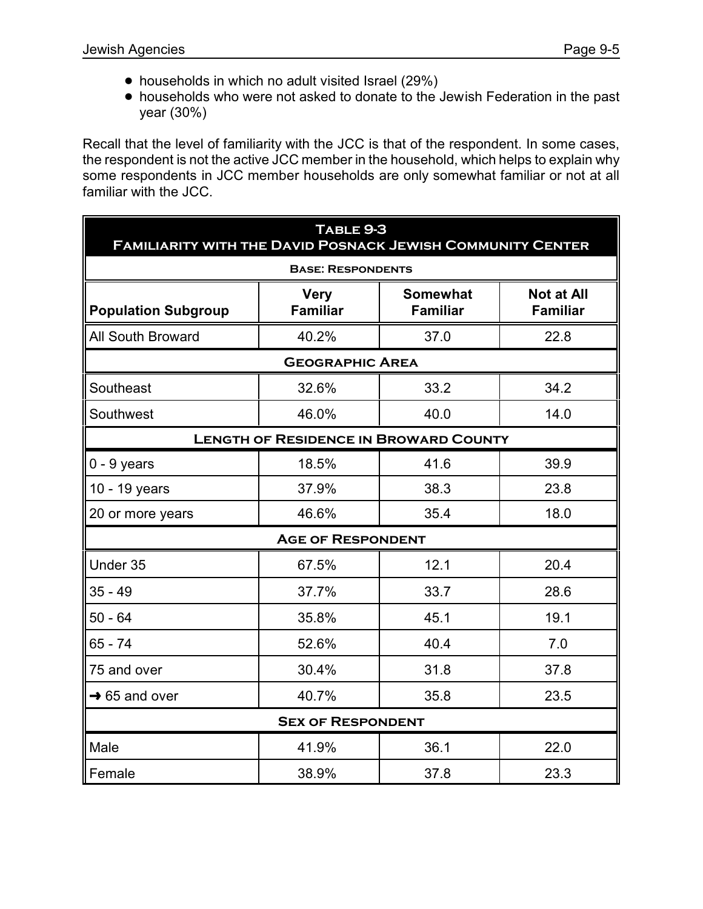- households in which no adult visited Israel (29%)
- ! households who were not asked to donate to the Jewish Federation in the past year (30%)

Recall that the level of familiarity with the JCC is that of the respondent. In some cases, the respondent is not the active JCC member in the household, which helps to explain why some respondents in JCC member households are only somewhat familiar or not at all familiar with the JCC.

| TABLE 9-3<br><b>FAMILIARITY WITH THE DAVID POSNACK JEWISH COMMUNITY CENTER</b> |                                |                                                                            |      |  |  |  |
|--------------------------------------------------------------------------------|--------------------------------|----------------------------------------------------------------------------|------|--|--|--|
|                                                                                | <b>BASE: RESPONDENTS</b>       |                                                                            |      |  |  |  |
| <b>Population Subgroup</b>                                                     | <b>Very</b><br><b>Familiar</b> | <b>Somewhat</b><br><b>Not at All</b><br><b>Familiar</b><br><b>Familiar</b> |      |  |  |  |
| <b>All South Broward</b>                                                       | 40.2%                          | 37.0                                                                       | 22.8 |  |  |  |
|                                                                                | <b>GEOGRAPHIC AREA</b>         |                                                                            |      |  |  |  |
| Southeast                                                                      | 32.6%                          | 33.2                                                                       | 34.2 |  |  |  |
| Southwest                                                                      | 46.0%                          | 40.0                                                                       | 14.0 |  |  |  |
| <b>LENGTH OF RESIDENCE IN BROWARD COUNTY</b>                                   |                                |                                                                            |      |  |  |  |
| $0 - 9$ years                                                                  | 18.5%                          | 41.6                                                                       | 39.9 |  |  |  |
| 10 - 19 years                                                                  | 37.9%                          | 38.3                                                                       | 23.8 |  |  |  |
| 20 or more years                                                               | 46.6%                          | 35.4                                                                       | 18.0 |  |  |  |
|                                                                                | <b>AGE OF RESPONDENT</b>       |                                                                            |      |  |  |  |
| Under 35                                                                       | 67.5%                          | 12.1                                                                       | 20.4 |  |  |  |
| $35 - 49$                                                                      | 37.7%                          | 33.7                                                                       | 28.6 |  |  |  |
| $50 - 64$                                                                      | 35.8%                          | 45.1                                                                       | 19.1 |  |  |  |
| $65 - 74$                                                                      | 52.6%                          | 40.4                                                                       | 7.0  |  |  |  |
| 75 and over                                                                    | 30.4%                          | 31.8                                                                       | 37.8 |  |  |  |
| $\rightarrow$ 65 and over                                                      | 40.7%                          | 35.8                                                                       | 23.5 |  |  |  |
| <b>SEX OF RESPONDENT</b>                                                       |                                |                                                                            |      |  |  |  |
| Male                                                                           | 41.9%                          | 36.1                                                                       | 22.0 |  |  |  |
| Female                                                                         | 38.9%                          | 37.8                                                                       | 23.3 |  |  |  |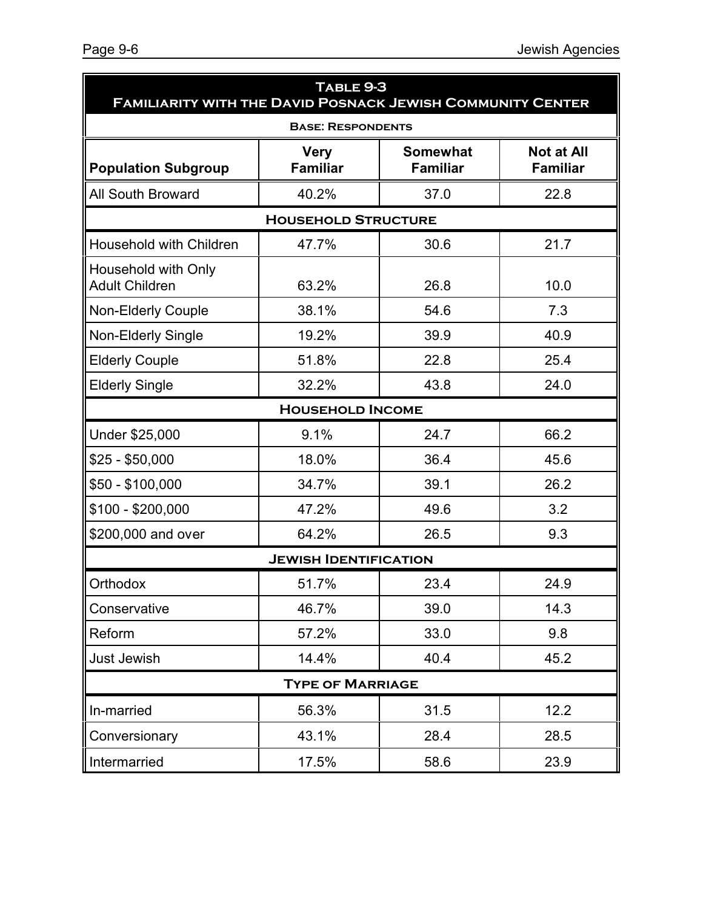| TABLE 9-3<br><b>FAMILIARITY WITH THE DAVID POSNACK JEWISH COMMUNITY CENTER</b> |                                |                                    |                                      |  |  |  |  |
|--------------------------------------------------------------------------------|--------------------------------|------------------------------------|--------------------------------------|--|--|--|--|
|                                                                                | <b>BASE: RESPONDENTS</b>       |                                    |                                      |  |  |  |  |
| <b>Population Subgroup</b>                                                     | <b>Very</b><br><b>Familiar</b> | <b>Somewhat</b><br><b>Familiar</b> | <b>Not at All</b><br><b>Familiar</b> |  |  |  |  |
| <b>All South Broward</b>                                                       | 40.2%                          | 37.0                               | 22.8                                 |  |  |  |  |
| <b>HOUSEHOLD STRUCTURE</b>                                                     |                                |                                    |                                      |  |  |  |  |
| Household with Children                                                        | 47.7%                          | 30.6                               | 21.7                                 |  |  |  |  |
| Household with Only<br><b>Adult Children</b>                                   | 63.2%                          | 26.8                               | 10.0                                 |  |  |  |  |
| <b>Non-Elderly Couple</b>                                                      | 38.1%                          | 54.6                               | 7.3                                  |  |  |  |  |
| <b>Non-Elderly Single</b>                                                      | 19.2%                          | 39.9                               | 40.9                                 |  |  |  |  |
| <b>Elderly Couple</b>                                                          | 51.8%                          | 22.8                               | 25.4                                 |  |  |  |  |
| <b>Elderly Single</b>                                                          | 32.2%                          | 43.8                               | 24.0                                 |  |  |  |  |
|                                                                                | <b>HOUSEHOLD INCOME</b>        |                                    |                                      |  |  |  |  |
| Under \$25,000                                                                 | 9.1%                           | 24.7                               | 66.2                                 |  |  |  |  |
| $$25 - $50,000$                                                                | 18.0%                          | 36.4                               | 45.6                                 |  |  |  |  |
| \$50 - \$100,000                                                               | 34.7%                          | 39.1                               | 26.2                                 |  |  |  |  |
| \$100 - \$200,000                                                              | 47.2%                          | 49.6                               | 3.2                                  |  |  |  |  |
| \$200,000 and over                                                             | 64.2%                          | 26.5                               | 9.3                                  |  |  |  |  |
|                                                                                | <b>JEWISH IDENTIFICATION</b>   |                                    |                                      |  |  |  |  |
| Orthodox                                                                       | 51.7%                          | 23.4                               | 24.9                                 |  |  |  |  |
| Conservative                                                                   | 46.7%                          | 39.0                               | 14.3                                 |  |  |  |  |
| Reform                                                                         | 57.2%                          | 33.0                               | 9.8                                  |  |  |  |  |
| Just Jewish                                                                    | 14.4%                          | 40.4                               | 45.2                                 |  |  |  |  |
|                                                                                | <b>TYPE OF MARRIAGE</b>        |                                    |                                      |  |  |  |  |
| In-married                                                                     | 56.3%                          | 31.5                               | 12.2                                 |  |  |  |  |
| Conversionary                                                                  | 43.1%                          | 28.4                               | 28.5                                 |  |  |  |  |
| Intermarried                                                                   | 17.5%                          | 58.6                               | 23.9                                 |  |  |  |  |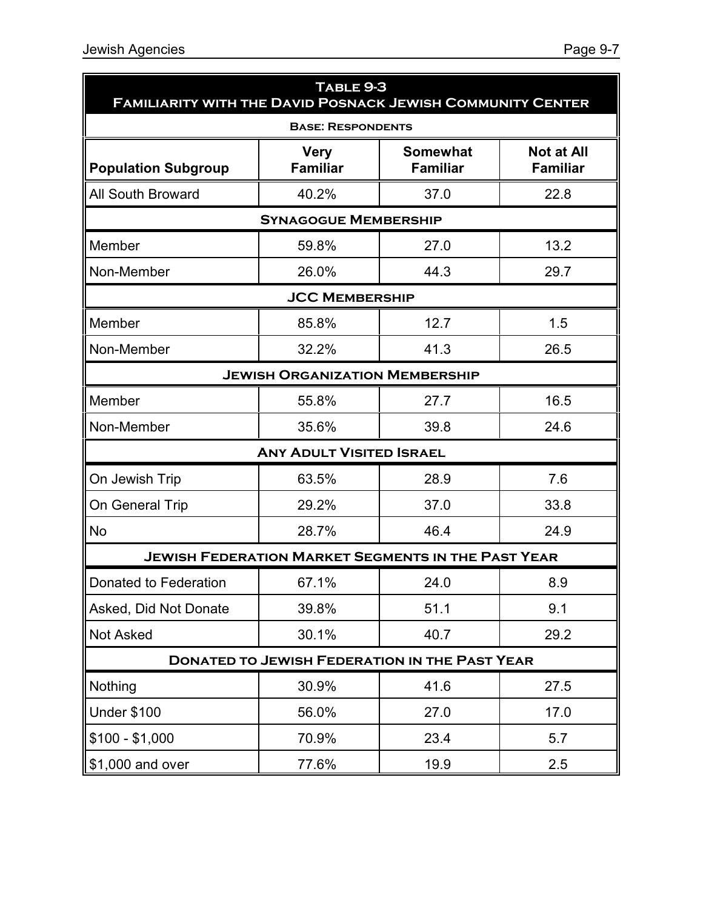| TABLE 9-3<br><b>FAMILIARITY WITH THE DAVID POSNACK JEWISH COMMUNITY CENTER</b> |                                                           |                                    |                                      |  |  |  |
|--------------------------------------------------------------------------------|-----------------------------------------------------------|------------------------------------|--------------------------------------|--|--|--|
| <b>BASE: RESPONDENTS</b>                                                       |                                                           |                                    |                                      |  |  |  |
| <b>Population Subgroup</b>                                                     | <b>Very</b><br><b>Familiar</b>                            | <b>Somewhat</b><br><b>Familiar</b> | <b>Not at All</b><br><b>Familiar</b> |  |  |  |
| <b>All South Broward</b>                                                       | 40.2%                                                     | 37.0                               | 22.8                                 |  |  |  |
|                                                                                | <b>SYNAGOGUE MEMBERSHIP</b>                               |                                    |                                      |  |  |  |
| Member                                                                         | 59.8%                                                     | 27.0                               | 13.2                                 |  |  |  |
| Non-Member                                                                     | 26.0%                                                     | 44.3                               | 29.7                                 |  |  |  |
|                                                                                | <b>JCC MEMBERSHIP</b>                                     |                                    |                                      |  |  |  |
| Member                                                                         | 85.8%                                                     | 12.7                               | 1.5                                  |  |  |  |
| Non-Member                                                                     | 32.2%                                                     | 41.3                               | 26.5                                 |  |  |  |
| <b>JEWISH ORGANIZATION MEMBERSHIP</b>                                          |                                                           |                                    |                                      |  |  |  |
| Member                                                                         | 55.8%                                                     | 27.7                               | 16.5                                 |  |  |  |
| Non-Member                                                                     | 35.6%                                                     | 39.8                               | 24.6                                 |  |  |  |
|                                                                                | <b>ANY ADULT VISITED ISRAEL</b>                           |                                    |                                      |  |  |  |
| On Jewish Trip                                                                 | 63.5%                                                     | 28.9                               | 7.6                                  |  |  |  |
| On General Trip                                                                | 29.2%                                                     | 37.0                               | 33.8                                 |  |  |  |
| <b>No</b>                                                                      | 28.7%                                                     | 46.4                               | 24.9                                 |  |  |  |
|                                                                                | <b>JEWISH FEDERATION MARKET SEGMENTS IN THE PAST YEAR</b> |                                    |                                      |  |  |  |
| Donated to Federation                                                          | 67.1%                                                     | 24.0                               | 8.9                                  |  |  |  |
| Asked, Did Not Donate                                                          | 39.8%                                                     | 51.1                               | 9.1                                  |  |  |  |
| <b>Not Asked</b>                                                               | 30.1%                                                     | 40.7                               | 29.2                                 |  |  |  |
|                                                                                | <b>DONATED TO JEWISH FEDERATION IN THE PAST YEAR</b>      |                                    |                                      |  |  |  |
| Nothing                                                                        | 30.9%                                                     | 41.6                               | 27.5                                 |  |  |  |
| <b>Under \$100</b>                                                             | 56.0%                                                     | 27.0                               | 17.0                                 |  |  |  |
| $$100 - $1,000$                                                                | 70.9%                                                     | 23.4                               | 5.7                                  |  |  |  |
| \$1,000 and over                                                               | 77.6%                                                     | 19.9                               | 2.5                                  |  |  |  |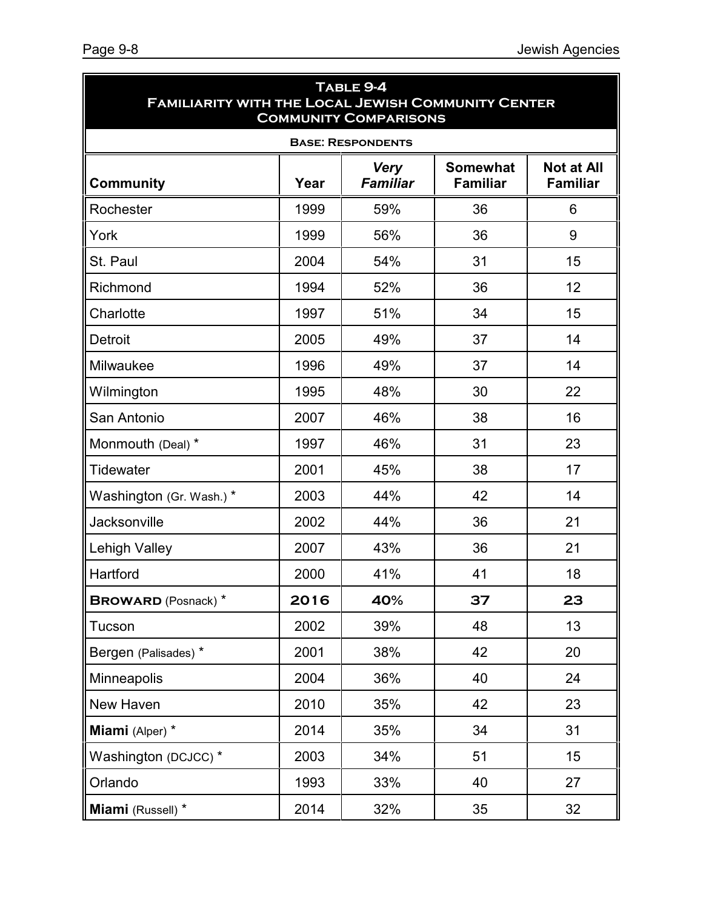| TABLE 9-4<br><b>FAMILIARITY WITH THE LOCAL JEWISH COMMUNITY CENTER</b><br><b>COMMUNITY COMPARISONS</b> |      |                                |                                    |                                      |  |  |  |
|--------------------------------------------------------------------------------------------------------|------|--------------------------------|------------------------------------|--------------------------------------|--|--|--|
| <b>BASE: RESPONDENTS</b>                                                                               |      |                                |                                    |                                      |  |  |  |
| <b>Community</b>                                                                                       | Year | <b>Very</b><br><b>Familiar</b> | <b>Somewhat</b><br><b>Familiar</b> | <b>Not at All</b><br><b>Familiar</b> |  |  |  |
| Rochester                                                                                              | 1999 | 59%                            | 36                                 | 6                                    |  |  |  |
| York                                                                                                   | 1999 | 56%                            | 36                                 | 9                                    |  |  |  |
| St. Paul                                                                                               | 2004 | 54%                            | 31                                 | 15                                   |  |  |  |
| Richmond                                                                                               | 1994 | 52%                            | 36                                 | 12                                   |  |  |  |
| Charlotte                                                                                              | 1997 | 51%                            | 34                                 | 15                                   |  |  |  |
| <b>Detroit</b>                                                                                         | 2005 | 49%                            | 37                                 | 14                                   |  |  |  |
| Milwaukee                                                                                              | 1996 | 49%                            | 37                                 | 14                                   |  |  |  |
| Wilmington                                                                                             | 1995 | 48%                            | 30                                 | 22                                   |  |  |  |
| San Antonio                                                                                            | 2007 | 46%                            | 38                                 | 16                                   |  |  |  |
| Monmouth (Deal) *                                                                                      | 1997 | 46%                            | 31                                 | 23                                   |  |  |  |
| <b>Tidewater</b>                                                                                       | 2001 | 45%                            | 38                                 | 17                                   |  |  |  |
| Washington (Gr. Wash.)*                                                                                | 2003 | 44%                            | 42                                 | 14                                   |  |  |  |
| <b>Jacksonville</b>                                                                                    | 2002 | 44%                            | 36                                 | 21                                   |  |  |  |
| Lehigh Valley                                                                                          | 2007 | 43%                            | 36                                 | 21                                   |  |  |  |
| Hartford                                                                                               | 2000 | 41%                            | 41                                 | 18                                   |  |  |  |
| <b>BROWARD</b> (Posnack) *                                                                             | 2016 | 40%                            | 37                                 | 23                                   |  |  |  |
| Tucson                                                                                                 | 2002 | 39%                            | 48                                 | 13                                   |  |  |  |
| Bergen (Palisades) *                                                                                   | 2001 | 38%                            | 42                                 | 20                                   |  |  |  |
| Minneapolis                                                                                            | 2004 | 36%                            | 40                                 | 24                                   |  |  |  |
| New Haven                                                                                              | 2010 | 35%                            | 42                                 | 23                                   |  |  |  |
| Miami (Alper) *                                                                                        | 2014 | 35%                            | 34                                 | 31                                   |  |  |  |
| Washington (DCJCC) *                                                                                   | 2003 | 34%                            | 51                                 | 15                                   |  |  |  |
| Orlando                                                                                                | 1993 | 33%                            | 40                                 | 27                                   |  |  |  |
| Miami (Russell) *                                                                                      | 2014 | 32%                            | 35                                 | 32                                   |  |  |  |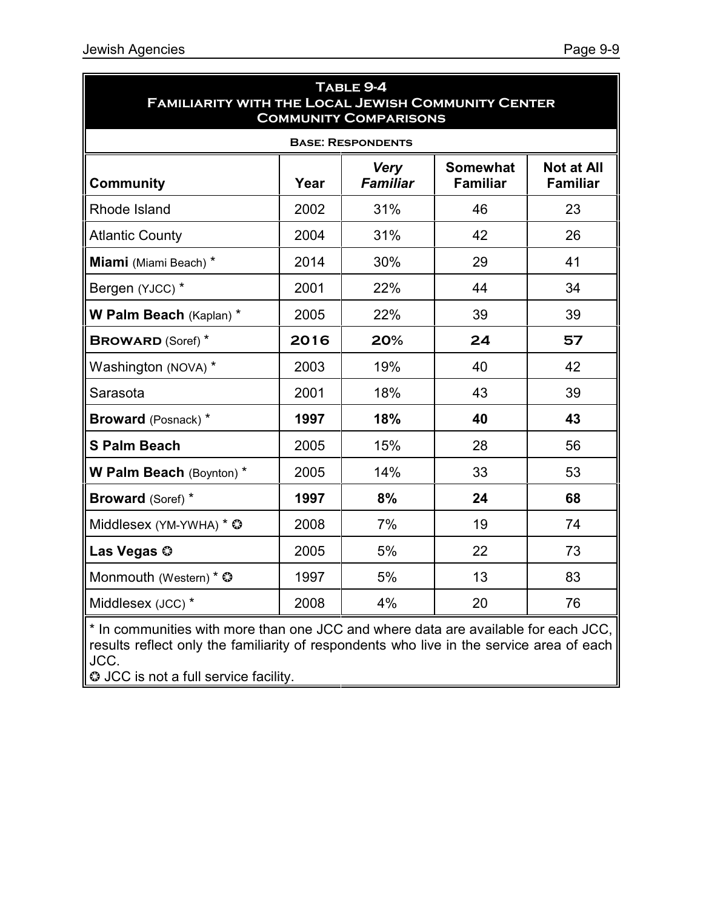| TABLE 9-4<br><b>FAMILIARITY WITH THE LOCAL JEWISH COMMUNITY CENTER</b><br><b>COMMUNITY COMPARISONS</b> |      |                                |                                    |                                      |  |  |  |
|--------------------------------------------------------------------------------------------------------|------|--------------------------------|------------------------------------|--------------------------------------|--|--|--|
| <b>BASE: RESPONDENTS</b>                                                                               |      |                                |                                    |                                      |  |  |  |
| <b>Community</b>                                                                                       | Year | <b>Very</b><br><b>Familiar</b> | <b>Somewhat</b><br><b>Familiar</b> | <b>Not at All</b><br><b>Familiar</b> |  |  |  |
| Rhode Island                                                                                           | 2002 | 31%                            | 46                                 | 23                                   |  |  |  |
| <b>Atlantic County</b>                                                                                 | 2004 | 31%                            | 42                                 | 26                                   |  |  |  |
| Miami (Miami Beach) *                                                                                  | 2014 | 30%                            | 29                                 | 41                                   |  |  |  |
| Bergen (YJCC) *                                                                                        | 2001 | 22%                            | 44                                 | 34                                   |  |  |  |
| W Palm Beach (Kaplan) *                                                                                | 2005 | 22%                            | 39                                 | 39                                   |  |  |  |
| <b>BROWARD (Soref)</b> *                                                                               | 2016 | 20%                            | 24                                 | 57                                   |  |  |  |
| Washington (NOVA) *                                                                                    | 2003 | 19%                            | 40                                 | 42                                   |  |  |  |
| Sarasota                                                                                               | 2001 | 18%                            | 43                                 | 39                                   |  |  |  |
| <b>Broward</b> (Posnack) *                                                                             | 1997 | 18%                            | 40                                 | 43                                   |  |  |  |
| <b>S Palm Beach</b>                                                                                    | 2005 | 15%                            | 28                                 | 56                                   |  |  |  |
| W Palm Beach (Boynton) *                                                                               | 2005 | 14%                            | 33                                 | 53                                   |  |  |  |
| <b>Broward (Soref) *</b>                                                                               | 1997 | 8%                             | 24                                 | 68                                   |  |  |  |
| Middlesex (YM-YWHA) * ©                                                                                | 2008 | 7%                             | 19                                 | 74                                   |  |  |  |
| Las Vegas ©                                                                                            | 2005 | 5%                             | 22                                 | 73                                   |  |  |  |
| Monmouth (Western) * $\circledcirc$                                                                    | 1997 | 5%                             | 13                                 | 83                                   |  |  |  |
| Middlesex (JCC) *                                                                                      | 2008 | 4%                             | 20                                 | 76                                   |  |  |  |

\* In communities with more than one JCC and where data are available for each JCC, results reflect only the familiarity of respondents who live in the service area of each JCC.

**O** JCC is not a full service facility.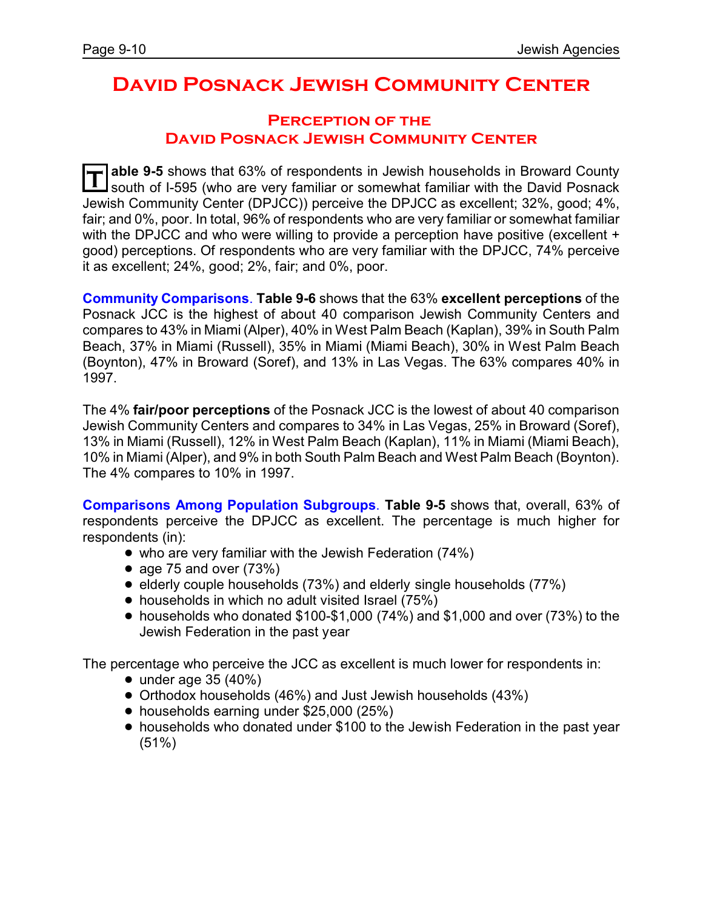# **David Posnack Jewish Community Center**

#### **Perception of the David Posnack Jewish Community Center**

**T able 9-5** shows that 63% of respondents in Jewish households in Broward County south of I-595 (who are very familiar or somewhat familiar with the David Posnack Jewish Community Center (DPJCC)) perceive the DPJCC as excellent; 32%, good; 4%, fair; and 0%, poor. In total, 96% of respondents who are very familiar or somewhat familiar with the DPJCC and who were willing to provide a perception have positive (excellent + good) perceptions. Of respondents who are very familiar with the DPJCC, 74% perceive it as excellent; 24%, good; 2%, fair; and 0%, poor.

**Community Comparisons**. **Table 9-6** shows that the 63% **excellent perceptions** of the Posnack JCC is the highest of about 40 comparison Jewish Community Centers and compares to 43% in Miami (Alper), 40% in West Palm Beach (Kaplan), 39% in South Palm Beach, 37% in Miami (Russell), 35% in Miami (Miami Beach), 30% in West Palm Beach (Boynton), 47% in Broward (Soref), and 13% in Las Vegas. The 63% compares 40% in 1997.

The 4% **fair/poor perceptions** of the Posnack JCC is the lowest of about 40 comparison Jewish Community Centers and compares to 34% in Las Vegas, 25% in Broward (Soref), 13% in Miami (Russell), 12% in West Palm Beach (Kaplan), 11% in Miami (Miami Beach), 10% in Miami (Alper), and 9% in both South Palm Beach and West Palm Beach (Boynton). The 4% compares to 10% in 1997.

**Comparisons Among Population Subgroups**. **Table 9-5** shows that, overall, 63% of respondents perceive the DPJCC as excellent. The percentage is much higher for respondents (in):

- who are very familiar with the Jewish Federation (74%)
- age 75 and over  $(73%)$
- elderly couple households (73%) and elderly single households (77%)
- households in which no adult visited Israel (75%)
- $\bullet$  households who donated \$100-\$1,000 (74%) and \$1,000 and over (73%) to the Jewish Federation in the past year

The percentage who perceive the JCC as excellent is much lower for respondents in:

- $\bullet$  under age 35 (40%)
- Orthodox households (46%) and Just Jewish households (43%)
- households earning under \$25,000 (25%)
- households who donated under \$100 to the Jewish Federation in the past year (51%)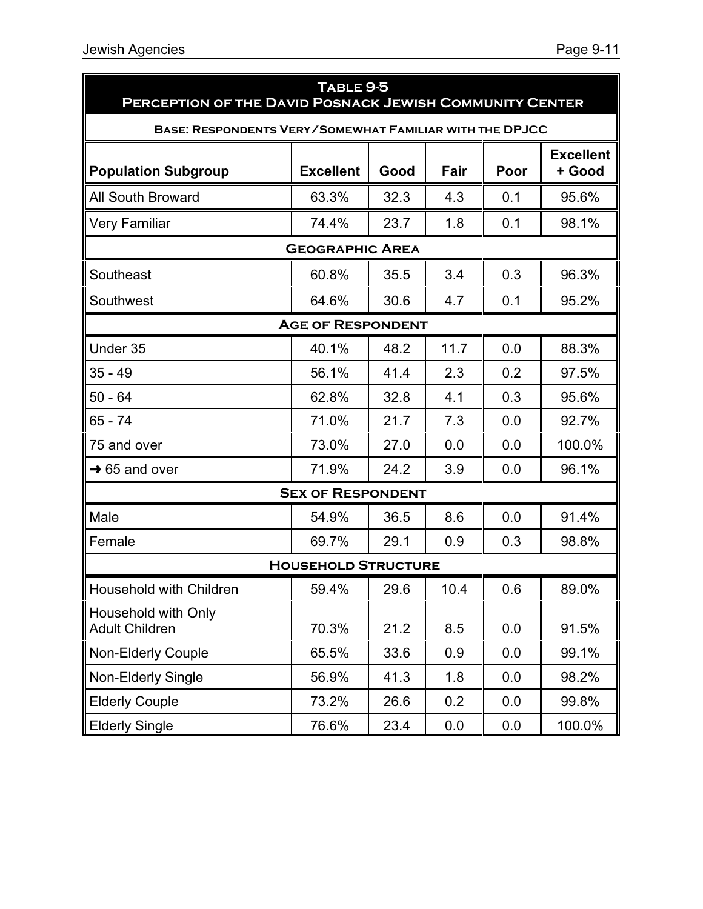| TABLE 9-5<br>PERCEPTION OF THE DAVID POSNACK JEWISH COMMUNITY CENTER |                            |      |      |      |                            |  |
|----------------------------------------------------------------------|----------------------------|------|------|------|----------------------------|--|
| <b>BASE: RESPONDENTS VERY/SOMEWHAT FAMILIAR WITH THE DPJCC</b>       |                            |      |      |      |                            |  |
| <b>Population Subgroup</b>                                           | <b>Excellent</b>           | Good | Fair | Poor | <b>Excellent</b><br>+ Good |  |
| <b>All South Broward</b>                                             | 63.3%                      | 32.3 | 4.3  | 0.1  | 95.6%                      |  |
| <b>Very Familiar</b>                                                 | 74.4%                      | 23.7 | 1.8  | 0.1  | 98.1%                      |  |
|                                                                      | <b>GEOGRAPHIC AREA</b>     |      |      |      |                            |  |
| Southeast                                                            | 60.8%                      | 35.5 | 3.4  | 0.3  | 96.3%                      |  |
| Southwest                                                            | 64.6%                      | 30.6 | 4.7  | 0.1  | 95.2%                      |  |
| <b>AGE OF RESPONDENT</b>                                             |                            |      |      |      |                            |  |
| Under 35                                                             | 40.1%                      | 48.2 | 11.7 | 0.0  | 88.3%                      |  |
| $35 - 49$                                                            | 56.1%                      | 41.4 | 2.3  | 0.2  | 97.5%                      |  |
| $50 - 64$                                                            | 62.8%                      | 32.8 | 4.1  | 0.3  | 95.6%                      |  |
| 65 - 74                                                              | 71.0%                      | 21.7 | 7.3  | 0.0  | 92.7%                      |  |
| 75 and over                                                          | 73.0%                      | 27.0 | 0.0  | 0.0  | 100.0%                     |  |
| $\rightarrow$ 65 and over                                            | 71.9%                      | 24.2 | 3.9  | 0.0  | 96.1%                      |  |
|                                                                      | <b>SEX OF RESPONDENT</b>   |      |      |      |                            |  |
| Male                                                                 | 54.9%                      | 36.5 | 8.6  | 0.0  | 91.4%                      |  |
| Female                                                               | 69.7%                      | 29.1 | 0.9  | 0.3  | 98.8%                      |  |
|                                                                      | <b>HOUSEHOLD STRUCTURE</b> |      |      |      |                            |  |
| Household with Children                                              | 59.4%                      | 29.6 | 10.4 | 0.6  | 89.0%                      |  |
| Household with Only<br><b>Adult Children</b>                         | 70.3%                      | 21.2 | 8.5  | 0.0  | 91.5%                      |  |
| <b>Non-Elderly Couple</b>                                            | 65.5%                      | 33.6 | 0.9  | 0.0  | 99.1%                      |  |
| Non-Elderly Single                                                   | 56.9%                      | 41.3 | 1.8  | 0.0  | 98.2%                      |  |
| <b>Elderly Couple</b>                                                | 73.2%                      | 26.6 | 0.2  | 0.0  | 99.8%                      |  |
| <b>Elderly Single</b>                                                | 76.6%                      | 23.4 | 0.0  | 0.0  | 100.0%                     |  |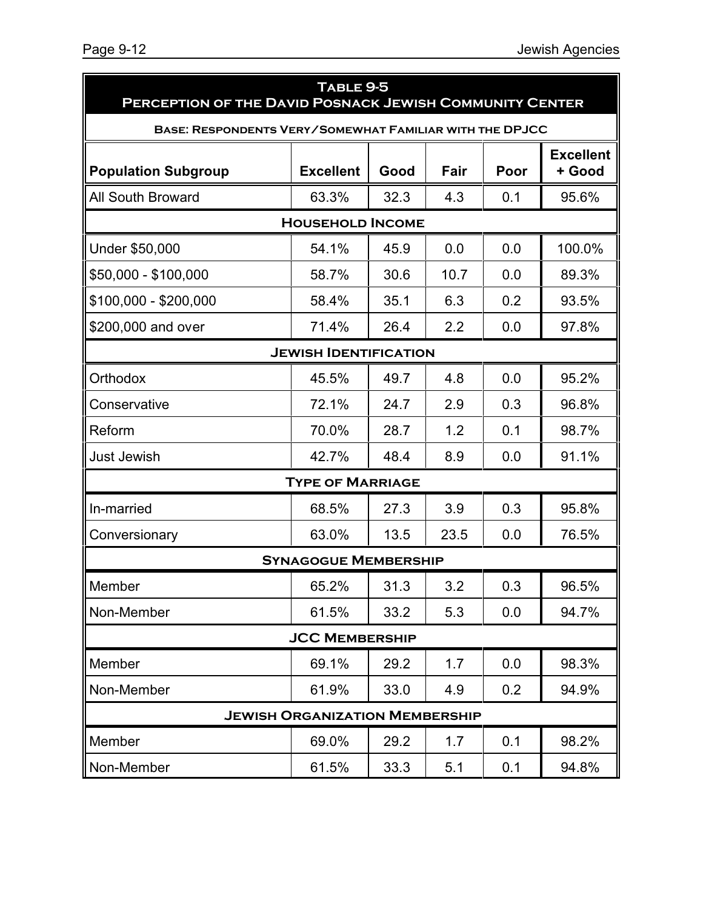| TABLE 9-5<br>PERCEPTION OF THE DAVID POSNACK JEWISH COMMUNITY CENTER |                                       |      |      |      |                            |  |  |
|----------------------------------------------------------------------|---------------------------------------|------|------|------|----------------------------|--|--|
| BASE: RESPONDENTS VERY/SOMEWHAT FAMILIAR WITH THE DPJCC              |                                       |      |      |      |                            |  |  |
| <b>Population Subgroup</b>                                           | <b>Excellent</b>                      | Good | Fair | Poor | <b>Excellent</b><br>+ Good |  |  |
| <b>All South Broward</b>                                             | 63.3%                                 | 32.3 | 4.3  | 0.1  | 95.6%                      |  |  |
|                                                                      | <b>HOUSEHOLD INCOME</b>               |      |      |      |                            |  |  |
| Under \$50,000                                                       | 54.1%                                 | 45.9 | 0.0  | 0.0  | 100.0%                     |  |  |
| \$50,000 - \$100,000                                                 | 58.7%                                 | 30.6 | 10.7 | 0.0  | 89.3%                      |  |  |
| \$100,000 - \$200,000                                                | 58.4%                                 | 35.1 | 6.3  | 0.2  | 93.5%                      |  |  |
| \$200,000 and over                                                   | 71.4%                                 | 26.4 | 2.2  | 0.0  | 97.8%                      |  |  |
|                                                                      | <b>JEWISH IDENTIFICATION</b>          |      |      |      |                            |  |  |
| Orthodox                                                             | 45.5%                                 | 49.7 | 4.8  | 0.0  | 95.2%                      |  |  |
| Conservative                                                         | 72.1%                                 | 24.7 | 2.9  | 0.3  | 96.8%                      |  |  |
| Reform                                                               | 70.0%                                 | 28.7 | 1.2  | 0.1  | 98.7%                      |  |  |
| <b>Just Jewish</b>                                                   | 42.7%                                 | 48.4 | 8.9  | 0.0  | 91.1%                      |  |  |
|                                                                      | <b>TYPE OF MARRIAGE</b>               |      |      |      |                            |  |  |
| In-married                                                           | 68.5%                                 | 27.3 | 3.9  | 0.3  | 95.8%                      |  |  |
| Conversionary                                                        | 63.0%                                 | 13.5 | 23.5 | 0.0  | 76.5%                      |  |  |
|                                                                      | <b>SYNAGOGUE MEMBERSHIP</b>           |      |      |      |                            |  |  |
| Member                                                               | 65.2%                                 | 31.3 | 3.2  | 0.3  | 96.5%                      |  |  |
| Non-Member                                                           | 61.5%                                 | 33.2 | 5.3  | 0.0  | 94.7%                      |  |  |
|                                                                      | <b>JCC MEMBERSHIP</b>                 |      |      |      |                            |  |  |
| Member                                                               | 69.1%                                 | 29.2 | 1.7  | 0.0  | 98.3%                      |  |  |
| Non-Member                                                           | 61.9%                                 | 33.0 | 4.9  | 0.2  | 94.9%                      |  |  |
|                                                                      | <b>JEWISH ORGANIZATION MEMBERSHIP</b> |      |      |      |                            |  |  |
| Member                                                               | 69.0%                                 | 29.2 | 1.7  | 0.1  | 98.2%                      |  |  |
| Non-Member                                                           | 61.5%                                 | 33.3 | 5.1  | 0.1  | 94.8%                      |  |  |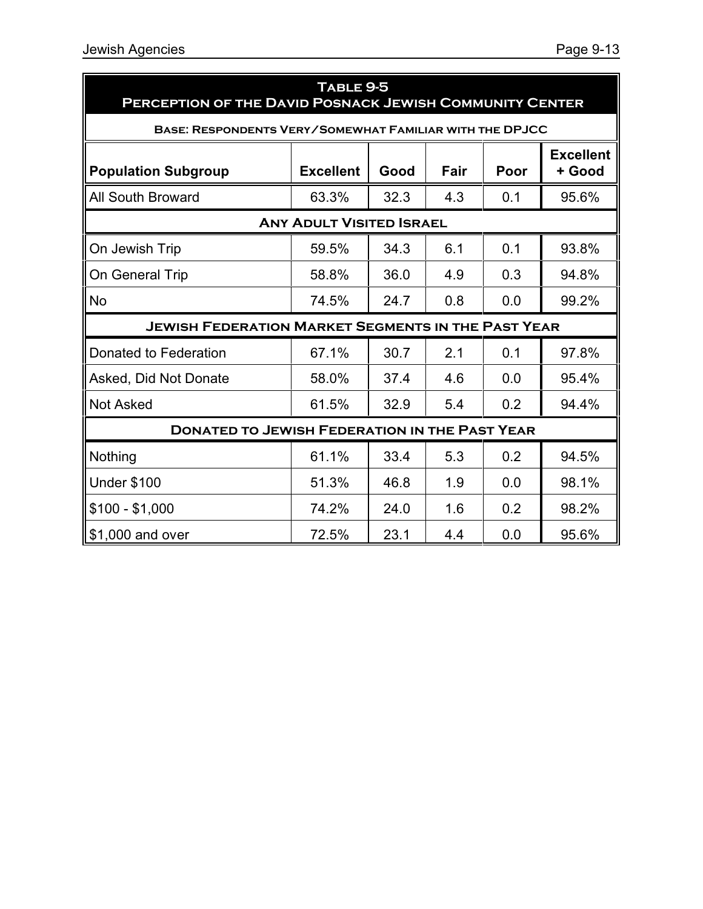| TABLE 9-5<br>PERCEPTION OF THE DAVID POSNACK JEWISH COMMUNITY CENTER |                                 |      |      |      |                            |  |
|----------------------------------------------------------------------|---------------------------------|------|------|------|----------------------------|--|
| <b>BASE: RESPONDENTS VERY/SOMEWHAT FAMILIAR WITH THE DPJCC</b>       |                                 |      |      |      |                            |  |
| <b>Population Subgroup</b>                                           | <b>Excellent</b>                | Good | Fair | Poor | <b>Excellent</b><br>+ Good |  |
| <b>All South Broward</b>                                             | 63.3%                           | 32.3 | 4.3  | 0.1  | 95.6%                      |  |
|                                                                      | <b>ANY ADULT VISITED ISRAEL</b> |      |      |      |                            |  |
| On Jewish Trip                                                       | 59.5%                           | 34.3 | 6.1  | 0.1  | 93.8%                      |  |
| On General Trip                                                      | 58.8%                           | 36.0 | 4.9  | 0.3  | 94.8%                      |  |
| <b>No</b>                                                            | 74.5%                           | 24.7 | 0.8  | 0.0  | 99.2%                      |  |
| <b>JEWISH FEDERATION MARKET SEGMENTS IN THE PAST YEAR</b>            |                                 |      |      |      |                            |  |
| Donated to Federation                                                | 67.1%                           | 30.7 | 2.1  | 0.1  | 97.8%                      |  |
| Asked, Did Not Donate                                                | 58.0%                           | 37.4 | 4.6  | 0.0  | 95.4%                      |  |
| <b>Not Asked</b>                                                     | 61.5%                           | 32.9 | 5.4  | 0.2  | 94.4%                      |  |
| <b>DONATED TO JEWISH FEDERATION IN THE PAST YEAR</b>                 |                                 |      |      |      |                            |  |
| Nothing                                                              | 61.1%                           | 33.4 | 5.3  | 0.2  | 94.5%                      |  |
| <b>Under \$100</b>                                                   | 51.3%                           | 46.8 | 1.9  | 0.0  | 98.1%                      |  |
| $$100 - $1,000$                                                      | 74.2%                           | 24.0 | 1.6  | 0.2  | 98.2%                      |  |
| \$1,000 and over                                                     | 72.5%                           | 23.1 | 4.4  | 0.0  | 95.6%                      |  |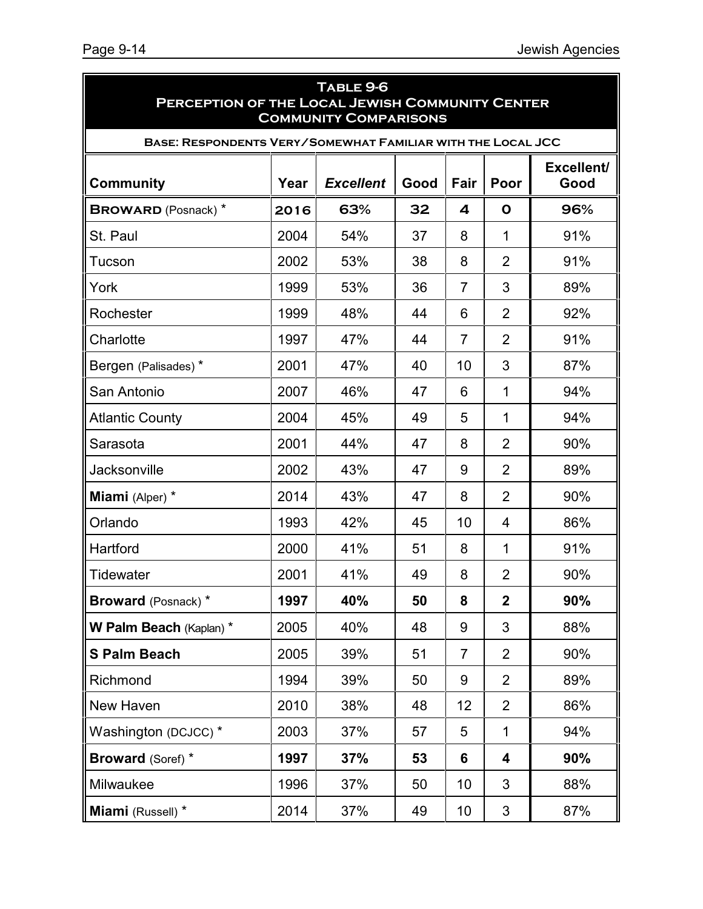| TABLE 9-6<br>PERCEPTION OF THE LOCAL JEWISH COMMUNITY CENTER<br><b>COMMUNITY COMPARISONS</b> |      |                  |      |                |                |                    |  |
|----------------------------------------------------------------------------------------------|------|------------------|------|----------------|----------------|--------------------|--|
| <b>BASE: RESPONDENTS VERY/SOMEWHAT FAMILIAR WITH THE LOCAL JCC</b>                           |      |                  |      |                |                |                    |  |
| <b>Community</b>                                                                             | Year | <b>Excellent</b> | Good | Fair           | Poor           | Excellent/<br>Good |  |
| <b>BROWARD</b> (Posnack) *                                                                   | 2016 | 63%              | 32   | 4              | $\mathbf{o}$   | 96%                |  |
| St. Paul                                                                                     | 2004 | 54%              | 37   | 8              | 1              | 91%                |  |
| Tucson                                                                                       | 2002 | 53%              | 38   | 8              | $\overline{2}$ | 91%                |  |
| York                                                                                         | 1999 | 53%              | 36   | $\overline{7}$ | 3              | 89%                |  |
| Rochester                                                                                    | 1999 | 48%              | 44   | 6              | $\overline{2}$ | 92%                |  |
| Charlotte                                                                                    | 1997 | 47%              | 44   | $\overline{7}$ | $\overline{2}$ | 91%                |  |
| Bergen (Palisades)*                                                                          | 2001 | 47%              | 40   | 10             | 3              | 87%                |  |
| San Antonio                                                                                  | 2007 | 46%              | 47   | 6              | $\mathbf 1$    | 94%                |  |
| <b>Atlantic County</b>                                                                       | 2004 | 45%              | 49   | 5              | 1              | 94%                |  |
| Sarasota                                                                                     | 2001 | 44%              | 47   | 8              | $\overline{2}$ | 90%                |  |
| Jacksonville                                                                                 | 2002 | 43%              | 47   | 9              | $\overline{2}$ | 89%                |  |
| Miami (Alper) *                                                                              | 2014 | 43%              | 47   | 8              | $\overline{2}$ | 90%                |  |
| Orlando                                                                                      | 1993 | 42%              | 45   | 10             | 4              | 86%                |  |
| Hartford                                                                                     | 2000 | 41%              | 51   | 8              | 1              | 91%                |  |
| Tidewater                                                                                    | 2001 | 41%              | 49   | 8              | $\overline{2}$ | 90%                |  |
| <b>Broward</b> (Posnack) *                                                                   | 1997 | 40%              | 50   | 8              | $\mathbf{2}$   | 90%                |  |
| W Palm Beach (Kaplan) *                                                                      | 2005 | 40%              | 48   | 9              | 3              | 88%                |  |
| <b>S Palm Beach</b>                                                                          | 2005 | 39%              | 51   | $\overline{7}$ | $\overline{2}$ | 90%                |  |
| Richmond                                                                                     | 1994 | 39%              | 50   | 9              | $\overline{2}$ | 89%                |  |
| New Haven                                                                                    | 2010 | 38%              | 48   | 12             | $\overline{2}$ | 86%                |  |
| Washington (DCJCC) *                                                                         | 2003 | 37%              | 57   | 5              | $\mathbf{1}$   | 94%                |  |
| <b>Broward (Soref) *</b>                                                                     | 1997 | 37%              | 53   | 6              | 4              | 90%                |  |
| Milwaukee                                                                                    | 1996 | 37%              | 50   | 10             | 3              | 88%                |  |
| Miami (Russell) *                                                                            | 2014 | 37%              | 49   | 10             | 3              | 87%                |  |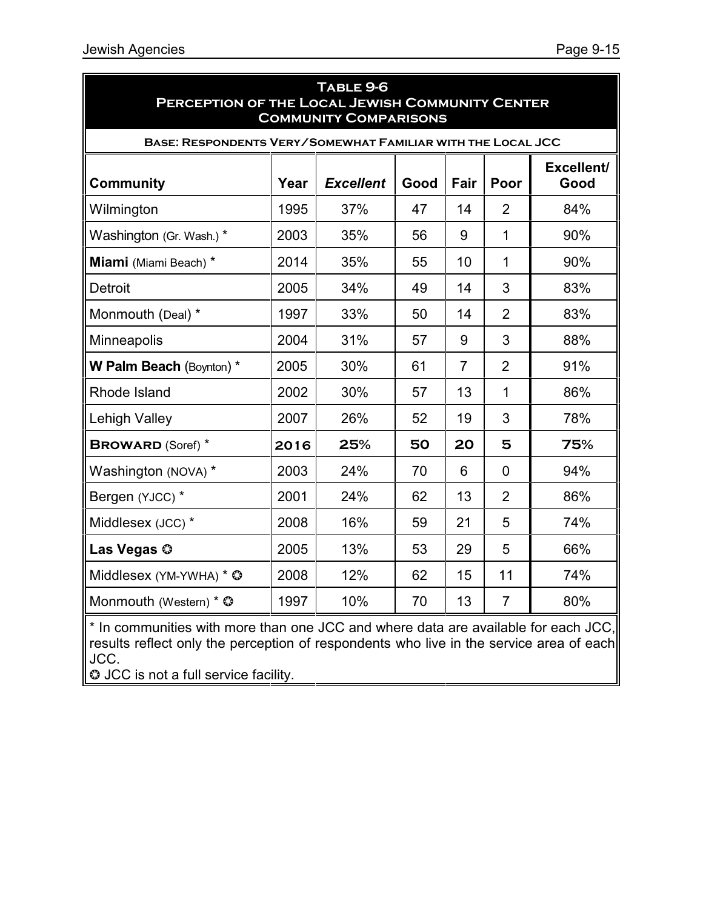| TABLE 9-6<br>PERCEPTION OF THE LOCAL JEWISH COMMUNITY CENTER<br><b>COMMUNITY COMPARISONS</b> |      |                  |      |                |                |                    |
|----------------------------------------------------------------------------------------------|------|------------------|------|----------------|----------------|--------------------|
| <b>BASE: RESPONDENTS VERY/SOMEWHAT FAMILIAR WITH THE LOCAL JCC</b>                           |      |                  |      |                |                |                    |
| <b>Community</b>                                                                             | Year | <b>Excellent</b> | Good | Fair           | Poor           | Excellent/<br>Good |
| Wilmington                                                                                   | 1995 | 37%              | 47   | 14             | $\overline{2}$ | 84%                |
| Washington (Gr. Wash.)*                                                                      | 2003 | 35%              | 56   | 9              | $\mathbf{1}$   | 90%                |
| Miami (Miami Beach) *                                                                        | 2014 | 35%              | 55   | 10             | $\mathbf 1$    | 90%                |
| <b>Detroit</b>                                                                               | 2005 | 34%              | 49   | 14             | 3              | 83%                |
| Monmouth (Deal) *                                                                            | 1997 | 33%              | 50   | 14             | $\overline{2}$ | 83%                |
| Minneapolis                                                                                  | 2004 | 31%              | 57   | 9              | 3              | 88%                |
| W Palm Beach (Boynton) *                                                                     | 2005 | 30%              | 61   | $\overline{7}$ | $\overline{2}$ | 91%                |
| Rhode Island                                                                                 | 2002 | 30%              | 57   | 13             | $\mathbf{1}$   | 86%                |
| <b>Lehigh Valley</b>                                                                         | 2007 | 26%              | 52   | 19             | 3              | 78%                |
| <b>BROWARD (Soref)</b> *                                                                     | 2016 | 25%              | 50   | 20             | 5              | 75%                |
| Washington (NOVA) *                                                                          | 2003 | 24%              | 70   | 6              | $\Omega$       | 94%                |
| Bergen (YJCC) *                                                                              | 2001 | 24%              | 62   | 13             | $\overline{2}$ | 86%                |
| Middlesex (JCC) *                                                                            | 2008 | 16%              | 59   | 21             | 5              | 74%                |
| Las Vegas ©                                                                                  | 2005 | 13%              | 53   | 29             | 5              | 66%                |
| Middlesex (YM-YWHA) * ©                                                                      | 2008 | 12%              | 62   | 15             | 11             | 74%                |
| Monmouth (Western) * $\circledcirc$                                                          | 1997 | 10%              | 70   | 13             | $\overline{7}$ | 80%                |

\* In communities with more than one JCC and where data are available for each JCC, results reflect only the perception of respondents who live in the service area of each| JCC.

 $\odot$  JCC is not a full service facility.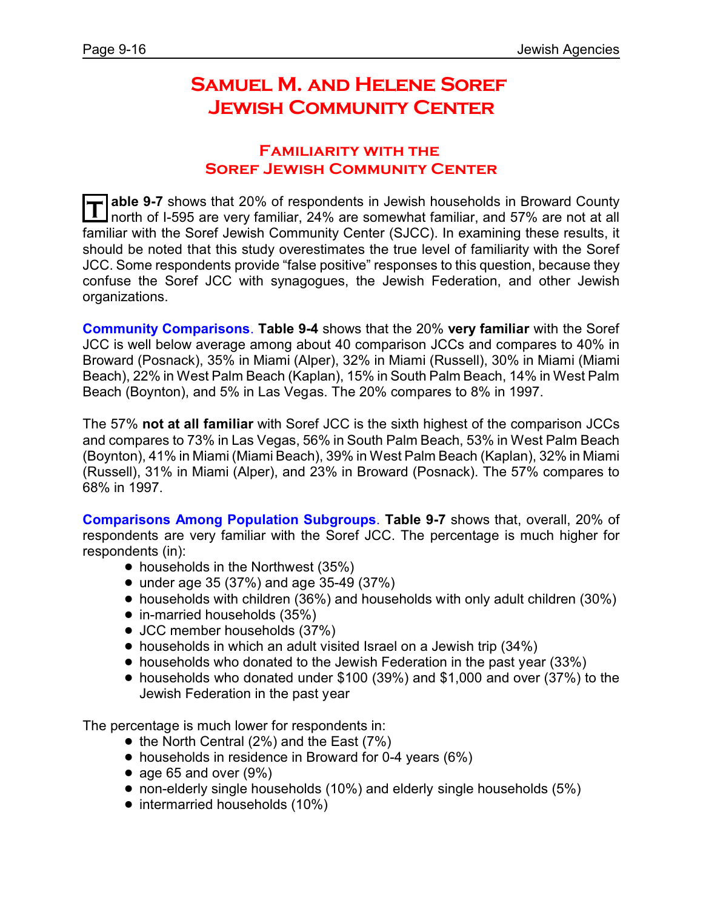# **Samuel M. and Helene Soref Jewish Community Center**

#### **Familiarity with the Soref Jewish Community Center**

**T able 9-7** shows that 20% of respondents in Jewish households in Broward County north of I-595 are very familiar, 24% are somewhat familiar, and 57% are not at all familiar with the Soref Jewish Community Center (SJCC). In examining these results, it should be noted that this study overestimates the true level of familiarity with the Soref JCC. Some respondents provide "false positive" responses to this question, because they confuse the Soref JCC with synagogues, the Jewish Federation, and other Jewish organizations.

**Community Comparisons**. **Table 9-4** shows that the 20% **very familiar** with the Soref JCC is well below average among about 40 comparison JCCs and compares to 40% in Broward (Posnack), 35% in Miami (Alper), 32% in Miami (Russell), 30% in Miami (Miami Beach), 22% in West Palm Beach (Kaplan), 15% in South Palm Beach, 14% in West Palm Beach (Boynton), and 5% in Las Vegas. The 20% compares to 8% in 1997.

The 57% **not at all familiar** with Soref JCC is the sixth highest of the comparison JCCs and compares to 73% in Las Vegas, 56% in South Palm Beach, 53% in West Palm Beach (Boynton), 41% in Miami (Miami Beach), 39% in West Palm Beach (Kaplan), 32% in Miami (Russell), 31% in Miami (Alper), and 23% in Broward (Posnack). The 57% compares to 68% in 1997.

**Comparisons Among Population Subgroups**. **Table 9-7** shows that, overall, 20% of respondents are very familiar with the Soref JCC. The percentage is much higher for respondents (in):

- $\bullet$  households in the Northwest (35%)
- under age 35 (37%) and age 35-49 (37%)
- ! households with children (36%) and households with only adult children (30%)
- in-married households (35%)
- JCC member households (37%)
- households in which an adult visited Israel on a Jewish trip (34%)
- ! households who donated to the Jewish Federation in the past year (33%)
- ! households who donated under \$100 (39%) and \$1,000 and over (37%) to the Jewish Federation in the past year

The percentage is much lower for respondents in:

- $\bullet$  the North Central (2%) and the East (7%)
- households in residence in Broward for 0-4 years (6%)
- age 65 and over  $(9\%)$
- non-elderly single households (10%) and elderly single households (5%)
- intermarried households (10%)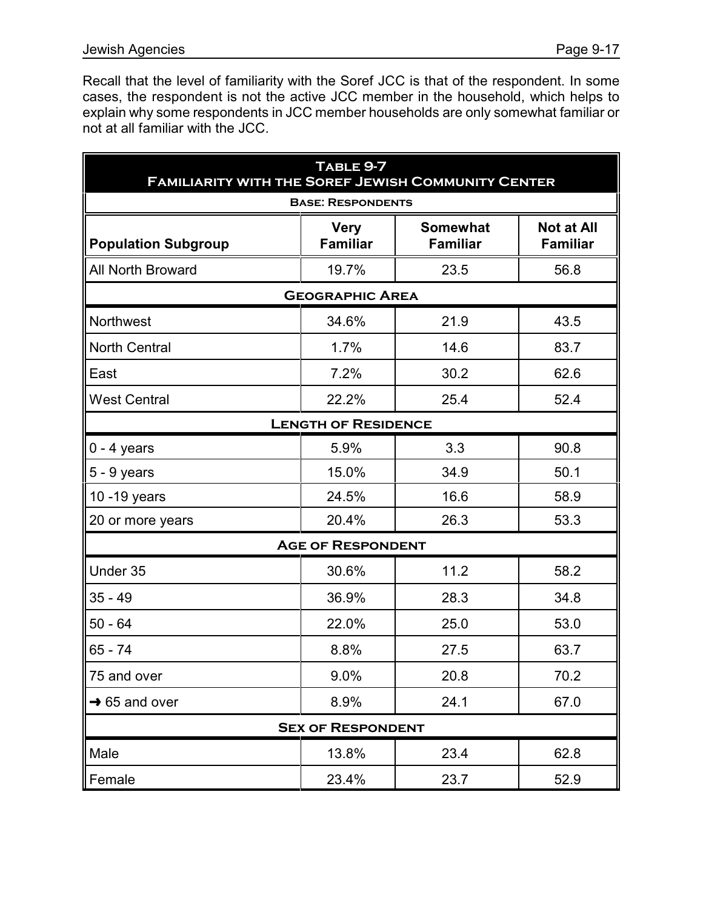Recall that the level of familiarity with the Soref JCC is that of the respondent. In some cases, the respondent is not the active JCC member in the household, which helps to explain why some respondents in JCC member households are only somewhat familiar or not at all familiar with the JCC.

| TABLE 9-7<br><b>FAMILIARITY WITH THE SOREF JEWISH COMMUNITY CENTER</b> |                                |                                    |                                      |  |  |  |
|------------------------------------------------------------------------|--------------------------------|------------------------------------|--------------------------------------|--|--|--|
| <b>BASE: RESPONDENTS</b>                                               |                                |                                    |                                      |  |  |  |
| <b>Population Subgroup</b>                                             | <b>Very</b><br><b>Familiar</b> | <b>Somewhat</b><br><b>Familiar</b> | <b>Not at All</b><br><b>Familiar</b> |  |  |  |
| All North Broward                                                      | 19.7%                          | 23.5                               | 56.8                                 |  |  |  |
| <b>GEOGRAPHIC AREA</b>                                                 |                                |                                    |                                      |  |  |  |
| Northwest                                                              | 34.6%                          | 21.9                               | 43.5                                 |  |  |  |
| <b>North Central</b>                                                   | 1.7%                           | 14.6                               | 83.7                                 |  |  |  |
| East                                                                   | 7.2%                           | 30.2                               | 62.6                                 |  |  |  |
| <b>West Central</b>                                                    | 22.2%                          | 25.4                               | 52.4                                 |  |  |  |
|                                                                        | <b>LENGTH OF RESIDENCE</b>     |                                    |                                      |  |  |  |
| $0 - 4$ years                                                          | 5.9%                           | 3.3                                | 90.8                                 |  |  |  |
| $5 - 9$ years                                                          | 15.0%                          | 34.9                               | 50.1                                 |  |  |  |
| 10 - 19 years                                                          | 24.5%                          | 16.6                               | 58.9                                 |  |  |  |
| 20 or more years                                                       | 20.4%                          | 26.3                               | 53.3                                 |  |  |  |
|                                                                        | <b>AGE OF RESPONDENT</b>       |                                    |                                      |  |  |  |
| Under 35                                                               | 30.6%                          | 11.2                               | 58.2                                 |  |  |  |
| $35 - 49$                                                              | 36.9%                          | 28.3                               | 34.8                                 |  |  |  |
| $50 - 64$                                                              | 22.0%                          | 25.0                               | 53.0                                 |  |  |  |
| 65 - 74                                                                | 8.8%                           | 27.5                               | 63.7                                 |  |  |  |
| 75 and over                                                            | 9.0%                           | 20.8                               | 70.2                                 |  |  |  |
| $\rightarrow$ 65 and over                                              | 8.9%                           | 24.1                               | 67.0                                 |  |  |  |
|                                                                        | <b>SEX OF RESPONDENT</b>       |                                    |                                      |  |  |  |
| Male                                                                   | 13.8%                          | 23.4                               | 62.8                                 |  |  |  |
| Female                                                                 | 23.4%                          | 23.7                               | 52.9                                 |  |  |  |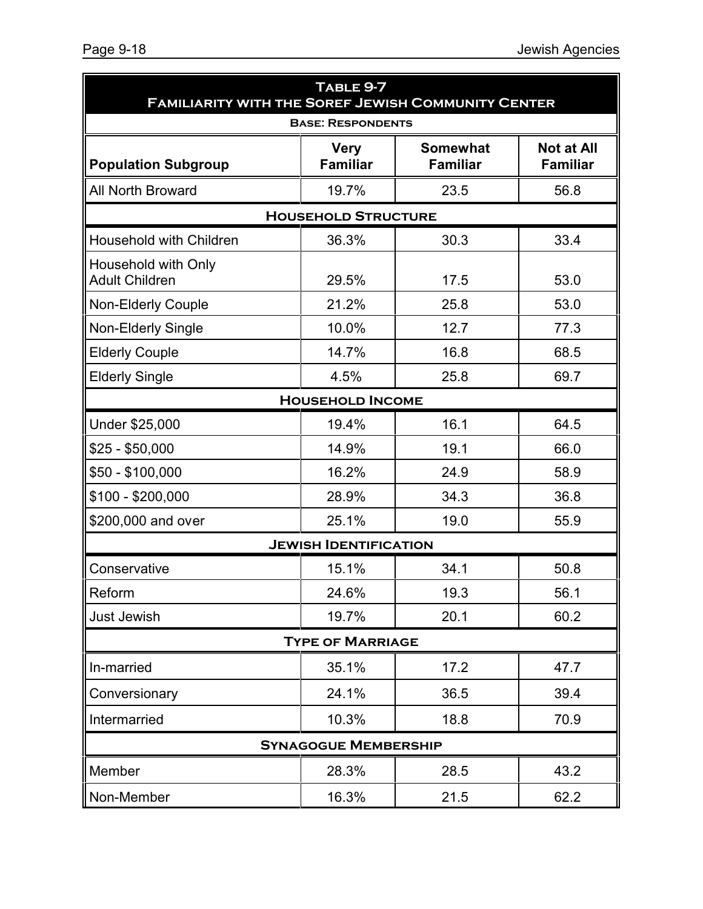| TABLE 9-7<br><b>FAMILIARITY WITH THE SOREF JEWISH COMMUNITY CENTER</b> |                                |                                    |                                      |  |  |  |
|------------------------------------------------------------------------|--------------------------------|------------------------------------|--------------------------------------|--|--|--|
| <b>BASE: RESPONDENTS</b>                                               |                                |                                    |                                      |  |  |  |
| <b>Population Subgroup</b>                                             | <b>Very</b><br><b>Familiar</b> | <b>Somewhat</b><br><b>Familiar</b> | <b>Not at All</b><br><b>Familiar</b> |  |  |  |
| <b>All North Broward</b>                                               | 19.7%                          | 23.5                               | 56.8                                 |  |  |  |
| <b>HOUSEHOLD STRUCTURE</b>                                             |                                |                                    |                                      |  |  |  |
| Household with Children                                                | 36.3%                          | 30.3                               | 33.4                                 |  |  |  |
| Household with Only<br><b>Adult Children</b>                           | 29.5%                          | 17.5                               | 53.0                                 |  |  |  |
| <b>Non-Elderly Couple</b>                                              | 21.2%                          | 25.8                               | 53.0                                 |  |  |  |
| Non-Elderly Single                                                     | 10.0%                          | 12.7                               | 77.3                                 |  |  |  |
| <b>Elderly Couple</b>                                                  | 14.7%                          | 16.8                               | 68.5                                 |  |  |  |
| <b>Elderly Single</b>                                                  | 4.5%                           | 25.8                               | 69.7                                 |  |  |  |
|                                                                        | <b>HOUSEHOLD INCOME</b>        |                                    |                                      |  |  |  |
| Under \$25,000                                                         | 19.4%                          | 16.1                               | 64.5                                 |  |  |  |
| $$25 - $50,000$                                                        | 14.9%                          | 19.1                               | 66.0                                 |  |  |  |
| $$50 - $100,000$                                                       | 16.2%                          | 24.9                               | 58.9                                 |  |  |  |
| $$100 - $200,000$                                                      | 28.9%                          | 34.3                               | 36.8                                 |  |  |  |
| \$200,000 and over                                                     | 25.1%                          | 19.0                               | 55.9                                 |  |  |  |
|                                                                        | <b>JEWISH IDENTIFICATION</b>   |                                    |                                      |  |  |  |
| Conservative                                                           | 15.1%                          | 34.1                               | 50.8                                 |  |  |  |
| Reform                                                                 | 24.6%                          | 19.3                               | 56.1                                 |  |  |  |
| <b>Just Jewish</b>                                                     | 19.7%                          | 20.1                               | 60.2                                 |  |  |  |
| <b>TYPE OF MARRIAGE</b>                                                |                                |                                    |                                      |  |  |  |
| In-married                                                             | 35.1%                          | 17.2                               | 47.7                                 |  |  |  |
| Conversionary                                                          | 24.1%                          | 36.5                               | 39.4                                 |  |  |  |
| Intermarried                                                           | 10.3%                          | 18.8                               | 70.9                                 |  |  |  |
|                                                                        | <b>SYNAGOGUE MEMBERSHIP</b>    |                                    |                                      |  |  |  |
| Member                                                                 | 28.3%                          | 28.5                               | 43.2                                 |  |  |  |
| Non-Member                                                             | 16.3%                          | 21.5                               | 62.2                                 |  |  |  |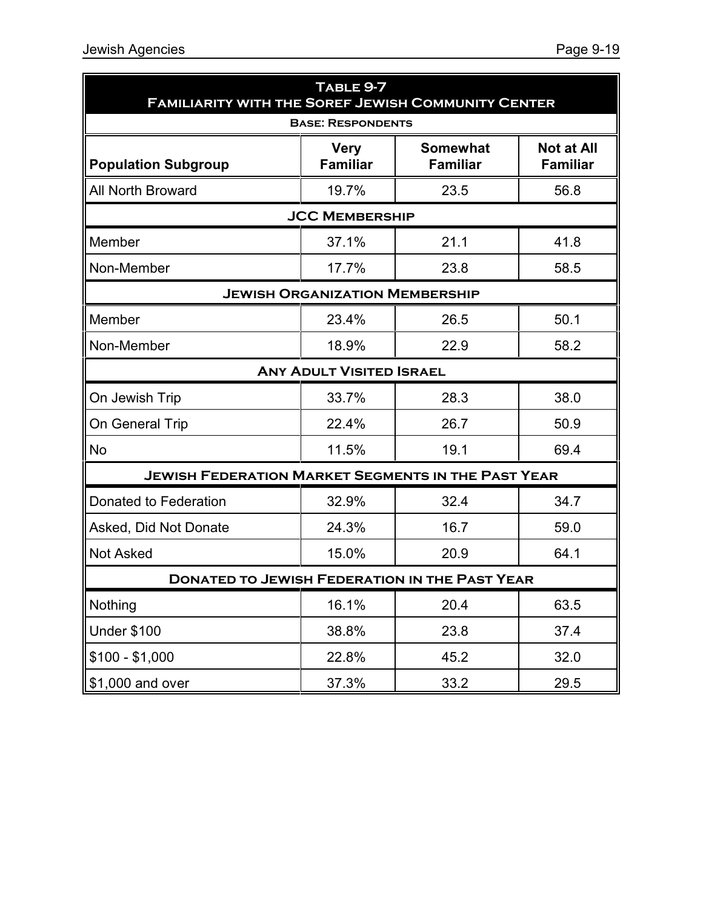| TABLE 9-7<br><b>FAMILIARITY WITH THE SOREF JEWISH COMMUNITY CENTER</b> |                                 |                                    |                                      |  |  |
|------------------------------------------------------------------------|---------------------------------|------------------------------------|--------------------------------------|--|--|
| <b>BASE: RESPONDENTS</b>                                               |                                 |                                    |                                      |  |  |
| <b>Population Subgroup</b>                                             | <b>Very</b><br><b>Familiar</b>  | <b>Somewhat</b><br><b>Familiar</b> | <b>Not at All</b><br><b>Familiar</b> |  |  |
| <b>All North Broward</b>                                               | 19.7%                           | 23.5                               | 56.8                                 |  |  |
| <b>JCC MEMBERSHIP</b>                                                  |                                 |                                    |                                      |  |  |
| Member                                                                 | 37.1%                           | 21.1                               | 41.8                                 |  |  |
| Non-Member                                                             | 17.7%                           | 23.8                               | 58.5                                 |  |  |
| <b>JEWISH ORGANIZATION MEMBERSHIP</b>                                  |                                 |                                    |                                      |  |  |
| Member                                                                 | 23.4%                           | 26.5                               | 50.1                                 |  |  |
| Non-Member                                                             | 18.9%                           | 22.9                               | 58.2                                 |  |  |
|                                                                        | <b>ANY ADULT VISITED ISRAEL</b> |                                    |                                      |  |  |
| On Jewish Trip                                                         | 33.7%                           | 28.3                               | 38.0                                 |  |  |
| On General Trip                                                        | 22.4%                           | 26.7                               | 50.9                                 |  |  |
| <b>No</b>                                                              | 11.5%                           | 19.1                               | 69.4                                 |  |  |
| <b>JEWISH FEDERATION MARKET SEGMENTS IN THE PAST YEAR</b>              |                                 |                                    |                                      |  |  |
| Donated to Federation                                                  | 32.9%                           | 32.4                               | 34.7                                 |  |  |
| Asked, Did Not Donate                                                  | 24.3%                           | 16.7                               | 59.0                                 |  |  |
| <b>Not Asked</b>                                                       | 15.0%                           | 20.9                               | 64.1                                 |  |  |
| <b>DONATED TO JEWISH FEDERATION IN THE PAST YEAR</b>                   |                                 |                                    |                                      |  |  |
| Nothing                                                                | 16.1%                           | 20.4                               | 63.5                                 |  |  |
| <b>Under \$100</b>                                                     | 38.8%                           | 23.8                               | 37.4                                 |  |  |
| $$100 - $1,000$                                                        | 22.8%                           | 45.2                               | 32.0                                 |  |  |
| \$1,000 and over                                                       | 37.3%                           | 33.2                               | 29.5                                 |  |  |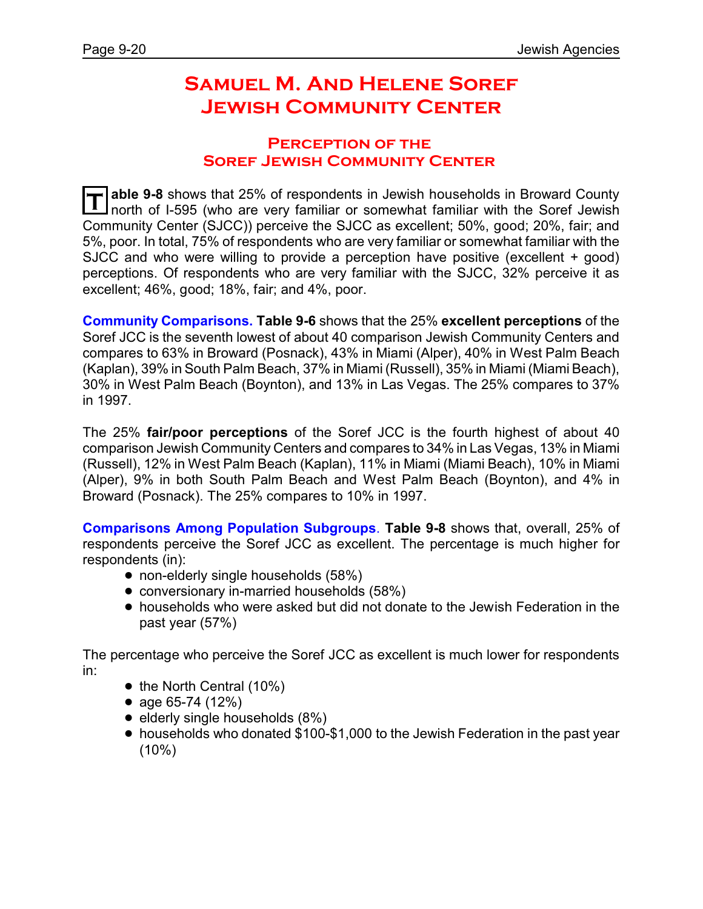# **Samuel M. And Helene Soref Jewish Community Center**

#### **Perception of the Soref Jewish Community Center**

T able 9-8 shows that 25% of respondents in Jewish households in Broward County<br>I north of I-595 (who are very familiar or somewhat familiar with the Soref Jewish **able 9-8** shows that 25% of respondents in Jewish households in Broward County Community Center (SJCC)) perceive the SJCC as excellent; 50%, good; 20%, fair; and 5%, poor. In total, 75% of respondents who are very familiar or somewhat familiar with the SJCC and who were willing to provide a perception have positive (excellent + good) perceptions. Of respondents who are very familiar with the SJCC, 32% perceive it as excellent; 46%, good; 18%, fair; and 4%, poor.

**Community Comparisons. Table 9-6** shows that the 25% **excellent perceptions** of the Soref JCC is the seventh lowest of about 40 comparison Jewish Community Centers and compares to 63% in Broward (Posnack), 43% in Miami (Alper), 40% in West Palm Beach (Kaplan), 39% in South Palm Beach, 37% in Miami (Russell), 35% in Miami (Miami Beach), 30% in West Palm Beach (Boynton), and 13% in Las Vegas. The 25% compares to 37% in 1997.

The 25% **fair/poor perceptions** of the Soref JCC is the fourth highest of about 40 comparison Jewish Community Centers and compares to 34% in Las Vegas, 13% in Miami (Russell), 12% in West Palm Beach (Kaplan), 11% in Miami (Miami Beach), 10% in Miami (Alper), 9% in both South Palm Beach and West Palm Beach (Boynton), and 4% in Broward (Posnack). The 25% compares to 10% in 1997.

**Comparisons Among Population Subgroups**. **Table 9-8** shows that, overall, 25% of respondents perceive the Soref JCC as excellent. The percentage is much higher for respondents (in):

- non-elderly single households (58%)
- conversionary in-married households (58%)
- ! households who were asked but did not donate to the Jewish Federation in the past year (57%)

The percentage who perceive the Soref JCC as excellent is much lower for respondents in:

- $\bullet$  the North Central (10%)
- age  $65-74$  (12%)
- $\bullet$  elderly single households  $(8\%)$
- households who donated \$100-\$1,000 to the Jewish Federation in the past year  $(10\%)$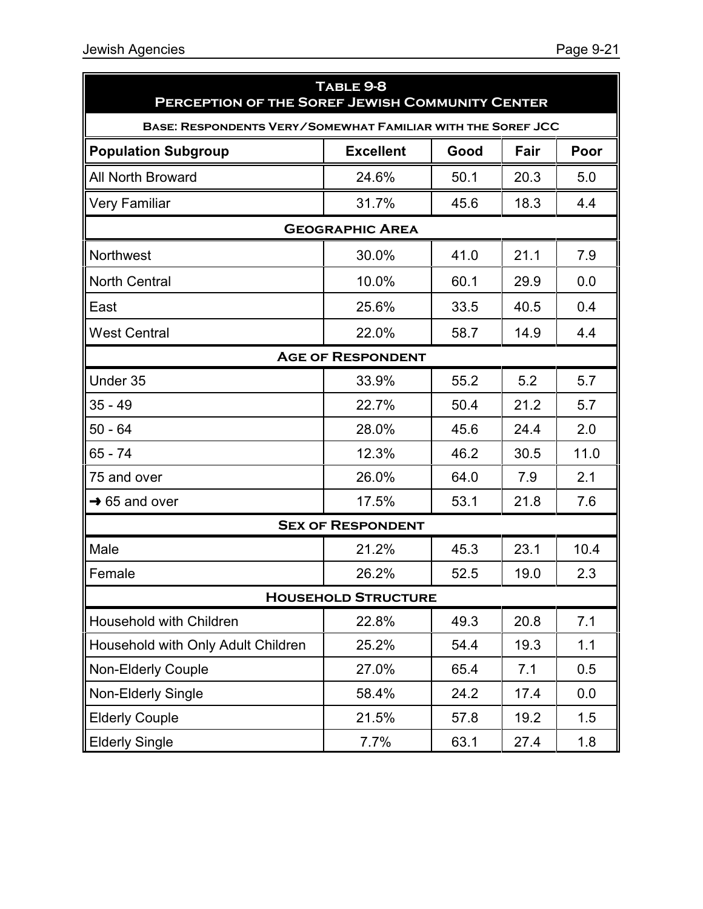| TABLE 9-8<br>PERCEPTION OF THE SOREF JEWISH COMMUNITY CENTER       |                          |      |      |      |  |  |
|--------------------------------------------------------------------|--------------------------|------|------|------|--|--|
| <b>BASE: RESPONDENTS VERY/SOMEWHAT FAMILIAR WITH THE SOREF JCC</b> |                          |      |      |      |  |  |
| <b>Population Subgroup</b>                                         | <b>Excellent</b>         | Good | Fair | Poor |  |  |
| <b>All North Broward</b>                                           | 24.6%                    | 50.1 | 20.3 | 5.0  |  |  |
| <b>Very Familiar</b>                                               | 31.7%                    | 45.6 | 18.3 | 4.4  |  |  |
|                                                                    | <b>GEOGRAPHIC AREA</b>   |      |      |      |  |  |
| Northwest                                                          | 30.0%                    | 41.0 | 21.1 | 7.9  |  |  |
| <b>North Central</b>                                               | 10.0%                    | 60.1 | 29.9 | 0.0  |  |  |
| East                                                               | 25.6%                    | 33.5 | 40.5 | 0.4  |  |  |
| <b>West Central</b>                                                | 22.0%                    | 58.7 | 14.9 | 4.4  |  |  |
|                                                                    | <b>AGE OF RESPONDENT</b> |      |      |      |  |  |
| Under 35                                                           | 33.9%                    | 55.2 | 5.2  | 5.7  |  |  |
| $35 - 49$                                                          | 22.7%                    | 50.4 | 21.2 | 5.7  |  |  |
| $50 - 64$                                                          | 28.0%                    | 45.6 | 24.4 | 2.0  |  |  |
| 65 - 74                                                            | 12.3%                    | 46.2 | 30.5 | 11.0 |  |  |
| 75 and over                                                        | 26.0%                    | 64.0 | 7.9  | 2.1  |  |  |
| $\rightarrow$ 65 and over                                          | 17.5%                    | 53.1 | 21.8 | 7.6  |  |  |
|                                                                    | <b>SEX OF RESPONDENT</b> |      |      |      |  |  |
| Male                                                               | 21.2%                    | 45.3 | 23.1 | 10.4 |  |  |
| Female                                                             | 26.2%                    | 52.5 | 19.0 | 2.3  |  |  |
| <b>HOUSEHOLD STRUCTURE</b>                                         |                          |      |      |      |  |  |
| Household with Children                                            | 22.8%                    | 49.3 | 20.8 | 7.1  |  |  |
| Household with Only Adult Children                                 | 25.2%                    | 54.4 | 19.3 | 1.1  |  |  |
| <b>Non-Elderly Couple</b>                                          | 27.0%                    | 65.4 | 7.1  | 0.5  |  |  |
| <b>Non-Elderly Single</b>                                          | 58.4%                    | 24.2 | 17.4 | 0.0  |  |  |
| <b>Elderly Couple</b>                                              | 21.5%                    | 57.8 | 19.2 | 1.5  |  |  |
| <b>Elderly Single</b>                                              | 7.7%                     | 63.1 | 27.4 | 1.8  |  |  |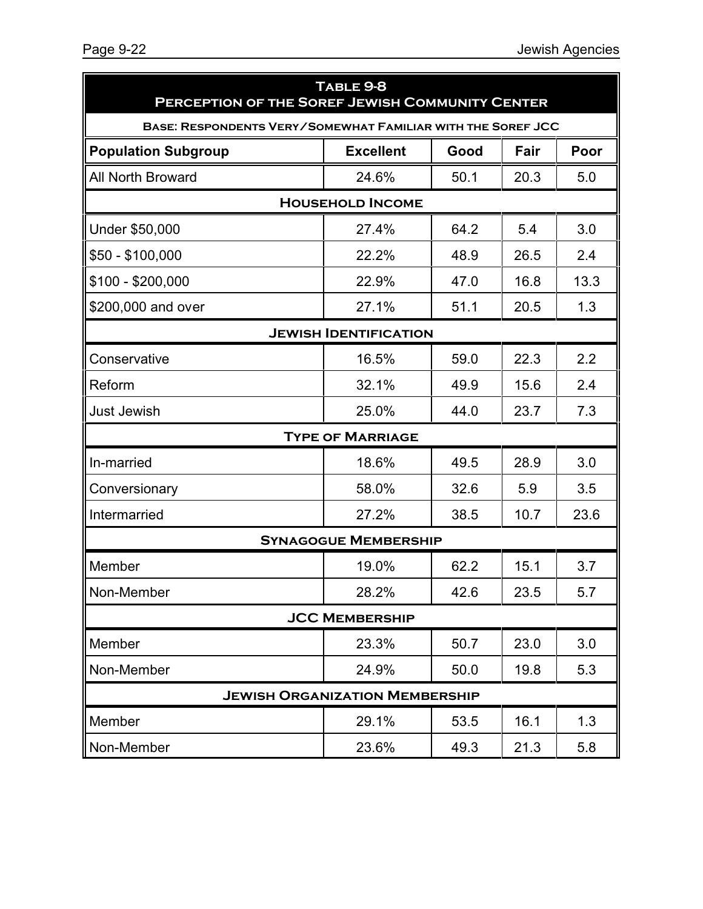| TABLE 9-8<br>PERCEPTION OF THE SOREF JEWISH COMMUNITY CENTER       |                                       |      |      |      |  |  |
|--------------------------------------------------------------------|---------------------------------------|------|------|------|--|--|
| <b>BASE: RESPONDENTS VERY/SOMEWHAT FAMILIAR WITH THE SOREF JCC</b> |                                       |      |      |      |  |  |
| <b>Population Subgroup</b>                                         | <b>Excellent</b>                      | Good | Fair | Poor |  |  |
| <b>All North Broward</b>                                           | 24.6%                                 | 50.1 | 20.3 | 5.0  |  |  |
| <b>HOUSEHOLD INCOME</b>                                            |                                       |      |      |      |  |  |
| Under \$50,000                                                     | 27.4%                                 | 64.2 | 5.4  | 3.0  |  |  |
| $$50 - $100,000$                                                   | 22.2%                                 | 48.9 | 26.5 | 2.4  |  |  |
| $$100 - $200,000$                                                  | 22.9%                                 | 47.0 | 16.8 | 13.3 |  |  |
| \$200,000 and over                                                 | 27.1%                                 | 51.1 | 20.5 | 1.3  |  |  |
|                                                                    | <b>JEWISH IDENTIFICATION</b>          |      |      |      |  |  |
| Conservative                                                       | 16.5%                                 | 59.0 | 22.3 | 2.2  |  |  |
| Reform                                                             | 32.1%                                 | 49.9 | 15.6 | 2.4  |  |  |
| <b>Just Jewish</b>                                                 | 25.0%                                 | 44.0 | 23.7 | 7.3  |  |  |
|                                                                    | <b>TYPE OF MARRIAGE</b>               |      |      |      |  |  |
| In-married                                                         | 18.6%                                 | 49.5 | 28.9 | 3.0  |  |  |
| Conversionary                                                      | 58.0%                                 | 32.6 | 5.9  | 3.5  |  |  |
| Intermarried                                                       | 27.2%                                 | 38.5 | 10.7 | 23.6 |  |  |
|                                                                    | <b>SYNAGOGUE MEMBERSHIP</b>           |      |      |      |  |  |
| Member                                                             | 19.0%                                 | 62.2 | 15.1 | 3.7  |  |  |
| Non-Member                                                         | 28.2%                                 | 42.6 | 23.5 | 5.7  |  |  |
| <b>JCC MEMBERSHIP</b>                                              |                                       |      |      |      |  |  |
| Member                                                             | 23.3%                                 | 50.7 | 23.0 | 3.0  |  |  |
| Non-Member                                                         | 24.9%                                 | 50.0 | 19.8 | 5.3  |  |  |
|                                                                    | <b>JEWISH ORGANIZATION MEMBERSHIP</b> |      |      |      |  |  |
| Member                                                             | 29.1%                                 | 53.5 | 16.1 | 1.3  |  |  |
| Non-Member                                                         | 23.6%                                 | 49.3 | 21.3 | 5.8  |  |  |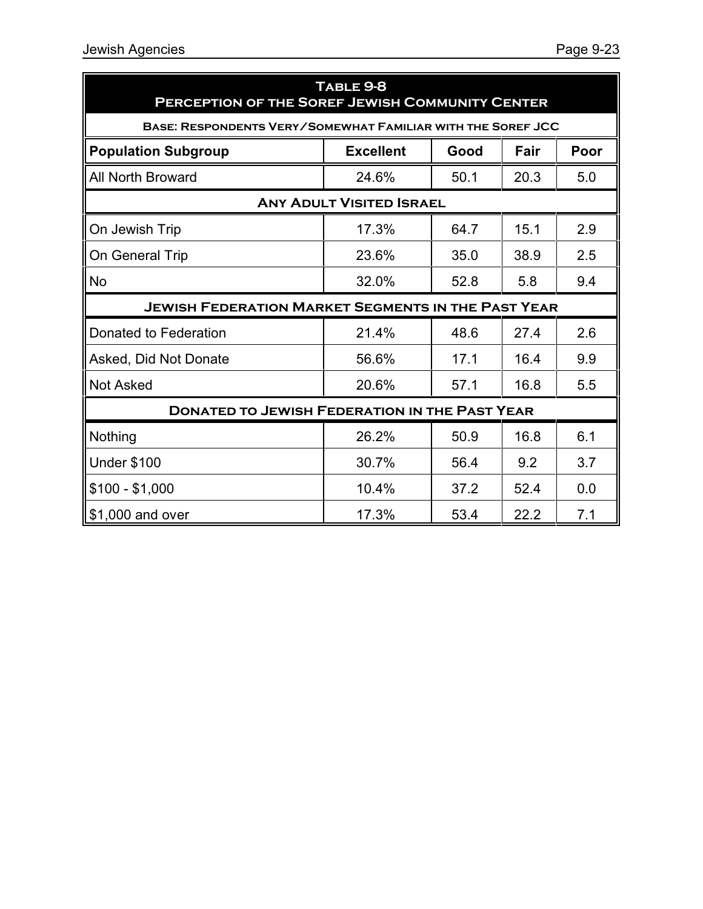| TABLE 9-8<br><b>PERCEPTION OF THE SOREF JEWISH COMMUNITY CENTER</b> |                  |      |      |      |  |  |
|---------------------------------------------------------------------|------------------|------|------|------|--|--|
| BASE: RESPONDENTS VERY/SOMEWHAT FAMILIAR WITH THE SOREF JCC         |                  |      |      |      |  |  |
| <b>Population Subgroup</b>                                          | <b>Excellent</b> | Good | Fair | Poor |  |  |
| <b>All North Broward</b>                                            | 24.6%            | 50.1 | 20.3 | 5.0  |  |  |
| <b>ANY ADULT VISITED ISRAEL</b>                                     |                  |      |      |      |  |  |
| On Jewish Trip                                                      | 17.3%            | 64.7 | 15.1 | 2.9  |  |  |
| On General Trip                                                     | 23.6%            | 35.0 | 38.9 | 2.5  |  |  |
| <b>No</b>                                                           | 32.0%            | 52.8 | 5.8  | 9.4  |  |  |
| <b>JEWISH FEDERATION MARKET SEGMENTS IN THE PAST YEAR</b>           |                  |      |      |      |  |  |
| Donated to Federation                                               | 21.4%            | 48.6 | 27.4 | 2.6  |  |  |
| Asked, Did Not Donate                                               | 56.6%            | 17.1 | 16.4 | 9.9  |  |  |
| <b>Not Asked</b>                                                    | 20.6%            | 57.1 | 16.8 | 5.5  |  |  |
| <b>DONATED TO JEWISH FEDERATION IN THE PAST YEAR</b>                |                  |      |      |      |  |  |
| Nothing                                                             | 26.2%            | 50.9 | 16.8 | 6.1  |  |  |
| <b>Under \$100</b>                                                  | 30.7%            | 56.4 | 9.2  | 3.7  |  |  |
| $$100 - $1,000$                                                     | 10.4%            | 37.2 | 52.4 | 0.0  |  |  |
| \$1,000 and over                                                    | 17.3%            | 53.4 | 22.2 | 7.1  |  |  |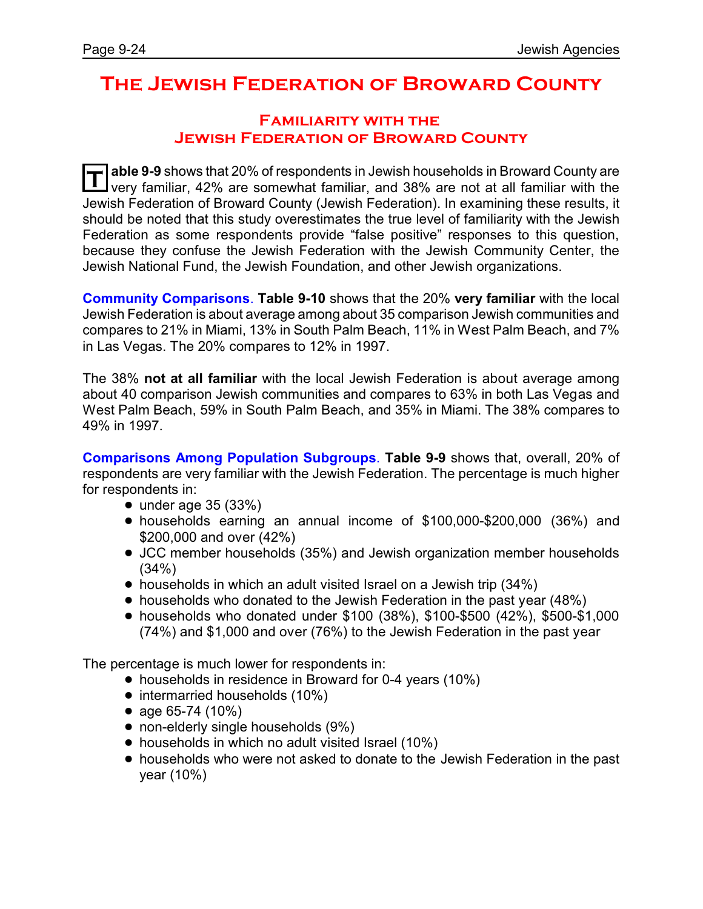## **The Jewish Federation of Broward County**

#### **Familiarity with the Jewish Federation of Broward County**

**T able 9-9** shows that 20% of respondents in Jewish households in Broward County are very familiar, 42% are somewhat familiar, and 38% are not at all familiar with the Jewish Federation of Broward County (Jewish Federation). In examining these results, it should be noted that this study overestimates the true level of familiarity with the Jewish Federation as some respondents provide "false positive" responses to this question, because they confuse the Jewish Federation with the Jewish Community Center, the Jewish National Fund, the Jewish Foundation, and other Jewish organizations.

**Community Comparisons**. **Table 9-10** shows that the 20% **very familiar** with the local Jewish Federation is about average among about 35 comparison Jewish communities and compares to 21% in Miami, 13% in South Palm Beach, 11% in West Palm Beach, and 7% in Las Vegas. The 20% compares to 12% in 1997.

The 38% **not at all familiar** with the local Jewish Federation is about average among about 40 comparison Jewish communities and compares to 63% in both Las Vegas and West Palm Beach, 59% in South Palm Beach, and 35% in Miami. The 38% compares to 49% in 1997.

**Comparisons Among Population Subgroups**. **Table 9-9** shows that, overall, 20% of respondents are very familiar with the Jewish Federation. The percentage is much higher for respondents in:

- $\bullet$  under age 35 (33%)
- ! households earning an annual income of \$100,000-\$200,000 (36%) and \$200,000 and over (42%)
- JCC member households (35%) and Jewish organization member households (34%)
- households in which an adult visited Israel on a Jewish trip (34%)
- households who donated to the Jewish Federation in the past year (48%)
- ! households who donated under \$100 (38%), \$100-\$500 (42%), \$500-\$1,000 (74%) and \$1,000 and over (76%) to the Jewish Federation in the past year

The percentage is much lower for respondents in:

- households in residence in Broward for 0-4 years (10%)
- intermarried households (10%)
- age 65-74 (10%)
- non-elderly single households (9%)
- households in which no adult visited Israel (10%)
- ! households who were not asked to donate to the Jewish Federation in the past year (10%)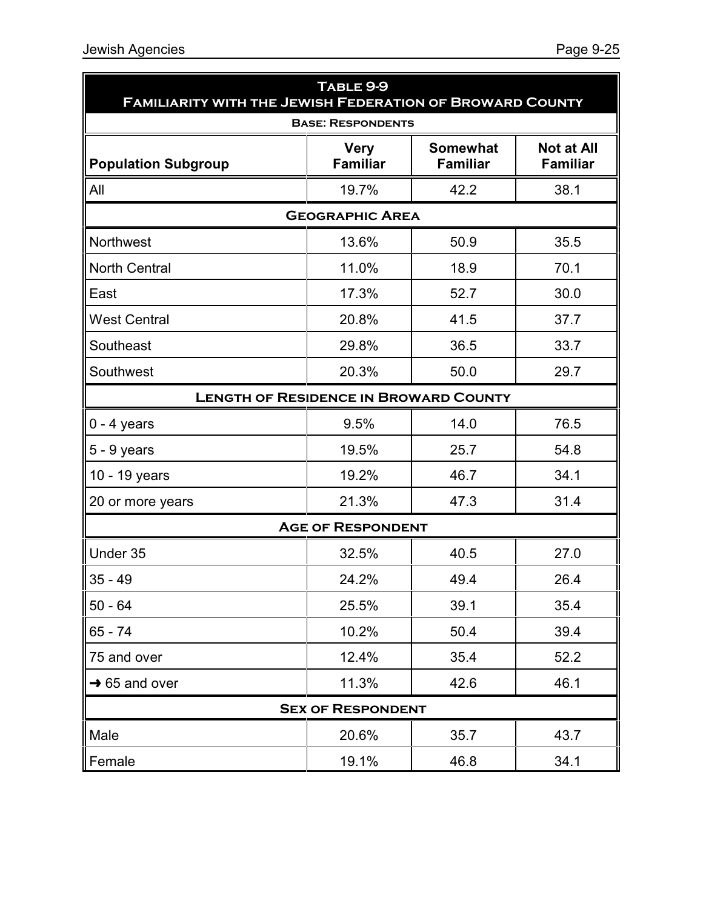| TABLE 9-9<br><b>FAMILIARITY WITH THE JEWISH FEDERATION OF BROWARD COUNTY</b> |                                |                                    |                                      |  |  |  |
|------------------------------------------------------------------------------|--------------------------------|------------------------------------|--------------------------------------|--|--|--|
| <b>BASE: RESPONDENTS</b>                                                     |                                |                                    |                                      |  |  |  |
| <b>Population Subgroup</b>                                                   | <b>Very</b><br><b>Familiar</b> | <b>Somewhat</b><br><b>Familiar</b> | <b>Not at All</b><br><b>Familiar</b> |  |  |  |
| All                                                                          | 19.7%                          | 42.2                               | 38.1                                 |  |  |  |
| <b>GEOGRAPHIC AREA</b>                                                       |                                |                                    |                                      |  |  |  |
| <b>Northwest</b>                                                             | 13.6%                          | 50.9                               | 35.5                                 |  |  |  |
| <b>North Central</b>                                                         | 11.0%                          | 18.9                               | 70.1                                 |  |  |  |
| East                                                                         | 17.3%                          | 52.7                               | 30.0                                 |  |  |  |
| <b>West Central</b>                                                          | 20.8%                          | 41.5                               | 37.7                                 |  |  |  |
| Southeast                                                                    | 29.8%                          | 36.5                               | 33.7                                 |  |  |  |
| Southwest                                                                    | 20.3%                          | 50.0                               | 29.7                                 |  |  |  |
| <b>LENGTH OF RESIDENCE IN BROWARD COUNTY</b>                                 |                                |                                    |                                      |  |  |  |
| $0 - 4$ years                                                                | 9.5%                           | 14.0                               | 76.5                                 |  |  |  |
| $5 - 9$ years                                                                | 19.5%                          | 25.7                               | 54.8                                 |  |  |  |
| 10 - 19 years                                                                | 19.2%                          | 46.7                               | 34.1                                 |  |  |  |
| 20 or more years                                                             | 21.3%                          | 47.3                               | 31.4                                 |  |  |  |
|                                                                              | <b>AGE OF RESPONDENT</b>       |                                    |                                      |  |  |  |
| Under 35                                                                     | 32.5%                          | 40.5                               | 27.0                                 |  |  |  |
| $35 - 49$                                                                    | 24.2%                          | 49.4                               | 26.4                                 |  |  |  |
| $50 - 64$                                                                    | 25.5%                          | 39.1                               | 35.4                                 |  |  |  |
| $65 - 74$                                                                    | 10.2%                          | 50.4                               | 39.4                                 |  |  |  |
| 75 and over                                                                  | 12.4%                          | 35.4                               | 52.2                                 |  |  |  |
| $\rightarrow$ 65 and over                                                    | 11.3%                          | 42.6                               | 46.1                                 |  |  |  |
| <b>SEX OF RESPONDENT</b>                                                     |                                |                                    |                                      |  |  |  |
| Male                                                                         | 20.6%                          | 35.7                               | 43.7                                 |  |  |  |
| Female                                                                       | 19.1%                          | 46.8                               | 34.1                                 |  |  |  |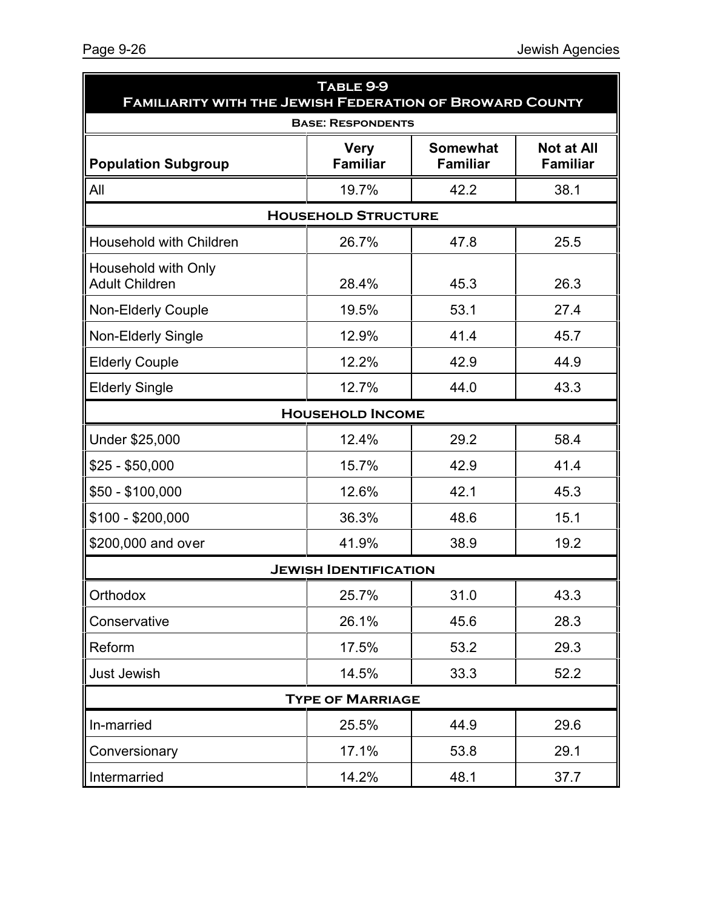| TABLE 9-9<br><b>FAMILIARITY WITH THE JEWISH FEDERATION OF BROWARD COUNTY</b> |                                |                                    |                                      |  |  |
|------------------------------------------------------------------------------|--------------------------------|------------------------------------|--------------------------------------|--|--|
| <b>BASE: RESPONDENTS</b>                                                     |                                |                                    |                                      |  |  |
| <b>Population Subgroup</b>                                                   | <b>Very</b><br><b>Familiar</b> | <b>Somewhat</b><br><b>Familiar</b> | <b>Not at All</b><br><b>Familiar</b> |  |  |
| All                                                                          | 19.7%                          | 42.2                               | 38.1                                 |  |  |
| <b>HOUSEHOLD STRUCTURE</b>                                                   |                                |                                    |                                      |  |  |
| Household with Children                                                      | 26.7%                          | 47.8                               | 25.5                                 |  |  |
| Household with Only<br><b>Adult Children</b>                                 | 28.4%                          | 45.3                               | 26.3                                 |  |  |
| <b>Non-Elderly Couple</b>                                                    | 19.5%                          | 53.1                               | 27.4                                 |  |  |
| Non-Elderly Single                                                           | 12.9%                          | 41.4                               | 45.7                                 |  |  |
| <b>Elderly Couple</b>                                                        | 12.2%                          | 42.9                               | 44.9                                 |  |  |
| <b>Elderly Single</b>                                                        | 12.7%                          | 44.0                               | 43.3                                 |  |  |
|                                                                              | <b>HOUSEHOLD INCOME</b>        |                                    |                                      |  |  |
| Under \$25,000                                                               | 12.4%                          | 29.2                               | 58.4                                 |  |  |
| \$25 - \$50,000                                                              | 15.7%                          | 42.9                               | 41.4                                 |  |  |
| \$50 - \$100,000                                                             | 12.6%                          | 42.1                               | 45.3                                 |  |  |
| \$100 - \$200,000                                                            | 36.3%                          | 48.6                               | 15.1                                 |  |  |
| \$200,000 and over                                                           | 41.9%                          | 38.9                               | 19.2                                 |  |  |
|                                                                              | <b>JEWISH IDENTIFICATION</b>   |                                    |                                      |  |  |
| Orthodox                                                                     | 25.7%                          | 31.0                               | 43.3                                 |  |  |
| Conservative                                                                 | 26.1%                          | 45.6                               | 28.3                                 |  |  |
| Reform                                                                       | 17.5%                          | 53.2                               | 29.3                                 |  |  |
| <b>Just Jewish</b>                                                           | 14.5%                          | 33.3                               | 52.2                                 |  |  |
| <b>TYPE OF MARRIAGE</b>                                                      |                                |                                    |                                      |  |  |
| In-married                                                                   | 25.5%                          | 44.9                               | 29.6                                 |  |  |
| Conversionary                                                                | 17.1%                          | 53.8                               | 29.1                                 |  |  |
| Intermarried                                                                 | 14.2%                          | 48.1                               | 37.7                                 |  |  |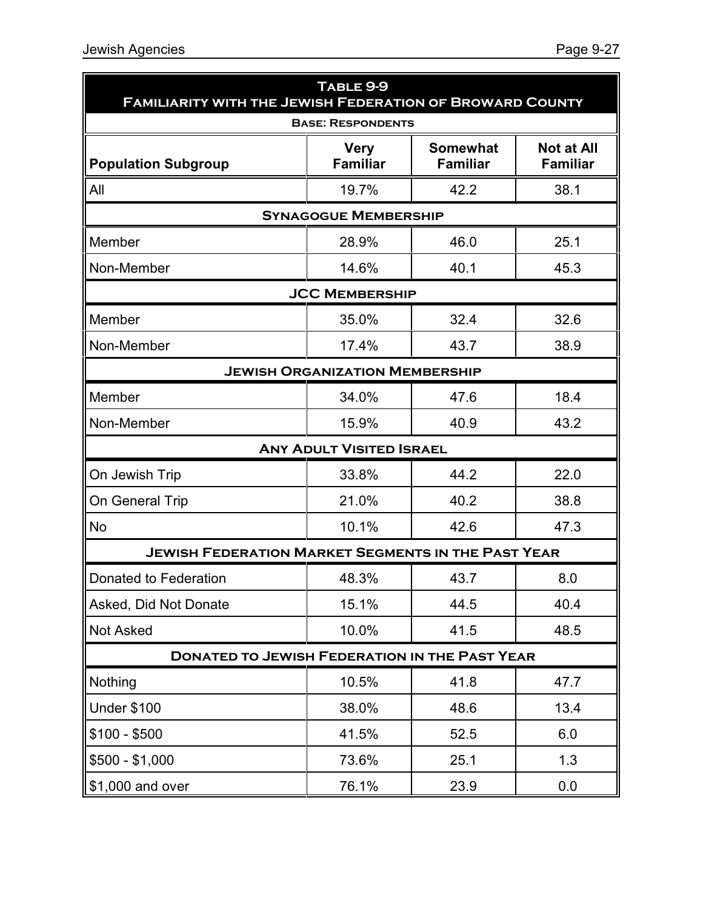| TABLE 9-9<br><b>FAMILIARITY WITH THE JEWISH FEDERATION OF BROWARD COUNTY</b> |                                 |                                    |                                      |  |  |  |
|------------------------------------------------------------------------------|---------------------------------|------------------------------------|--------------------------------------|--|--|--|
|                                                                              | <b>BASE: RESPONDENTS</b>        |                                    |                                      |  |  |  |
| <b>Population Subgroup</b>                                                   | <b>Very</b><br><b>Familiar</b>  | <b>Somewhat</b><br><b>Familiar</b> | <b>Not at All</b><br><b>Familiar</b> |  |  |  |
| All                                                                          | 19.7%                           | 42.2                               | 38.1                                 |  |  |  |
| <b>SYNAGOGUE MEMBERSHIP</b>                                                  |                                 |                                    |                                      |  |  |  |
| Member                                                                       | 28.9%                           | 46.0                               | 25.1                                 |  |  |  |
| Non-Member                                                                   | 14.6%                           | 40.1                               | 45.3                                 |  |  |  |
|                                                                              | <b>JCC MEMBERSHIP</b>           |                                    |                                      |  |  |  |
| Member                                                                       | 35.0%                           | 32.4                               | 32.6                                 |  |  |  |
| Non-Member                                                                   | 17.4%                           | 43.7                               | 38.9                                 |  |  |  |
| <b>JEWISH ORGANIZATION MEMBERSHIP</b>                                        |                                 |                                    |                                      |  |  |  |
| Member                                                                       | 34.0%                           | 47.6                               | 18.4                                 |  |  |  |
| Non-Member                                                                   | 15.9%                           | 40.9                               | 43.2                                 |  |  |  |
|                                                                              | <b>ANY ADULT VISITED ISRAEL</b> |                                    |                                      |  |  |  |
| On Jewish Trip                                                               | 33.8%                           | 44.2                               | 22.0                                 |  |  |  |
| On General Trip                                                              | 21.0%                           | 40.2                               | 38.8                                 |  |  |  |
| <b>No</b>                                                                    | 10.1%                           | 42.6                               | 47.3                                 |  |  |  |
| <b>JEWISH FEDERATION MARKET SEGMENTS IN THE PAST YEAR</b>                    |                                 |                                    |                                      |  |  |  |
| Donated to Federation                                                        | 48.3%                           | 43.7                               | 8.0                                  |  |  |  |
| Asked, Did Not Donate                                                        | 15.1%                           | 44.5                               | 40.4                                 |  |  |  |
| <b>Not Asked</b>                                                             | 10.0%                           | 41.5                               | 48.5                                 |  |  |  |
| <b>DONATED TO JEWISH FEDERATION IN THE PAST YEAR</b>                         |                                 |                                    |                                      |  |  |  |
| Nothing                                                                      | 10.5%                           | 41.8                               | 47.7                                 |  |  |  |
| <b>Under \$100</b>                                                           | 38.0%                           | 48.6                               | 13.4                                 |  |  |  |
| $$100 - $500$                                                                | 41.5%                           | 52.5                               | 6.0                                  |  |  |  |
| $$500 - $1,000$                                                              | 73.6%                           | 25.1                               | 1.3                                  |  |  |  |
| \$1,000 and over                                                             | 76.1%                           | 23.9                               | 0.0                                  |  |  |  |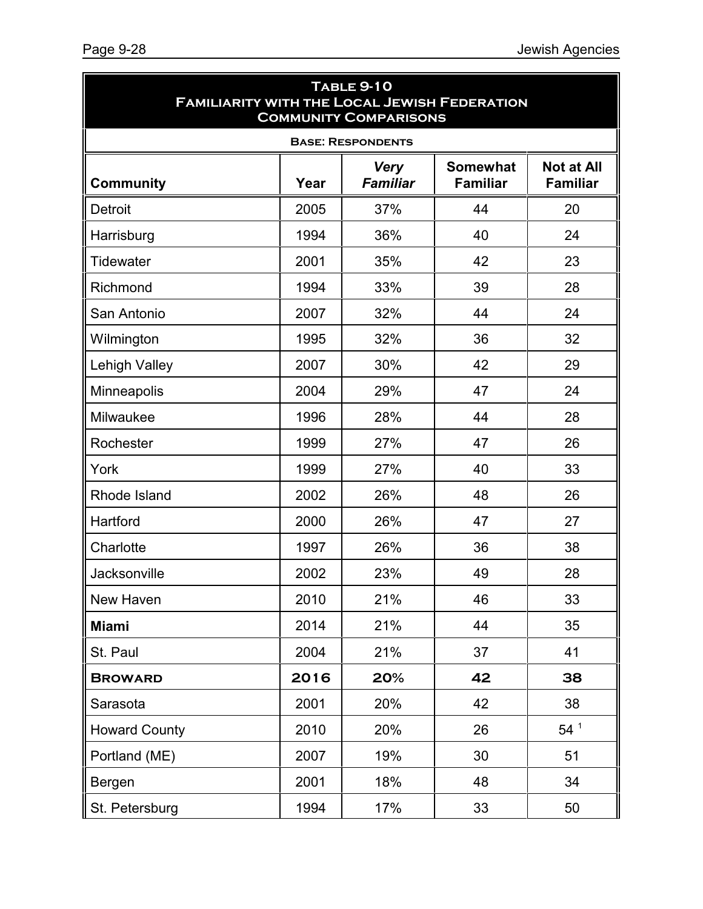| <b>TABLE 9-10</b><br><b>FAMILIARITY WITH THE LOCAL JEWISH FEDERATION</b><br><b>COMMUNITY COMPARISONS</b> |      |                                |                                    |                                      |
|----------------------------------------------------------------------------------------------------------|------|--------------------------------|------------------------------------|--------------------------------------|
|                                                                                                          |      | <b>BASE: RESPONDENTS</b>       |                                    |                                      |
| <b>Community</b>                                                                                         | Year | <b>Very</b><br><b>Familiar</b> | <b>Somewhat</b><br><b>Familiar</b> | <b>Not at All</b><br><b>Familiar</b> |
| <b>Detroit</b>                                                                                           | 2005 | 37%                            | 44                                 | 20                                   |
| Harrisburg                                                                                               | 1994 | 36%                            | 40                                 | 24                                   |
| Tidewater                                                                                                | 2001 | 35%                            | 42                                 | 23                                   |
| Richmond                                                                                                 | 1994 | 33%                            | 39                                 | 28                                   |
| San Antonio                                                                                              | 2007 | 32%                            | 44                                 | 24                                   |
| Wilmington                                                                                               | 1995 | 32%                            | 36                                 | 32                                   |
| <b>Lehigh Valley</b>                                                                                     | 2007 | 30%                            | 42                                 | 29                                   |
| Minneapolis                                                                                              | 2004 | 29%                            | 47                                 | 24                                   |
| Milwaukee                                                                                                | 1996 | 28%                            | 44                                 | 28                                   |
| Rochester                                                                                                | 1999 | 27%                            | 47                                 | 26                                   |
| York                                                                                                     | 1999 | 27%                            | 40                                 | 33                                   |
| Rhode Island                                                                                             | 2002 | 26%                            | 48                                 | 26                                   |
| Hartford                                                                                                 | 2000 | 26%                            | 47                                 | 27                                   |
| Charlotte                                                                                                | 1997 | 26%                            | 36                                 | 38                                   |
| Jacksonville                                                                                             | 2002 | 23%                            | 49                                 | 28                                   |
| New Haven                                                                                                | 2010 | 21%                            | 46                                 | 33                                   |
| <b>Miami</b>                                                                                             | 2014 | 21%                            | 44                                 | 35                                   |
| St. Paul                                                                                                 | 2004 | 21%                            | 37                                 | 41                                   |
| <b>BROWARD</b>                                                                                           | 2016 | 20%                            | 42                                 | 38                                   |
| Sarasota                                                                                                 | 2001 | 20%                            | 42                                 | 38                                   |
| <b>Howard County</b>                                                                                     | 2010 | 20%                            | 26                                 | $54^1$                               |
| Portland (ME)                                                                                            | 2007 | 19%                            | 30                                 | 51                                   |
| Bergen                                                                                                   | 2001 | 18%                            | 48                                 | 34                                   |
| St. Petersburg                                                                                           | 1994 | 17%                            | 33                                 | 50                                   |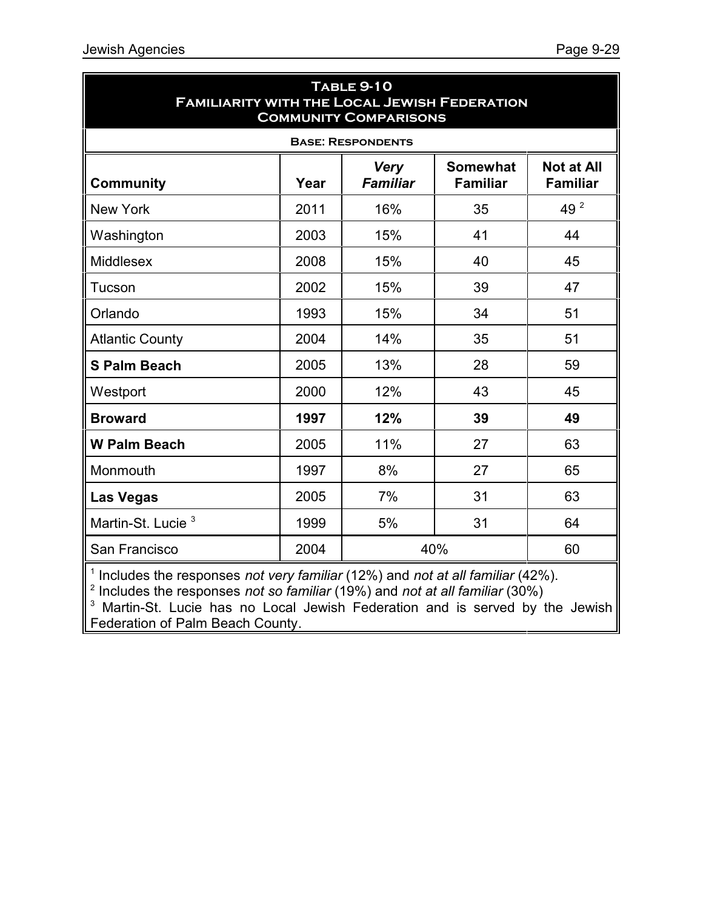| <b>TABLE 9-10</b><br><b>FAMILIARITY WITH THE LOCAL JEWISH FEDERATION</b><br><b>COMMUNITY COMPARISONS</b> |      |                                 |                                    |                                      |  |
|----------------------------------------------------------------------------------------------------------|------|---------------------------------|------------------------------------|--------------------------------------|--|
|                                                                                                          |      | <b>BASE: RESPONDENTS</b>        |                                    |                                      |  |
| <b>Community</b>                                                                                         | Year | <b>Very</b><br><b>Familiar</b>  | <b>Somewhat</b><br><b>Familiar</b> | <b>Not at All</b><br><b>Familiar</b> |  |
| <b>New York</b>                                                                                          | 2011 | 16%                             | 35                                 | 49 2                                 |  |
| Washington                                                                                               | 2003 | 15%                             | 41                                 | 44                                   |  |
| Middlesex                                                                                                | 2008 | 15%                             | 40                                 | 45                                   |  |
| Tucson                                                                                                   | 2002 | 15%                             | 39                                 | 47                                   |  |
| Orlando                                                                                                  | 1993 | 15%                             | 34                                 | 51                                   |  |
| <b>Atlantic County</b>                                                                                   | 2004 | 14%                             | 35                                 | 51                                   |  |
| <b>S Palm Beach</b>                                                                                      | 2005 | 13%                             | 28                                 | 59                                   |  |
| Westport                                                                                                 | 2000 | 12%                             | 43                                 | 45                                   |  |
| <b>Broward</b>                                                                                           | 1997 | 12%                             | 39                                 | 49                                   |  |
| <b>W Palm Beach</b>                                                                                      | 2005 | 11%                             | 27                                 | 63                                   |  |
| Monmouth                                                                                                 | 1997 | 8%                              | 27                                 | 65                                   |  |
| <b>Las Vegas</b>                                                                                         | 2005 | 7%                              | 31                                 | 63                                   |  |
| Martin-St. Lucie <sup>3</sup>                                                                            | 1999 | 5%                              | 31                                 | 64                                   |  |
| San Francisco                                                                                            | 2004 |                                 | 40%                                | 60                                   |  |
| $\mathbf{1}$ and $\mathbf{1}$ and $\mathbf{1}$ and $\mathbf{1}$ and $\mathbf{1}$                         |      | $\epsilon$ $\mu$ $\mu$ $\sigma$ |                                    | $\sqrt{100}$                         |  |

1 Includes the responses *not very familiar* (12%) and *not at all familiar* (42%). 2 Includes the responses *not so familiar* (19%) and *not at all familiar* (30%)

 $3$  Martin-St. Lucie has no Local Jewish Federation and is served by the Jewish Federation of Palm Beach County.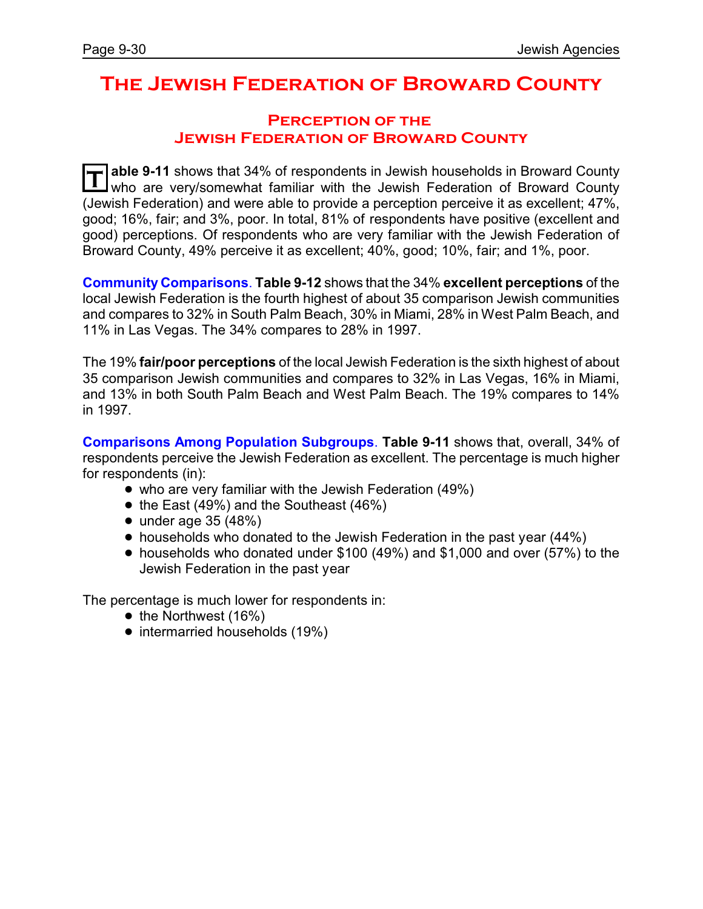### **The Jewish Federation of Broward County**

#### **Perception of the Jewish Federation of Broward County**

**T able 9-11** shows that 34% of respondents in Jewish households in Broward County who are very/somewhat familiar with the Jewish Federation of Broward County (Jewish Federation) and were able to provide a perception perceive it as excellent; 47%, good; 16%, fair; and 3%, poor. In total, 81% of respondents have positive (excellent and good) perceptions. Of respondents who are very familiar with the Jewish Federation of Broward County, 49% perceive it as excellent; 40%, good; 10%, fair; and 1%, poor.

**Community Comparisons**. **Table 9-12** shows that the 34% **excellent perceptions** of the local Jewish Federation is the fourth highest of about 35 comparison Jewish communities and compares to 32% in South Palm Beach, 30% in Miami, 28% in West Palm Beach, and 11% in Las Vegas. The 34% compares to 28% in 1997.

The 19% **fair/poor perceptions** of the local Jewish Federation is the sixth highest of about 35 comparison Jewish communities and compares to 32% in Las Vegas, 16% in Miami, and 13% in both South Palm Beach and West Palm Beach. The 19% compares to 14% in 1997.

**Comparisons Among Population Subgroups**. **Table 9-11** shows that, overall, 34% of respondents perceive the Jewish Federation as excellent. The percentage is much higher for respondents (in):

- who are very familiar with the Jewish Federation (49%)
- $\bullet$  the East (49%) and the Southeast (46%)
- $\bullet$  under age 35 (48%)
- households who donated to the Jewish Federation in the past year (44%)
- ! households who donated under \$100 (49%) and \$1,000 and over (57%) to the Jewish Federation in the past year

The percentage is much lower for respondents in:

- $\bullet$  the Northwest (16%)
- intermarried households (19%)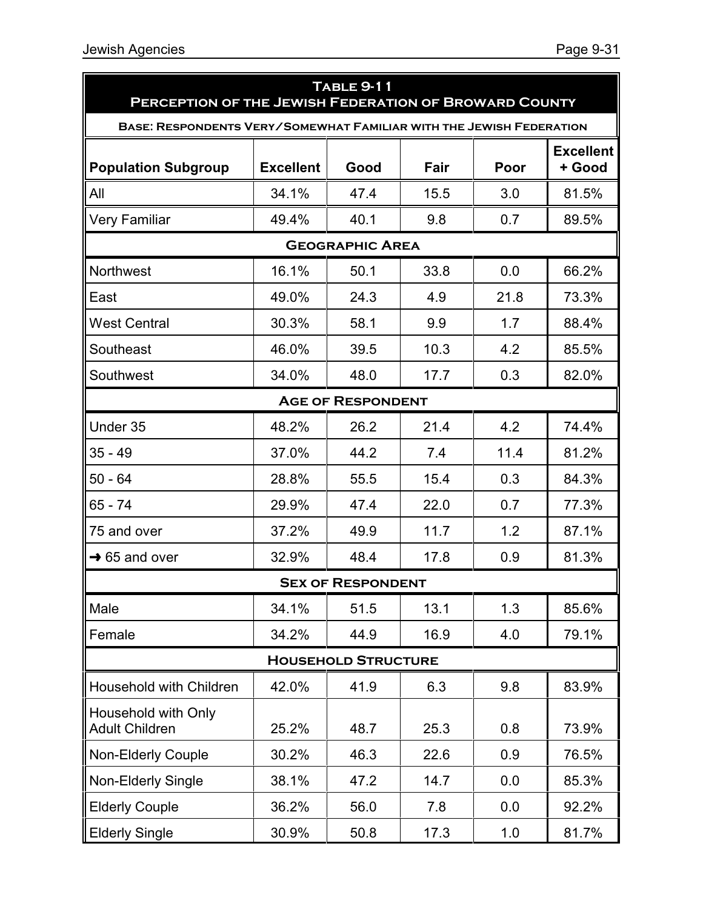| <b>TABLE 9-11</b><br>PERCEPTION OF THE JEWISH FEDERATION OF BROWARD COUNTY |                  |                        |      |      |                            |  |  |  |
|----------------------------------------------------------------------------|------------------|------------------------|------|------|----------------------------|--|--|--|
| BASE: RESPONDENTS VERY/SOMEWHAT FAMILIAR WITH THE JEWISH FEDERATION        |                  |                        |      |      |                            |  |  |  |
| <b>Population Subgroup</b>                                                 | <b>Excellent</b> | Good                   | Fair | Poor | <b>Excellent</b><br>+ Good |  |  |  |
| All                                                                        | 34.1%            | 47.4                   | 15.5 | 3.0  | 81.5%                      |  |  |  |
| <b>Very Familiar</b>                                                       | 49.4%            | 40.1                   | 9.8  | 0.7  | 89.5%                      |  |  |  |
|                                                                            |                  | <b>GEOGRAPHIC AREA</b> |      |      |                            |  |  |  |
| Northwest                                                                  | 16.1%            | 50.1                   | 33.8 | 0.0  | 66.2%                      |  |  |  |
| East                                                                       | 49.0%            | 24.3                   | 4.9  | 21.8 | 73.3%                      |  |  |  |
| <b>West Central</b>                                                        | 30.3%            | 58.1                   | 9.9  | 1.7  | 88.4%                      |  |  |  |
| Southeast                                                                  | 46.0%            | 39.5                   | 10.3 | 4.2  | 85.5%                      |  |  |  |
| Southwest                                                                  | 34.0%            | 48.0                   | 17.7 | 0.3  | 82.0%                      |  |  |  |
| <b>AGE OF RESPONDENT</b>                                                   |                  |                        |      |      |                            |  |  |  |
| Under 35                                                                   | 48.2%            | 26.2                   | 21.4 | 4.2  | 74.4%                      |  |  |  |
| $35 - 49$                                                                  | 37.0%            | 44.2                   | 7.4  | 11.4 | 81.2%                      |  |  |  |
| $50 - 64$                                                                  | 28.8%            | 55.5                   | 15.4 | 0.3  | 84.3%                      |  |  |  |
| 65 - 74                                                                    | 29.9%            | 47.4                   | 22.0 | 0.7  | 77.3%                      |  |  |  |
| 75 and over                                                                | 37.2%            | 49.9                   | 11.7 | 1.2  | 87.1%                      |  |  |  |
| $\rightarrow$ 65 and over                                                  | 32.9%            | 48.4                   | 17.8 | 0.9  | 81.3%                      |  |  |  |
| <b>SEX OF RESPONDENT</b>                                                   |                  |                        |      |      |                            |  |  |  |
| Male                                                                       | 34.1%            | 51.5                   | 13.1 | 1.3  | 85.6%                      |  |  |  |
| Female                                                                     | 34.2%            | 44.9                   | 16.9 | 4.0  | 79.1%                      |  |  |  |
| <b>HOUSEHOLD STRUCTURE</b>                                                 |                  |                        |      |      |                            |  |  |  |
| Household with Children                                                    | 42.0%            | 41.9                   | 6.3  | 9.8  | 83.9%                      |  |  |  |
| Household with Only<br><b>Adult Children</b>                               | 25.2%            | 48.7                   | 25.3 | 0.8  | 73.9%                      |  |  |  |
| <b>Non-Elderly Couple</b>                                                  | 30.2%            | 46.3                   | 22.6 | 0.9  | 76.5%                      |  |  |  |
| Non-Elderly Single                                                         | 38.1%            | 47.2                   | 14.7 | 0.0  | 85.3%                      |  |  |  |
| <b>Elderly Couple</b>                                                      | 36.2%            | 56.0                   | 7.8  | 0.0  | 92.2%                      |  |  |  |
| <b>Elderly Single</b>                                                      | 30.9%            | 50.8                   | 17.3 | 1.0  | 81.7%                      |  |  |  |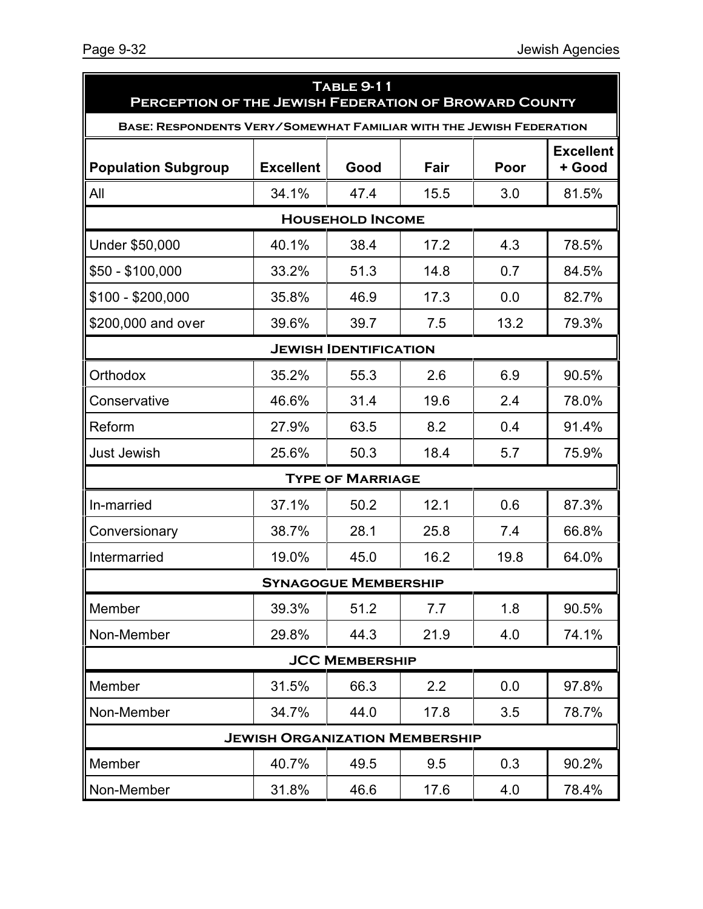| <b>TABLE 9-11</b><br>PERCEPTION OF THE JEWISH FEDERATION OF BROWARD COUNTY |                  |                              |      |      |                            |  |  |
|----------------------------------------------------------------------------|------------------|------------------------------|------|------|----------------------------|--|--|
| <b>BASE: RESPONDENTS VERY/SOMEWHAT FAMILIAR WITH THE JEWISH FEDERATION</b> |                  |                              |      |      |                            |  |  |
| <b>Population Subgroup</b>                                                 | <b>Excellent</b> | Good                         | Fair | Poor | <b>Excellent</b><br>+ Good |  |  |
| All                                                                        | 34.1%            | 47.4                         | 15.5 | 3.0  | 81.5%                      |  |  |
|                                                                            |                  | <b>HOUSEHOLD INCOME</b>      |      |      |                            |  |  |
| Under \$50,000                                                             | 40.1%            | 38.4                         | 17.2 | 4.3  | 78.5%                      |  |  |
| \$50 - \$100,000                                                           | 33.2%            | 51.3                         | 14.8 | 0.7  | 84.5%                      |  |  |
| \$100 - \$200,000                                                          | 35.8%            | 46.9                         | 17.3 | 0.0  | 82.7%                      |  |  |
| \$200,000 and over                                                         | 39.6%            | 39.7                         | 7.5  | 13.2 | 79.3%                      |  |  |
|                                                                            |                  | <b>JEWISH IDENTIFICATION</b> |      |      |                            |  |  |
| Orthodox                                                                   | 35.2%            | 55.3                         | 2.6  | 6.9  | 90.5%                      |  |  |
| Conservative                                                               | 46.6%            | 31.4                         | 19.6 | 2.4  | 78.0%                      |  |  |
| Reform                                                                     | 27.9%            | 63.5                         | 8.2  | 0.4  | 91.4%                      |  |  |
| <b>Just Jewish</b>                                                         | 25.6%            | 50.3                         | 18.4 | 5.7  | 75.9%                      |  |  |
|                                                                            |                  | <b>TYPE OF MARRIAGE</b>      |      |      |                            |  |  |
| In-married                                                                 | 37.1%            | 50.2                         | 12.1 | 0.6  | 87.3%                      |  |  |
| Conversionary                                                              | 38.7%            | 28.1                         | 25.8 | 7.4  | 66.8%                      |  |  |
| Intermarried                                                               | 19.0%            | 45.0                         | 16.2 | 19.8 | 64.0%                      |  |  |
| <b>SYNAGOGUE MEMBERSHIP</b>                                                |                  |                              |      |      |                            |  |  |
| Member                                                                     | 39.3%            | 51.2                         | 7.7  | 1.8  | 90.5%                      |  |  |
| Non-Member                                                                 | 29.8%            | 44.3                         | 21.9 | 4.0  | 74.1%                      |  |  |
| <b>JCC MEMBERSHIP</b>                                                      |                  |                              |      |      |                            |  |  |
| Member                                                                     | 31.5%            | 66.3                         | 2.2  | 0.0  | 97.8%                      |  |  |
| Non-Member                                                                 | 34.7%            | 44.0                         | 17.8 | 3.5  | 78.7%                      |  |  |
| <b>JEWISH ORGANIZATION MEMBERSHIP</b>                                      |                  |                              |      |      |                            |  |  |
| Member                                                                     | 40.7%            | 49.5                         | 9.5  | 0.3  | 90.2%                      |  |  |
| Non-Member                                                                 | 31.8%            | 46.6                         | 17.6 | 4.0  | 78.4%                      |  |  |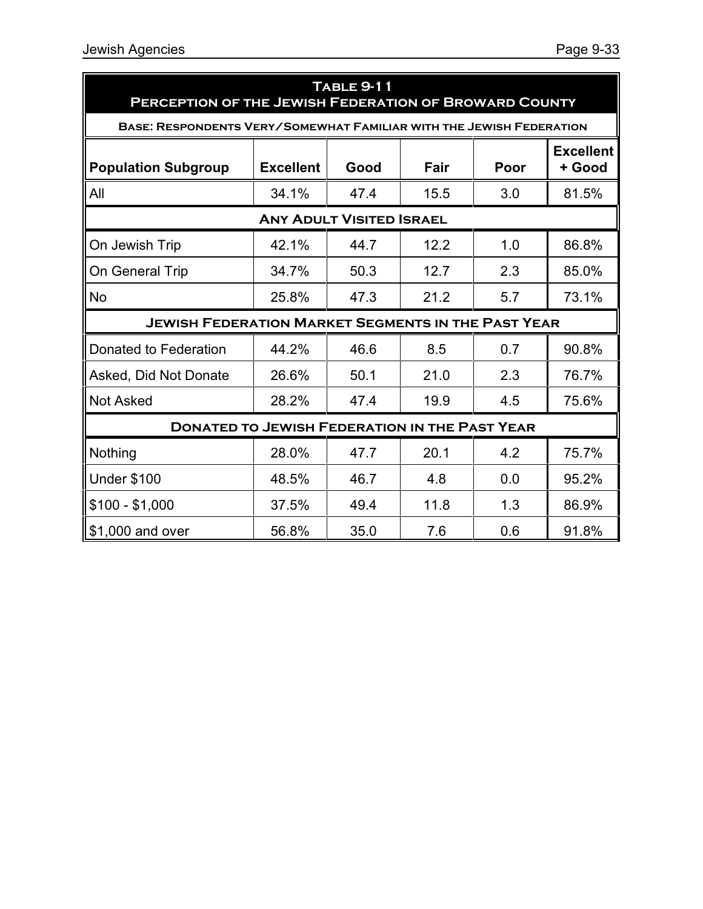| <b>TABLE 9-11</b><br>PERCEPTION OF THE JEWISH FEDERATION OF BROWARD COUNTY |                  |      |      |      |                            |  |  |  |
|----------------------------------------------------------------------------|------------------|------|------|------|----------------------------|--|--|--|
| <b>BASE: RESPONDENTS VERY/SOMEWHAT FAMILIAR WITH THE JEWISH FEDERATION</b> |                  |      |      |      |                            |  |  |  |
| <b>Population Subgroup</b>                                                 | <b>Excellent</b> | Good | Fair | Poor | <b>Excellent</b><br>+ Good |  |  |  |
| All                                                                        | 34.1%            | 47.4 | 15.5 | 3.0  | 81.5%                      |  |  |  |
| <b>ANY ADULT VISITED ISRAEL</b>                                            |                  |      |      |      |                            |  |  |  |
| On Jewish Trip                                                             | 42.1%            | 44.7 | 12.2 | 1.0  | 86.8%                      |  |  |  |
| On General Trip                                                            | 34.7%            | 50.3 | 12.7 | 2.3  | 85.0%                      |  |  |  |
| <b>No</b>                                                                  | 25.8%            | 47.3 | 21.2 | 5.7  | 73.1%                      |  |  |  |
| <b>JEWISH FEDERATION MARKET SEGMENTS IN THE PAST YEAR</b>                  |                  |      |      |      |                            |  |  |  |
| Donated to Federation                                                      | 44.2%            | 46.6 | 8.5  | 0.7  | 90.8%                      |  |  |  |
| Asked, Did Not Donate                                                      | 26.6%            | 50.1 | 21.0 | 2.3  | 76.7%                      |  |  |  |
| <b>Not Asked</b>                                                           | 28.2%            | 47.4 | 19.9 | 4.5  | 75.6%                      |  |  |  |
| <b>DONATED TO JEWISH FEDERATION IN THE PAST YEAR</b>                       |                  |      |      |      |                            |  |  |  |
| Nothing                                                                    | 28.0%            | 47.7 | 20.1 | 4.2  | 75.7%                      |  |  |  |
| <b>Under \$100</b>                                                         | 48.5%            | 46.7 | 4.8  | 0.0  | 95.2%                      |  |  |  |
| $$100 - $1,000$                                                            | 37.5%            | 49.4 | 11.8 | 1.3  | 86.9%                      |  |  |  |
| \$1,000 and over                                                           | 56.8%            | 35.0 | 7.6  | 0.6  | 91.8%                      |  |  |  |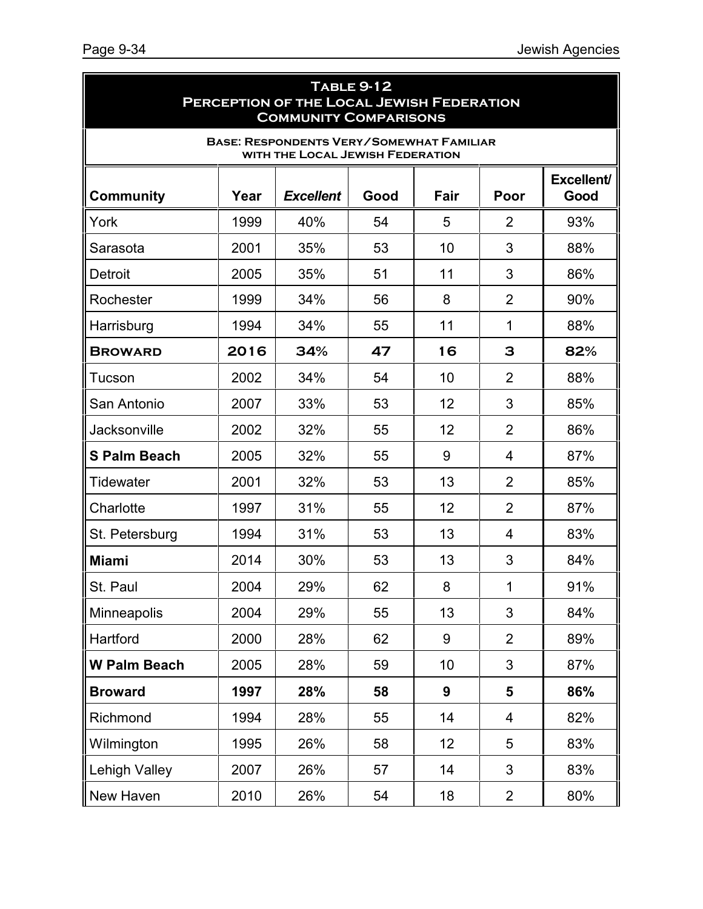| <b>TABLE 9-12</b><br>PERCEPTION OF THE LOCAL JEWISH FEDERATION<br><b>COMMUNITY COMPARISONS</b> |      |                  |      |      |                |                    |  |
|------------------------------------------------------------------------------------------------|------|------------------|------|------|----------------|--------------------|--|
| <b>BASE: RESPONDENTS VERY/SOMEWHAT FAMILIAR</b><br>WITH THE LOCAL JEWISH FEDERATION            |      |                  |      |      |                |                    |  |
| <b>Community</b>                                                                               | Year | <b>Excellent</b> | Good | Fair | Poor           | Excellent/<br>Good |  |
| York                                                                                           | 1999 | 40%              | 54   | 5    | $\overline{2}$ | 93%                |  |
| Sarasota                                                                                       | 2001 | 35%              | 53   | 10   | 3              | 88%                |  |
| Detroit                                                                                        | 2005 | 35%              | 51   | 11   | 3              | 86%                |  |
| Rochester                                                                                      | 1999 | 34%              | 56   | 8    | $\overline{2}$ | 90%                |  |
| Harrisburg                                                                                     | 1994 | 34%              | 55   | 11   | 1              | 88%                |  |
| <b>BROWARD</b>                                                                                 | 2016 | 34%              | 47   | 16   | 3              | 82%                |  |
| Tucson                                                                                         | 2002 | 34%              | 54   | 10   | $\overline{2}$ | 88%                |  |
| San Antonio                                                                                    | 2007 | 33%              | 53   | 12   | 3              | 85%                |  |
| Jacksonville                                                                                   | 2002 | 32%              | 55   | 12   | $\overline{2}$ | 86%                |  |
| <b>S Palm Beach</b>                                                                            | 2005 | 32%              | 55   | 9    | 4              | 87%                |  |
| <b>Tidewater</b>                                                                               | 2001 | 32%              | 53   | 13   | $\overline{2}$ | 85%                |  |
| Charlotte                                                                                      | 1997 | 31%              | 55   | 12   | $\overline{2}$ | 87%                |  |
| St. Petersburg                                                                                 | 1994 | 31%              | 53   | 13   | 4              | 83%                |  |
| <b>Miami</b>                                                                                   | 2014 | 30%              | 53   | 13   | 3              | 84%                |  |
| St. Paul                                                                                       | 2004 | 29%              | 62   | 8    | 1              | 91%                |  |
| Minneapolis                                                                                    | 2004 | 29%              | 55   | 13   | 3              | 84%                |  |
| Hartford                                                                                       | 2000 | 28%              | 62   | 9    | $\overline{2}$ | 89%                |  |
| <b>W Palm Beach</b>                                                                            | 2005 | 28%              | 59   | 10   | 3              | 87%                |  |
| <b>Broward</b>                                                                                 | 1997 | 28%              | 58   | 9    | 5              | 86%                |  |
| Richmond                                                                                       | 1994 | 28%              | 55   | 14   | 4              | 82%                |  |
| Wilmington                                                                                     | 1995 | 26%              | 58   | 12   | 5              | 83%                |  |
| <b>Lehigh Valley</b>                                                                           | 2007 | 26%              | 57   | 14   | 3              | 83%                |  |
| New Haven                                                                                      | 2010 | 26%              | 54   | 18   | $\overline{2}$ | 80%                |  |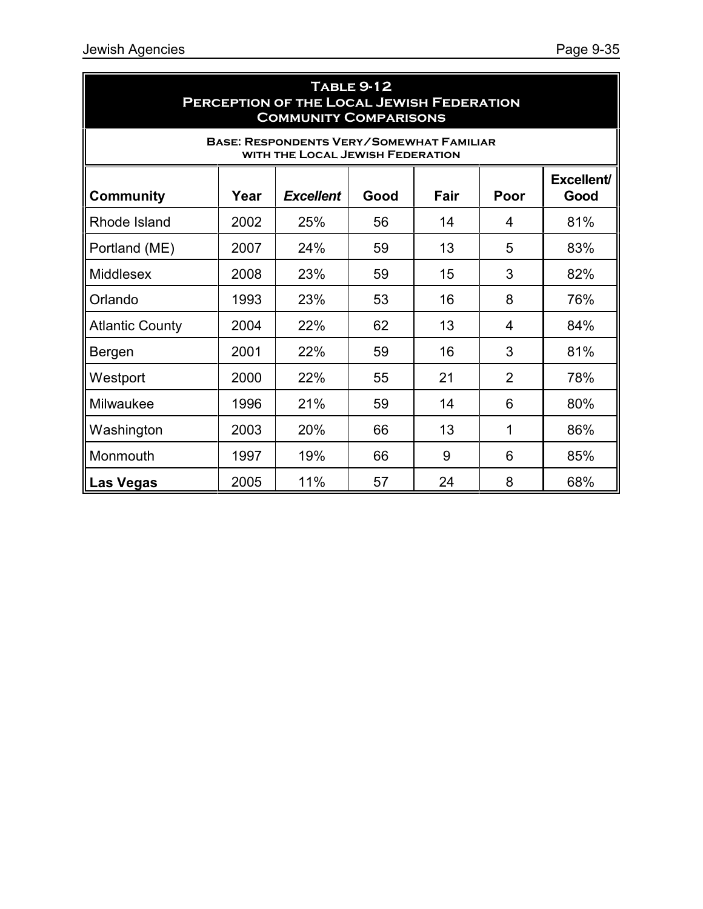| <b>TABLE 9-12</b><br>PERCEPTION OF THE LOCAL JEWISH FEDERATION<br><b>COMMUNITY COMPARISONS</b> |      |                  |      |      |                |                    |  |
|------------------------------------------------------------------------------------------------|------|------------------|------|------|----------------|--------------------|--|
| <b>BASE: RESPONDENTS VERY/SOMEWHAT FAMILIAR</b><br>WITH THE LOCAL JEWISH FEDERATION            |      |                  |      |      |                |                    |  |
| <b>Community</b>                                                                               | Year | <b>Excellent</b> | Good | Fair | Poor           | Excellent/<br>Good |  |
| Rhode Island                                                                                   | 2002 | 25%              | 56   | 14   | 4              | 81%                |  |
| Portland (ME)                                                                                  | 2007 | 24%              | 59   | 13   | 5              | 83%                |  |
| <b>Middlesex</b>                                                                               | 2008 | 23%              | 59   | 15   | 3              | 82%                |  |
| Orlando                                                                                        | 1993 | 23%              | 53   | 16   | 8              | 76%                |  |
| <b>Atlantic County</b>                                                                         | 2004 | 22%              | 62   | 13   | 4              | 84%                |  |
| Bergen                                                                                         | 2001 | 22%              | 59   | 16   | 3              | 81%                |  |
| Westport                                                                                       | 2000 | 22%              | 55   | 21   | $\overline{2}$ | 78%                |  |
| Milwaukee                                                                                      | 1996 | 21%              | 59   | 14   | 6              | 80%                |  |
| Washington                                                                                     | 2003 | 20%              | 66   | 13   | 1              | 86%                |  |
| Monmouth                                                                                       | 1997 | 19%              | 66   | 9    | 6              | 85%                |  |
| Las Vegas                                                                                      | 2005 | 11%              | 57   | 24   | 8              | 68%                |  |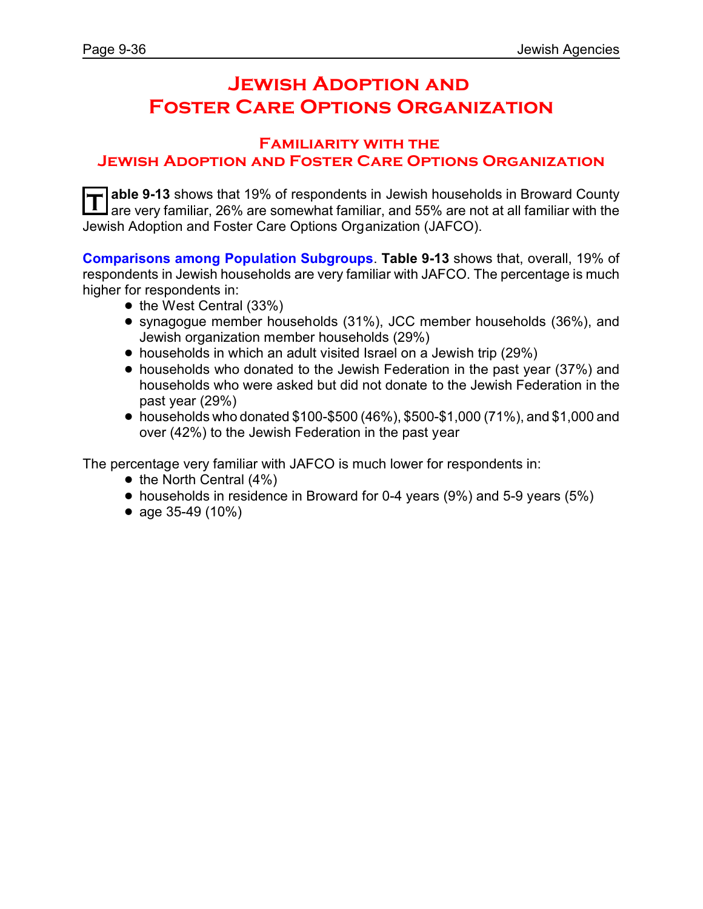# **Jewish Adoption and Foster Care Options Organization**

#### **Familiarity with the Jewish Adoption and Foster Care Options Organization**

**T able 9-13** shows that 19% of respondents in Jewish households in Broward County are very familiar, 26% are somewhat familiar, and 55% are not at all familiar with the Jewish Adoption and Foster Care Options Organization (JAFCO).

**Comparisons among Population Subgroups**. **Table 9-13** shows that, overall, 19% of respondents in Jewish households are very familiar with JAFCO. The percentage is much higher for respondents in:

- $\bullet$  the West Central (33%)
- ! synagogue member households (31%), JCC member households (36%), and Jewish organization member households (29%)
- ! households in which an adult visited Israel on a Jewish trip (29%)
- households who donated to the Jewish Federation in the past year (37%) and households who were asked but did not donate to the Jewish Federation in the past year (29%)
- $\bullet$  households who donated \$100-\$500 (46%), \$500-\$1,000 (71%), and \$1,000 and over (42%) to the Jewish Federation in the past year

The percentage very familiar with JAFCO is much lower for respondents in:

- $\bullet$  the North Central (4%)
- households in residence in Broward for 0-4 years (9%) and 5-9 years (5%)
- age  $35-49$  (10%)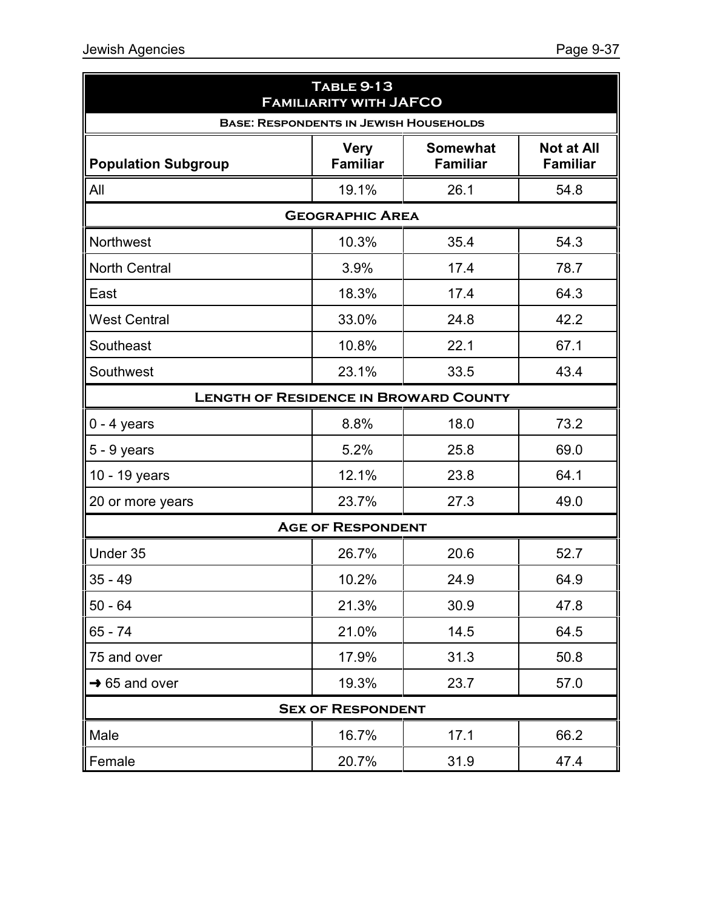| <b>TABLE 9-13</b><br><b>FAMILIARITY WITH JAFCO</b> |                                |                                    |                                      |  |  |
|----------------------------------------------------|--------------------------------|------------------------------------|--------------------------------------|--|--|
| <b>BASE: RESPONDENTS IN JEWISH HOUSEHOLDS</b>      |                                |                                    |                                      |  |  |
| <b>Population Subgroup</b>                         | <b>Very</b><br><b>Familiar</b> | <b>Somewhat</b><br><b>Familiar</b> | <b>Not at All</b><br><b>Familiar</b> |  |  |
| All                                                | 19.1%                          | 26.1                               | 54.8                                 |  |  |
|                                                    | <b>GEOGRAPHIC AREA</b>         |                                    |                                      |  |  |
| <b>Northwest</b>                                   | 10.3%                          | 35.4                               | 54.3                                 |  |  |
| <b>North Central</b>                               | 3.9%                           | 17.4                               | 78.7                                 |  |  |
| East                                               | 18.3%                          | 17.4                               | 64.3                                 |  |  |
| <b>West Central</b>                                | 33.0%                          | 24.8                               | 42.2                                 |  |  |
| Southeast                                          | 10.8%                          | 22.1                               | 67.1                                 |  |  |
| Southwest                                          | 23.1%                          | 33.5                               | 43.4                                 |  |  |
| <b>LENGTH OF RESIDENCE IN BROWARD COUNTY</b>       |                                |                                    |                                      |  |  |
| $0 - 4$ years                                      | 8.8%                           | 18.0                               | 73.2                                 |  |  |
| $5 - 9$ years                                      | 5.2%                           | 25.8                               | 69.0                                 |  |  |
| 10 - 19 years                                      | 12.1%                          | 23.8                               | 64.1                                 |  |  |
| 20 or more years                                   | 23.7%                          | 27.3                               | 49.0                                 |  |  |
|                                                    | <b>AGE OF RESPONDENT</b>       |                                    |                                      |  |  |
| Under 35                                           | 26.7%                          | 20.6                               | 52.7                                 |  |  |
| $35 - 49$                                          | 10.2%                          | 24.9                               | 64.9                                 |  |  |
| $50 - 64$                                          | 21.3%                          | 30.9                               | 47.8                                 |  |  |
| $65 - 74$                                          | 21.0%                          | 14.5                               | 64.5                                 |  |  |
| 75 and over                                        | 17.9%                          | 31.3                               | 50.8                                 |  |  |
| $\rightarrow$ 65 and over                          | 19.3%                          | 23.7                               | 57.0                                 |  |  |
|                                                    | <b>SEX OF RESPONDENT</b>       |                                    |                                      |  |  |
| Male                                               | 16.7%                          | 17.1                               | 66.2                                 |  |  |
| Female                                             | 20.7%                          | 31.9                               | 47.4                                 |  |  |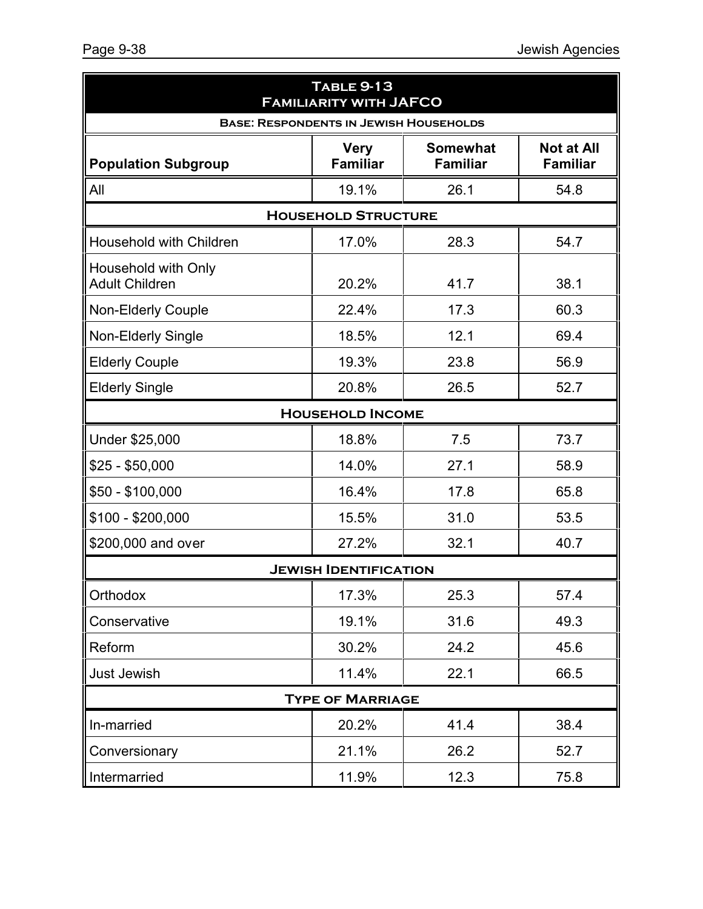| <b>TABLE 9-13</b><br><b>FAMILIARITY WITH JAFCO</b> |                                |                                    |                                      |  |  |
|----------------------------------------------------|--------------------------------|------------------------------------|--------------------------------------|--|--|
| <b>BASE: RESPONDENTS IN JEWISH HOUSEHOLDS</b>      |                                |                                    |                                      |  |  |
| <b>Population Subgroup</b>                         | <b>Very</b><br><b>Familiar</b> | <b>Somewhat</b><br><b>Familiar</b> | <b>Not at All</b><br><b>Familiar</b> |  |  |
| All                                                | 19.1%                          | 26.1                               | 54.8                                 |  |  |
|                                                    | <b>HOUSEHOLD STRUCTURE</b>     |                                    |                                      |  |  |
| Household with Children                            | 17.0%                          | 28.3                               | 54.7                                 |  |  |
| Household with Only<br><b>Adult Children</b>       | 20.2%                          | 41.7                               | 38.1                                 |  |  |
| <b>Non-Elderly Couple</b>                          | 22.4%                          | 17.3                               | 60.3                                 |  |  |
| Non-Elderly Single                                 | 18.5%                          | 12.1                               | 69.4                                 |  |  |
| <b>Elderly Couple</b>                              | 19.3%                          | 23.8                               | 56.9                                 |  |  |
| <b>Elderly Single</b>                              | 20.8%                          | 26.5                               | 52.7                                 |  |  |
|                                                    | <b>HOUSEHOLD INCOME</b>        |                                    |                                      |  |  |
| Under \$25,000                                     | 18.8%                          | 7.5                                | 73.7                                 |  |  |
| \$25 - \$50,000                                    | 14.0%                          | 27.1                               | 58.9                                 |  |  |
| \$50 - \$100,000                                   | 16.4%                          | 17.8                               | 65.8                                 |  |  |
| \$100 - \$200,000                                  | 15.5%                          | 31.0                               | 53.5                                 |  |  |
| \$200,000 and over                                 | 27.2%                          | 32.1                               | 40.7                                 |  |  |
|                                                    | <b>JEWISH IDENTIFICATION</b>   |                                    |                                      |  |  |
| Orthodox                                           | 17.3%                          | 25.3                               | 57.4                                 |  |  |
| Conservative                                       | 19.1%                          | 31.6                               | 49.3                                 |  |  |
| Reform                                             | 30.2%                          | 24.2                               | 45.6                                 |  |  |
| <b>Just Jewish</b>                                 | 11.4%                          | 22.1                               | 66.5                                 |  |  |
|                                                    | <b>TYPE OF MARRIAGE</b>        |                                    |                                      |  |  |
| In-married                                         | 20.2%                          | 41.4                               | 38.4                                 |  |  |
| Conversionary                                      | 21.1%                          | 26.2                               | 52.7                                 |  |  |
| Intermarried                                       | 11.9%                          | 12.3                               | 75.8                                 |  |  |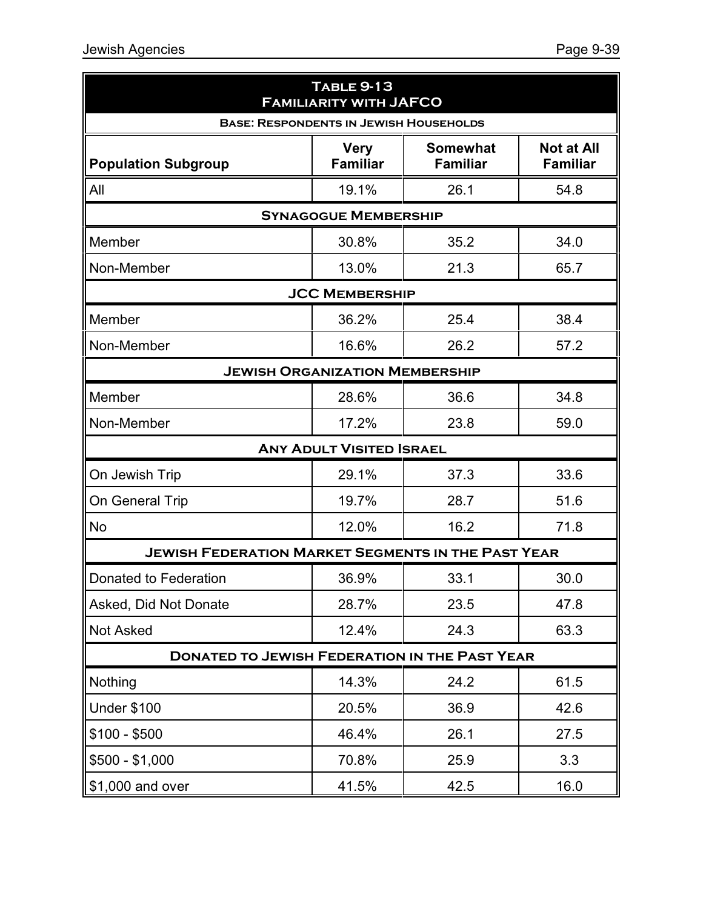| <b>TABLE 9-13</b><br><b>FAMILIARITY WITH JAFCO</b>        |                                 |                                    |                                      |  |  |  |
|-----------------------------------------------------------|---------------------------------|------------------------------------|--------------------------------------|--|--|--|
| <b>BASE: RESPONDENTS IN JEWISH HOUSEHOLDS</b>             |                                 |                                    |                                      |  |  |  |
| <b>Population Subgroup</b>                                | <b>Very</b><br><b>Familiar</b>  | <b>Somewhat</b><br><b>Familiar</b> | <b>Not at All</b><br><b>Familiar</b> |  |  |  |
| All                                                       | 19.1%                           | 26.1                               | 54.8                                 |  |  |  |
| <b>SYNAGOGUE MEMBERSHIP</b>                               |                                 |                                    |                                      |  |  |  |
| Member                                                    | 30.8%                           | 35.2                               | 34.0                                 |  |  |  |
| Non-Member                                                | 13.0%                           | 21.3                               | 65.7                                 |  |  |  |
|                                                           | <b>JCC MEMBERSHIP</b>           |                                    |                                      |  |  |  |
| Member                                                    | 36.2%                           | 25.4                               | 38.4                                 |  |  |  |
| Non-Member                                                | 16.6%                           | 26.2                               | 57.2                                 |  |  |  |
| <b>JEWISH ORGANIZATION MEMBERSHIP</b>                     |                                 |                                    |                                      |  |  |  |
| Member                                                    | 28.6%                           | 36.6                               | 34.8                                 |  |  |  |
| Non-Member                                                | 17.2%                           | 23.8                               | 59.0                                 |  |  |  |
|                                                           | <b>ANY ADULT VISITED ISRAEL</b> |                                    |                                      |  |  |  |
| On Jewish Trip                                            | 29.1%                           | 37.3                               | 33.6                                 |  |  |  |
| On General Trip                                           | 19.7%                           | 28.7                               | 51.6                                 |  |  |  |
| <b>No</b>                                                 | 12.0%                           | 16.2                               | 71.8                                 |  |  |  |
| <b>JEWISH FEDERATION MARKET SEGMENTS IN THE PAST YEAR</b> |                                 |                                    |                                      |  |  |  |
| Donated to Federation                                     | 36.9%                           | 33.1                               | 30.0                                 |  |  |  |
| Asked, Did Not Donate                                     | 28.7%                           | 23.5                               | 47.8                                 |  |  |  |
| <b>Not Asked</b>                                          | 12.4%                           | 24.3                               | 63.3                                 |  |  |  |
| <b>DONATED TO JEWISH FEDERATION IN THE PAST YEAR</b>      |                                 |                                    |                                      |  |  |  |
| Nothing                                                   | 14.3%                           | 24.2                               | 61.5                                 |  |  |  |
| <b>Under \$100</b>                                        | 20.5%                           | 36.9                               | 42.6                                 |  |  |  |
| $$100 - $500$                                             | 46.4%                           | 26.1                               | 27.5                                 |  |  |  |
| $$500 - $1,000$                                           | 70.8%                           | 25.9                               | 3.3                                  |  |  |  |
| \$1,000 and over                                          | 41.5%                           | 42.5                               | 16.0                                 |  |  |  |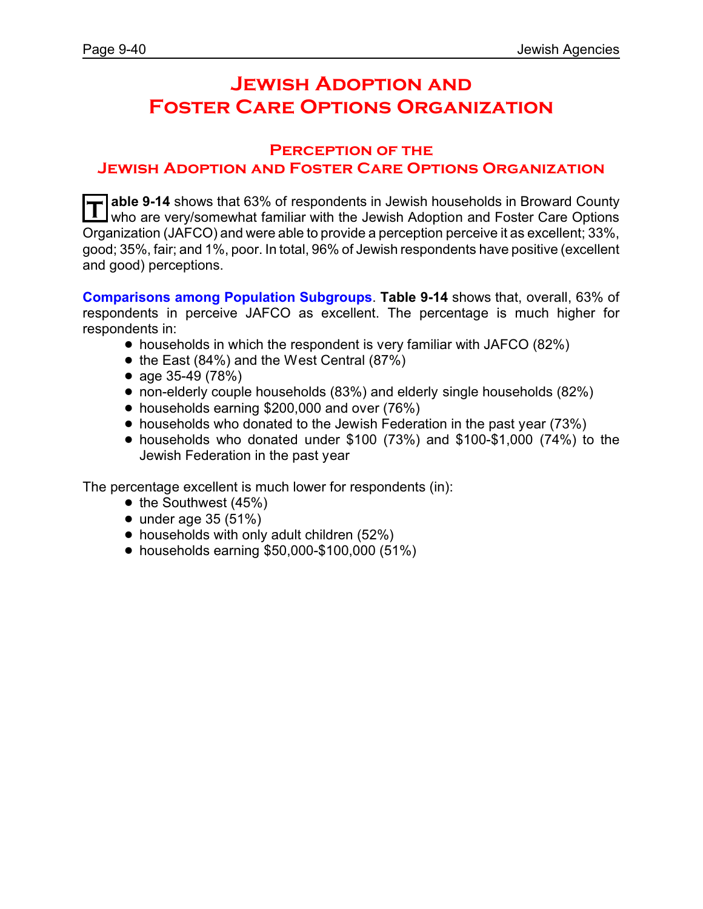# **Jewish Adoption and Foster Care Options Organization**

#### **Perception of the Jewish Adoption and Foster Care Options Organization**

**T** able 9-14 shows that 63% of respondents in Jewish households in Broward County<br>Who are very/somewhat familiar with the Jewish Adoption and Eoster Care Options who are very/somewhat familiar with the Jewish Adoption and Foster Care Options Organization (JAFCO) and were able to provide a perception perceive it as excellent; 33%, good; 35%, fair; and 1%, poor. In total, 96% of Jewish respondents have positive (excellent and good) perceptions.

**Comparisons among Population Subgroups**. **Table 9-14** shows that, overall, 63% of respondents in perceive JAFCO as excellent. The percentage is much higher for respondents in:

- households in which the respondent is very familiar with JAFCO (82%)
- $\bullet$  the East (84%) and the West Central (87%)
- age  $35-49(78%)$
- ! non-elderly couple households (83%) and elderly single households (82%)
- households earning \$200,000 and over (76%)
- households who donated to the Jewish Federation in the past year (73%)
- $\bullet$  households who donated under \$100 (73%) and \$100-\$1,000 (74%) to the Jewish Federation in the past year

The percentage excellent is much lower for respondents (in):

- $\bullet$  the Southwest (45%)
- $\bullet$  under age 35 (51%)
- $\bullet$  households with only adult children (52%)
- ! households earning \$50,000-\$100,000 (51%)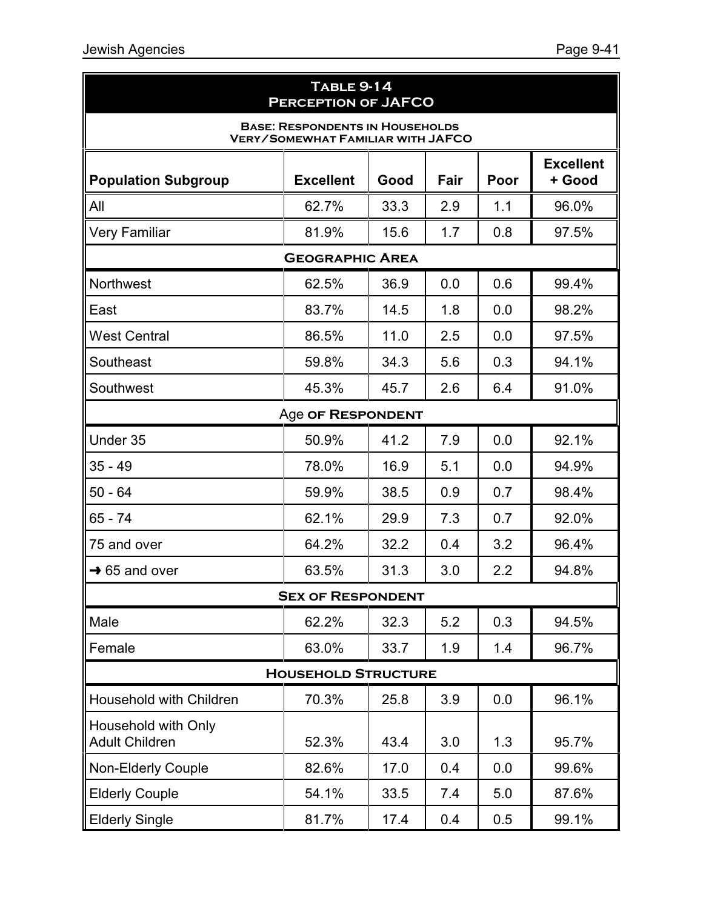| <b>TABLE 9-14</b><br><b>PERCEPTION OF JAFCO</b>          |                                                                                    |      |      |       |                            |  |  |  |
|----------------------------------------------------------|------------------------------------------------------------------------------------|------|------|-------|----------------------------|--|--|--|
|                                                          | <b>BASE: RESPONDENTS IN HOUSEHOLDS</b><br><b>VERY/SOMEWHAT FAMILIAR WITH JAFCO</b> |      |      |       |                            |  |  |  |
| <b>Population Subgroup</b>                               | <b>Excellent</b>                                                                   | Good | Fair | Poor  | <b>Excellent</b><br>+ Good |  |  |  |
| All                                                      | 62.7%                                                                              | 33.3 | 2.9  | 1.1   | 96.0%                      |  |  |  |
| <b>Very Familiar</b>                                     | 81.9%                                                                              | 15.6 | 1.7  | 0.8   | 97.5%                      |  |  |  |
|                                                          | <b>GEOGRAPHIC AREA</b>                                                             |      |      |       |                            |  |  |  |
| 0.6<br><b>Northwest</b><br>62.5%<br>36.9<br>0.0<br>99.4% |                                                                                    |      |      |       |                            |  |  |  |
| East                                                     | 83.7%                                                                              | 14.5 | 1.8  | 0.0   | 98.2%                      |  |  |  |
| <b>West Central</b>                                      | 86.5%                                                                              | 11.0 | 2.5  | 0.0   | 97.5%                      |  |  |  |
| Southeast                                                | 59.8%                                                                              | 34.3 | 5.6  | 0.3   | 94.1%                      |  |  |  |
| Southwest                                                | 45.7                                                                               | 2.6  | 6.4  | 91.0% |                            |  |  |  |
| Age OF RESPONDENT                                        |                                                                                    |      |      |       |                            |  |  |  |
| Under 35                                                 | 50.9%                                                                              | 41.2 | 7.9  | 0.0   | 92.1%                      |  |  |  |
| $35 - 49$                                                | 78.0%                                                                              | 16.9 | 5.1  | 0.0   | 94.9%                      |  |  |  |
| $50 - 64$                                                | 59.9%                                                                              | 38.5 | 0.9  | 0.7   | 98.4%                      |  |  |  |
| 65 - 74                                                  | 62.1%                                                                              | 29.9 | 7.3  | 0.7   | 92.0%                      |  |  |  |
| 75 and over                                              | 64.2%                                                                              | 32.2 | 0.4  | 3.2   | 96.4%                      |  |  |  |
| $\rightarrow$ 65 and over                                | 63.5%                                                                              | 31.3 | 3.0  | 2.2   | 94.8%                      |  |  |  |
|                                                          | <b>SEX OF RESPONDENT</b>                                                           |      |      |       |                            |  |  |  |
| Male                                                     | 62.2%                                                                              | 32.3 | 5.2  | 0.3   | 94.5%                      |  |  |  |
| Female                                                   | 63.0%                                                                              | 33.7 | 1.9  | 1.4   | 96.7%                      |  |  |  |
|                                                          | <b>HOUSEHOLD STRUCTURE</b>                                                         |      |      |       |                            |  |  |  |
| Household with Children                                  | 70.3%                                                                              | 25.8 | 3.9  | 0.0   | 96.1%                      |  |  |  |
| Household with Only<br><b>Adult Children</b>             | 52.3%                                                                              | 43.4 | 3.0  | 1.3   | 95.7%                      |  |  |  |
| <b>Non-Elderly Couple</b>                                | 82.6%                                                                              | 17.0 | 0.4  | 0.0   | 99.6%                      |  |  |  |
| <b>Elderly Couple</b>                                    | 54.1%                                                                              | 33.5 | 7.4  | 5.0   | 87.6%                      |  |  |  |
| <b>Elderly Single</b>                                    | 81.7%                                                                              | 17.4 | 0.4  | 0.5   | 99.1%                      |  |  |  |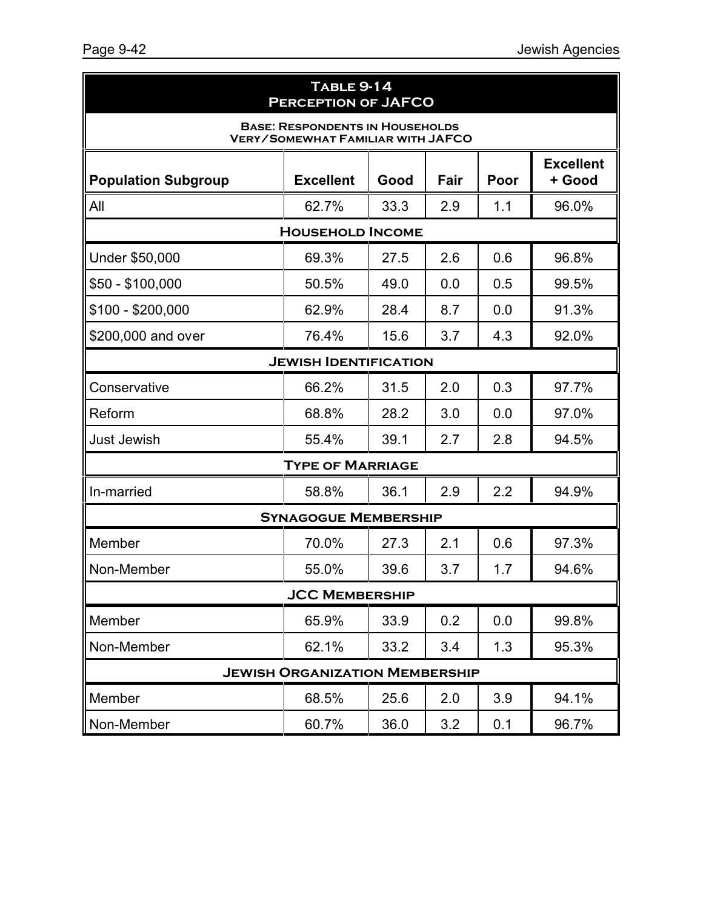| <b>TABLE 9-14</b><br><b>PERCEPTION OF JAFCO</b>                                    |                                       |      |      |      |                            |  |
|------------------------------------------------------------------------------------|---------------------------------------|------|------|------|----------------------------|--|
| <b>BASE: RESPONDENTS IN HOUSEHOLDS</b><br><b>VERY/SOMEWHAT FAMILIAR WITH JAFCO</b> |                                       |      |      |      |                            |  |
| <b>Population Subgroup</b>                                                         | <b>Excellent</b>                      | Good | Fair | Poor | <b>Excellent</b><br>+ Good |  |
| All                                                                                | 62.7%                                 | 33.3 | 2.9  | 1.1  | 96.0%                      |  |
|                                                                                    | <b>HOUSEHOLD INCOME</b>               |      |      |      |                            |  |
| Under \$50,000                                                                     | 69.3%                                 | 27.5 | 2.6  | 0.6  | 96.8%                      |  |
| $$50 - $100,000$                                                                   | 50.5%                                 | 49.0 | 0.0  | 0.5  | 99.5%                      |  |
| $$100 - $200,000$                                                                  | 62.9%                                 | 28.4 | 8.7  | 0.0  | 91.3%                      |  |
| \$200,000 and over                                                                 | 76.4%                                 | 15.6 | 3.7  | 4.3  | 92.0%                      |  |
| <b>JEWISH IDENTIFICATION</b>                                                       |                                       |      |      |      |                            |  |
| Conservative                                                                       | 66.2%                                 | 31.5 | 2.0  | 0.3  | 97.7%                      |  |
| Reform                                                                             | 68.8%                                 | 28.2 | 3.0  | 0.0  | 97.0%                      |  |
| <b>Just Jewish</b>                                                                 | 55.4%                                 | 39.1 | 2.7  | 2.8  | 94.5%                      |  |
|                                                                                    | <b>TYPE OF MARRIAGE</b>               |      |      |      |                            |  |
| In-married                                                                         | 58.8%                                 | 36.1 | 2.9  | 2.2  | 94.9%                      |  |
|                                                                                    | <b>SYNAGOGUE MEMBERSHIP</b>           |      |      |      |                            |  |
| Member                                                                             | 70.0%                                 | 27.3 | 2.1  | 0.6  | 97.3%                      |  |
| Non-Member                                                                         | 55.0%                                 | 39.6 | 3.7  | 1.7  | 94.6%                      |  |
|                                                                                    | <b>JCC MEMBERSHIP</b>                 |      |      |      |                            |  |
| Member                                                                             | 65.9%                                 | 33.9 | 0.2  | 0.0  | 99.8%                      |  |
| Non-Member                                                                         | 62.1%                                 | 33.2 | 3.4  | 1.3  | 95.3%                      |  |
|                                                                                    | <b>JEWISH ORGANIZATION MEMBERSHIP</b> |      |      |      |                            |  |
| Member                                                                             | 68.5%                                 | 25.6 | 2.0  | 3.9  | 94.1%                      |  |
| Non-Member                                                                         | 60.7%                                 | 36.0 | 3.2  | 0.1  | 96.7%                      |  |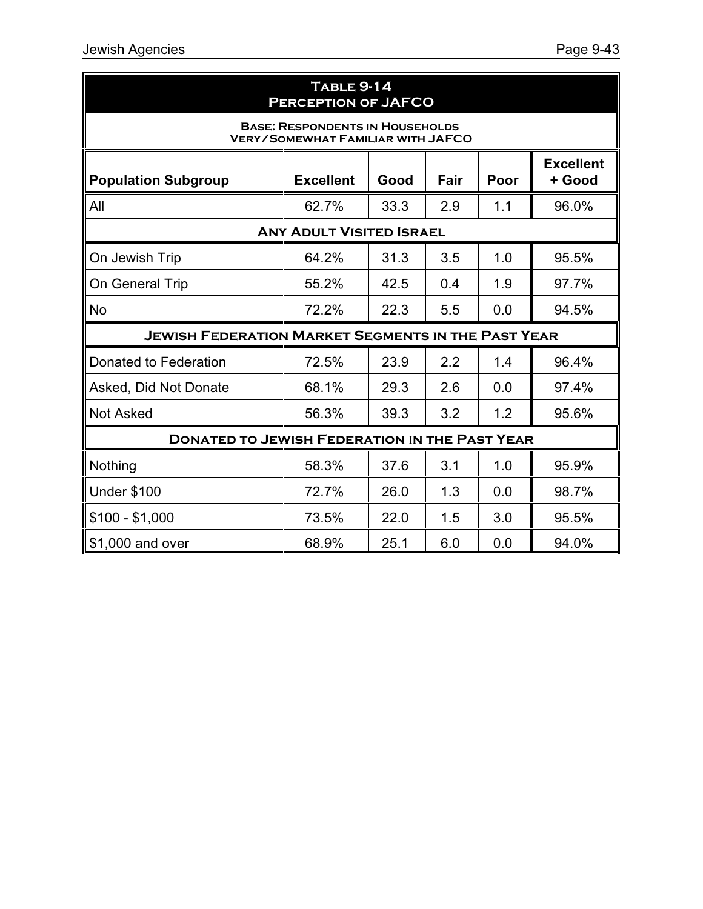| <b>TABLE 9-14</b><br><b>PERCEPTION OF JAFCO</b>                                                      |                                      |      |     |     |       |  |  |  |
|------------------------------------------------------------------------------------------------------|--------------------------------------|------|-----|-----|-------|--|--|--|
| <b>BASE: RESPONDENTS IN HOUSEHOLDS</b><br><b>VERY/SOMEWHAT FAMILIAR WITH JAFCO</b>                   |                                      |      |     |     |       |  |  |  |
| <b>Excellent</b><br><b>Population Subgroup</b><br><b>Excellent</b><br>Good<br>Fair<br>Poor<br>+ Good |                                      |      |     |     |       |  |  |  |
| All                                                                                                  | 62.7%                                | 33.3 | 2.9 | 1.1 | 96.0% |  |  |  |
| <b>ANY ADULT VISITED ISRAEL</b>                                                                      |                                      |      |     |     |       |  |  |  |
| On Jewish Trip                                                                                       | 64.2%                                | 31.3 | 3.5 | 1.0 | 95.5% |  |  |  |
| On General Trip                                                                                      | 55.2%                                | 42.5 | 0.4 | 1.9 | 97.7% |  |  |  |
| <b>No</b>                                                                                            | 72.2%<br>22.3<br>5.5<br>94.5%<br>0.0 |      |     |     |       |  |  |  |
| <b>JEWISH FEDERATION MARKET SEGMENTS IN THE PAST YEAR</b>                                            |                                      |      |     |     |       |  |  |  |
| Donated to Federation                                                                                | 72.5%                                | 23.9 | 2.2 | 1.4 | 96.4% |  |  |  |
| Asked, Did Not Donate                                                                                | 68.1%                                | 29.3 | 2.6 | 0.0 | 97.4% |  |  |  |
| <b>Not Asked</b>                                                                                     | 56.3%                                | 39.3 | 3.2 | 1.2 | 95.6% |  |  |  |
| <b>DONATED TO JEWISH FEDERATION IN THE PAST YEAR</b>                                                 |                                      |      |     |     |       |  |  |  |
| Nothing                                                                                              | 58.3%                                | 37.6 | 3.1 | 1.0 | 95.9% |  |  |  |
| <b>Under \$100</b>                                                                                   | 72.7%                                | 26.0 | 1.3 | 0.0 | 98.7% |  |  |  |
| $$100 - $1,000$                                                                                      | 73.5%                                | 22.0 | 1.5 | 3.0 | 95.5% |  |  |  |
| \$1,000 and over                                                                                     | 68.9%                                | 25.1 | 6.0 | 0.0 | 94.0% |  |  |  |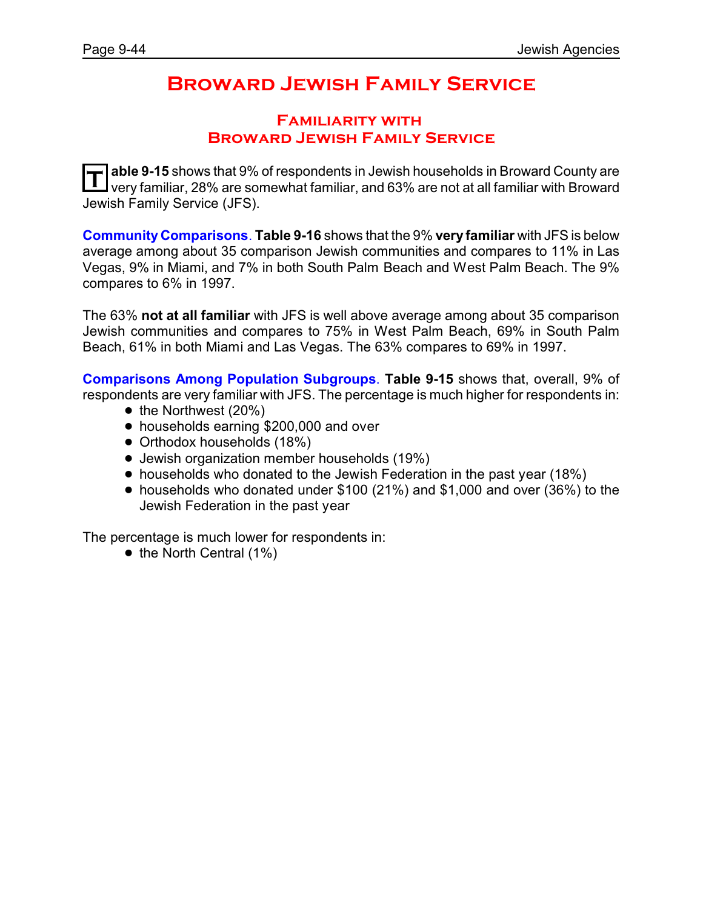## **Broward Jewish Family Service**

### **Familiarity with Broward Jewish Family Service**

**T able 9-15** shows that 9% of respondents in Jewish households in Broward County are very familiar, 28% are somewhat familiar, and 63% are not at all familiar with Broward Jewish Family Service (JFS).

**Community Comparisons**. **Table 9-16** shows that the 9% **very familiar** with JFS is below average among about 35 comparison Jewish communities and compares to 11% in Las Vegas, 9% in Miami, and 7% in both South Palm Beach and West Palm Beach. The 9% compares to 6% in 1997.

The 63% **not at all familiar** with JFS is well above average among about 35 comparison Jewish communities and compares to 75% in West Palm Beach, 69% in South Palm Beach, 61% in both Miami and Las Vegas. The 63% compares to 69% in 1997.

**Comparisons Among Population Subgroups**. **Table 9-15** shows that, overall, 9% of

respondents are very familiar with JFS. The percentage is much higher for respondents in:

- $\bullet$  the Northwest (20%)
- households earning \$200,000 and over
- Orthodox households (18%)
- ! Jewish organization member households (19%)
- households who donated to the Jewish Federation in the past year (18%)
- ! households who donated under \$100 (21%) and \$1,000 and over (36%) to the Jewish Federation in the past year

The percentage is much lower for respondents in:

 $\bullet$  the North Central (1%)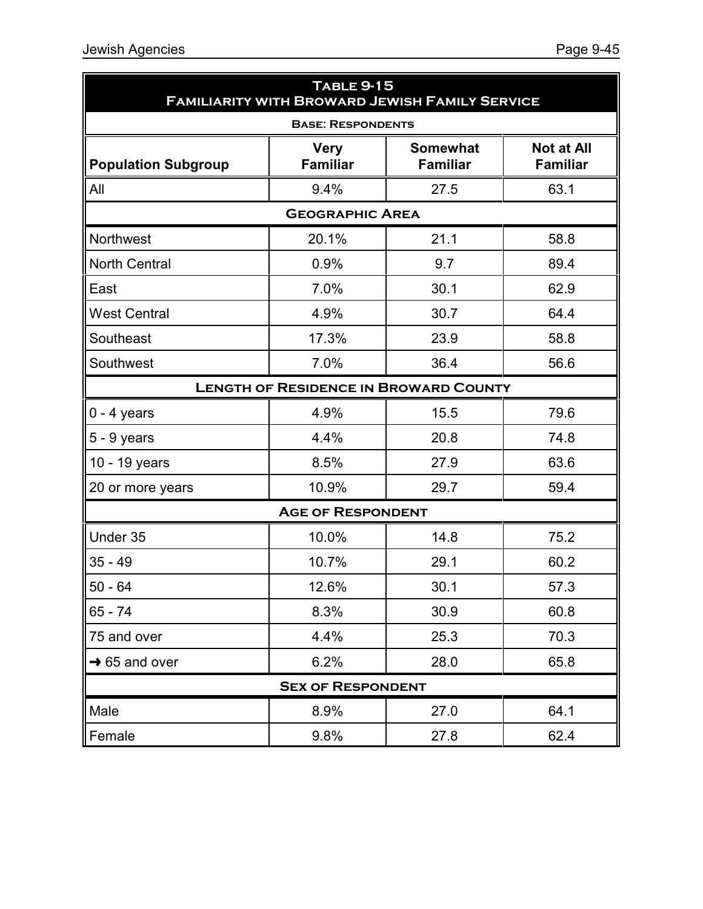|                            | <b>TABLE 9-15</b><br><b>FAMILIARITY WITH BROWARD JEWISH FAMILY SERVICE</b> |                                              |                                      |  |  |  |
|----------------------------|----------------------------------------------------------------------------|----------------------------------------------|--------------------------------------|--|--|--|
|                            | <b>BASE: RESPONDENTS</b>                                                   |                                              |                                      |  |  |  |
| <b>Population Subgroup</b> | <b>Very</b><br><b>Familiar</b>                                             | <b>Somewhat</b><br><b>Familiar</b>           | <b>Not at All</b><br><b>Familiar</b> |  |  |  |
| All                        | 9.4%                                                                       | 27.5                                         | 63.1                                 |  |  |  |
| <b>GEOGRAPHIC AREA</b>     |                                                                            |                                              |                                      |  |  |  |
| Northwest                  | 20.1%                                                                      | 21.1                                         | 58.8                                 |  |  |  |
| <b>North Central</b>       | 0.9%                                                                       | 9.7                                          | 89.4                                 |  |  |  |
| East                       | 7.0%                                                                       | 30.1                                         | 62.9                                 |  |  |  |
| <b>West Central</b>        | 4.9%                                                                       | 30.7                                         | 64.4                                 |  |  |  |
| Southeast                  | 17.3%                                                                      | 23.9                                         | 58.8                                 |  |  |  |
| Southwest                  | 7.0%                                                                       | 36.4                                         | 56.6                                 |  |  |  |
|                            |                                                                            | <b>LENGTH OF RESIDENCE IN BROWARD COUNTY</b> |                                      |  |  |  |
| $0 - 4$ years              | 4.9%                                                                       | 15.5                                         | 79.6                                 |  |  |  |
| $5 - 9$ years              | 4.4%                                                                       | 20.8                                         | 74.8                                 |  |  |  |
| 10 - 19 years              | 8.5%                                                                       | 27.9                                         | 63.6                                 |  |  |  |
| 20 or more years           | 10.9%                                                                      | 29.7                                         | 59.4                                 |  |  |  |
|                            | <b>AGE OF RESPONDENT</b>                                                   |                                              |                                      |  |  |  |
| Under 35                   | 10.0%                                                                      | 14.8                                         | 75.2                                 |  |  |  |
| $35 - 49$                  | 10.7%                                                                      | 29.1                                         | 60.2                                 |  |  |  |
| $50 - 64$                  | 12.6%                                                                      | 30.1                                         | 57.3                                 |  |  |  |
| $65 - 74$                  | 8.3%                                                                       | 30.9                                         | 60.8                                 |  |  |  |
| 75 and over                | 4.4%                                                                       | 25.3                                         | 70.3                                 |  |  |  |
| $\rightarrow$ 65 and over  | 6.2%                                                                       | 28.0                                         | 65.8                                 |  |  |  |
|                            | <b>SEX OF RESPONDENT</b>                                                   |                                              |                                      |  |  |  |
| Male                       | 8.9%                                                                       | 27.0                                         | 64.1                                 |  |  |  |
| Female                     | 9.8%                                                                       | 27.8                                         | 62.4                                 |  |  |  |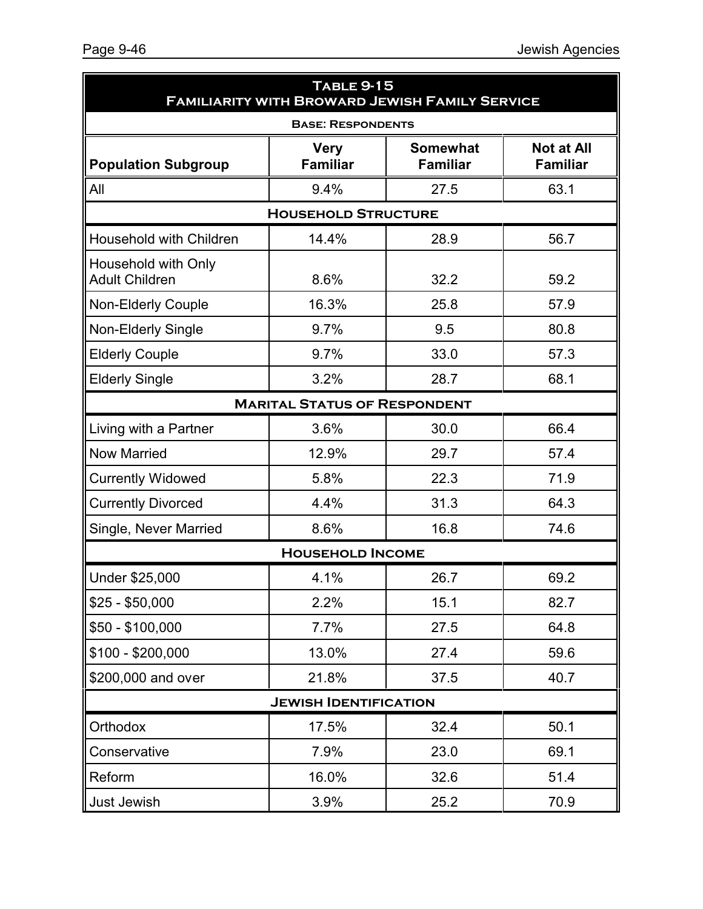| <b>TABLE 9-15</b><br><b>FAMILIARITY WITH BROWARD JEWISH FAMILY SERVICE</b> |                                     |                                    |                                      |  |  |  |
|----------------------------------------------------------------------------|-------------------------------------|------------------------------------|--------------------------------------|--|--|--|
|                                                                            | <b>BASE: RESPONDENTS</b>            |                                    |                                      |  |  |  |
| <b>Population Subgroup</b>                                                 | <b>Very</b><br><b>Familiar</b>      | <b>Somewhat</b><br><b>Familiar</b> | <b>Not at All</b><br><b>Familiar</b> |  |  |  |
| All                                                                        | 9.4%                                | 27.5                               | 63.1                                 |  |  |  |
| <b>HOUSEHOLD STRUCTURE</b>                                                 |                                     |                                    |                                      |  |  |  |
| Household with Children                                                    | 14.4%                               | 28.9                               | 56.7                                 |  |  |  |
| Household with Only<br><b>Adult Children</b>                               | 8.6%                                | 32.2                               | 59.2                                 |  |  |  |
| <b>Non-Elderly Couple</b>                                                  | 16.3%                               | 25.8                               | 57.9                                 |  |  |  |
| Non-Elderly Single                                                         | 9.7%                                | 9.5                                | 80.8                                 |  |  |  |
| <b>Elderly Couple</b>                                                      | 9.7%                                | 33.0                               | 57.3                                 |  |  |  |
| <b>Elderly Single</b>                                                      | 3.2%                                | 28.7                               | 68.1                                 |  |  |  |
|                                                                            | <b>MARITAL STATUS OF RESPONDENT</b> |                                    |                                      |  |  |  |
| Living with a Partner                                                      | 3.6%                                | 30.0                               | 66.4                                 |  |  |  |
| <b>Now Married</b>                                                         | 12.9%                               | 29.7                               | 57.4                                 |  |  |  |
| <b>Currently Widowed</b>                                                   | 5.8%                                | 22.3                               | 71.9                                 |  |  |  |
| <b>Currently Divorced</b>                                                  | 4.4%                                | 31.3                               | 64.3                                 |  |  |  |
| Single, Never Married                                                      | 8.6%                                | 16.8                               | 74.6                                 |  |  |  |
|                                                                            | <b>HOUSEHOLD INCOME</b>             |                                    |                                      |  |  |  |
| Under \$25,000                                                             | 4.1%                                | 26.7                               | 69.2                                 |  |  |  |
| $$25 - $50,000$                                                            | 2.2%                                | 15.1                               | 82.7                                 |  |  |  |
| $$50 - $100,000$                                                           | 7.7%                                | 27.5                               | 64.8                                 |  |  |  |
| $$100 - $200,000$                                                          | 13.0%                               | 27.4                               | 59.6                                 |  |  |  |
| \$200,000 and over                                                         | 21.8%                               | 37.5                               | 40.7                                 |  |  |  |
|                                                                            | <b>JEWISH IDENTIFICATION</b>        |                                    |                                      |  |  |  |
| Orthodox                                                                   | 17.5%                               | 32.4                               | 50.1                                 |  |  |  |
| Conservative                                                               | 7.9%                                | 23.0                               | 69.1                                 |  |  |  |
| Reform                                                                     | 16.0%                               | 32.6                               | 51.4                                 |  |  |  |
| Just Jewish                                                                | 3.9%                                | 25.2                               | 70.9                                 |  |  |  |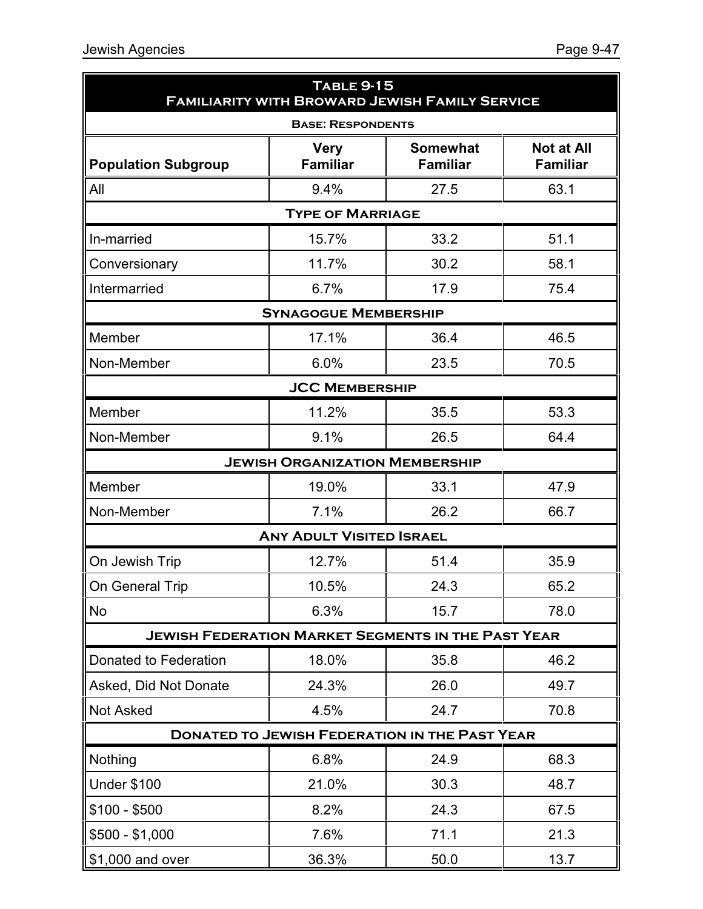| <b>TABLE 9-15</b><br><b>FAMILIARITY WITH BROWARD JEWISH FAMILY SERVICE</b> |                                       |                                                      |                                      |  |  |  |  |
|----------------------------------------------------------------------------|---------------------------------------|------------------------------------------------------|--------------------------------------|--|--|--|--|
| <b>BASE: RESPONDENTS</b>                                                   |                                       |                                                      |                                      |  |  |  |  |
| <b>Population Subgroup</b>                                                 | <b>Very</b><br><b>Familiar</b>        | <b>Somewhat</b><br><b>Familiar</b>                   | <b>Not at All</b><br><b>Familiar</b> |  |  |  |  |
| All                                                                        | 9.4%                                  | 27.5                                                 | 63.1                                 |  |  |  |  |
|                                                                            | <b>TYPE OF MARRIAGE</b>               |                                                      |                                      |  |  |  |  |
| In-married                                                                 | 15.7%                                 | 33.2                                                 | 51.1                                 |  |  |  |  |
| Conversionary                                                              | 11.7%                                 | 30.2                                                 | 58.1                                 |  |  |  |  |
| Intermarried                                                               | 6.7%                                  | 17.9                                                 | 75.4                                 |  |  |  |  |
|                                                                            | <b>SYNAGOGUE MEMBERSHIP</b>           |                                                      |                                      |  |  |  |  |
| Member                                                                     | 17.1%                                 | 36.4                                                 | 46.5                                 |  |  |  |  |
| Non-Member                                                                 | 6.0%                                  | 23.5                                                 | 70.5                                 |  |  |  |  |
|                                                                            | <b>JCC MEMBERSHIP</b>                 |                                                      |                                      |  |  |  |  |
| Member                                                                     | 11.2%                                 | 35.5                                                 | 53.3                                 |  |  |  |  |
| Non-Member                                                                 | 9.1%                                  | 26.5                                                 | 64.4                                 |  |  |  |  |
|                                                                            | <b>JEWISH ORGANIZATION MEMBERSHIP</b> |                                                      |                                      |  |  |  |  |
| Member                                                                     | 19.0%                                 | 33.1                                                 | 47.9                                 |  |  |  |  |
| Non-Member                                                                 | 7.1%                                  | 26.2                                                 | 66.7                                 |  |  |  |  |
|                                                                            | <b>ANY ADULT VISITED ISRAEL</b>       |                                                      |                                      |  |  |  |  |
| On Jewish Trip                                                             | 12.7%                                 | 51.4                                                 | 35.9                                 |  |  |  |  |
| On General Trip                                                            | 10.5%                                 | 24.3                                                 | 65.2                                 |  |  |  |  |
| No                                                                         | 6.3%                                  | 15.7                                                 | 78.0                                 |  |  |  |  |
| <b>JEWISH FEDERATION MARKET SEGMENTS IN THE PAST YEAR</b>                  |                                       |                                                      |                                      |  |  |  |  |
| Donated to Federation                                                      | 18.0%                                 | 35.8                                                 | 46.2                                 |  |  |  |  |
| Asked, Did Not Donate                                                      | 24.3%                                 | 26.0                                                 | 49.7                                 |  |  |  |  |
| <b>Not Asked</b>                                                           | 4.5%                                  | 24.7                                                 | 70.8                                 |  |  |  |  |
|                                                                            |                                       | <b>DONATED TO JEWISH FEDERATION IN THE PAST YEAR</b> |                                      |  |  |  |  |
| Nothing                                                                    | 6.8%                                  | 24.9                                                 | 68.3                                 |  |  |  |  |
| <b>Under \$100</b>                                                         | 21.0%                                 | 30.3                                                 | 48.7                                 |  |  |  |  |
| $$100 - $500$                                                              | 8.2%                                  | 24.3                                                 | 67.5                                 |  |  |  |  |
| $$500 - $1,000$                                                            | 7.6%                                  | 71.1                                                 | 21.3                                 |  |  |  |  |
| $\vert$ \$1,000 and over                                                   | 36.3%                                 | 50.0                                                 | 13.7                                 |  |  |  |  |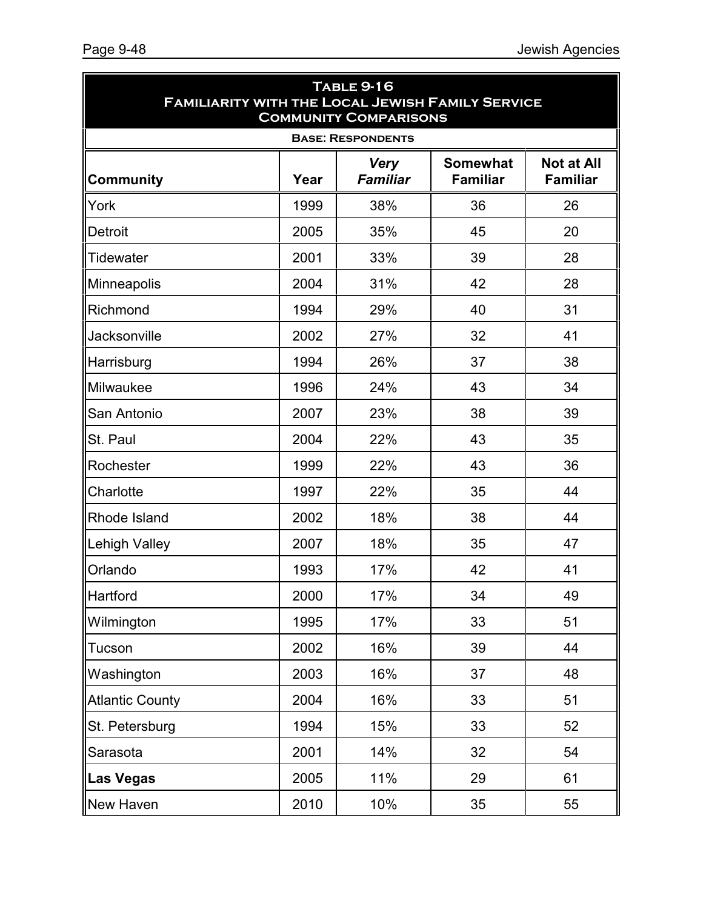| <b>TABLE 9-16</b><br><b>FAMILIARITY WITH THE LOCAL JEWISH FAMILY SERVICE</b><br><b>COMMUNITY COMPARISONS</b> |      |                                |                                    |                                      |  |  |
|--------------------------------------------------------------------------------------------------------------|------|--------------------------------|------------------------------------|--------------------------------------|--|--|
|                                                                                                              |      | <b>BASE: RESPONDENTS</b>       |                                    |                                      |  |  |
| <b>Community</b>                                                                                             | Year | <b>Very</b><br><b>Familiar</b> | <b>Somewhat</b><br><b>Familiar</b> | <b>Not at All</b><br><b>Familiar</b> |  |  |
| York                                                                                                         | 1999 | 38%                            | 36                                 | 26                                   |  |  |
| Detroit                                                                                                      | 2005 | 35%                            | 45                                 | 20                                   |  |  |
| <b>Tidewater</b>                                                                                             | 2001 | 33%                            | 39                                 | 28                                   |  |  |
| Minneapolis                                                                                                  | 2004 | 31%                            | 42                                 | 28                                   |  |  |
| Richmond                                                                                                     | 1994 | 29%                            | 40                                 | 31                                   |  |  |
| Jacksonville                                                                                                 | 2002 | 27%                            | 32                                 | 41                                   |  |  |
| Harrisburg                                                                                                   | 1994 | 26%                            | 37                                 | 38                                   |  |  |
| Milwaukee                                                                                                    | 1996 | 24%                            | 43                                 | 34                                   |  |  |
| San Antonio                                                                                                  | 2007 | 23%                            | 38                                 | 39                                   |  |  |
| St. Paul                                                                                                     | 2004 | 22%                            | 43                                 | 35                                   |  |  |
| Rochester                                                                                                    | 1999 | 22%                            | 43                                 | 36                                   |  |  |
| Charlotte                                                                                                    | 1997 | 22%                            | 35                                 | 44                                   |  |  |
| Rhode Island                                                                                                 | 2002 | 18%                            | 38                                 | 44                                   |  |  |
| <b>Lehigh Valley</b>                                                                                         | 2007 | 18%                            | 35                                 | 47                                   |  |  |
| Orlando                                                                                                      | 1993 | 17%                            | 42                                 | 41                                   |  |  |
| Hartford                                                                                                     | 2000 | 17%                            | 34                                 | 49                                   |  |  |
| Wilmington                                                                                                   | 1995 | 17%                            | 33                                 | 51                                   |  |  |
| Tucson                                                                                                       | 2002 | 16%                            | 39                                 | 44                                   |  |  |
| Washington                                                                                                   | 2003 | 16%                            | 37                                 | 48                                   |  |  |
| <b>Atlantic County</b>                                                                                       | 2004 | 16%                            | 33                                 | 51                                   |  |  |
| St. Petersburg                                                                                               | 1994 | 15%                            | 33                                 | 52                                   |  |  |
| Sarasota                                                                                                     | 2001 | 14%                            | 32                                 | 54                                   |  |  |
| <b>Las Vegas</b>                                                                                             | 2005 | 11%                            | 29                                 | 61                                   |  |  |
| New Haven                                                                                                    | 2010 | 10%                            | 35                                 | 55                                   |  |  |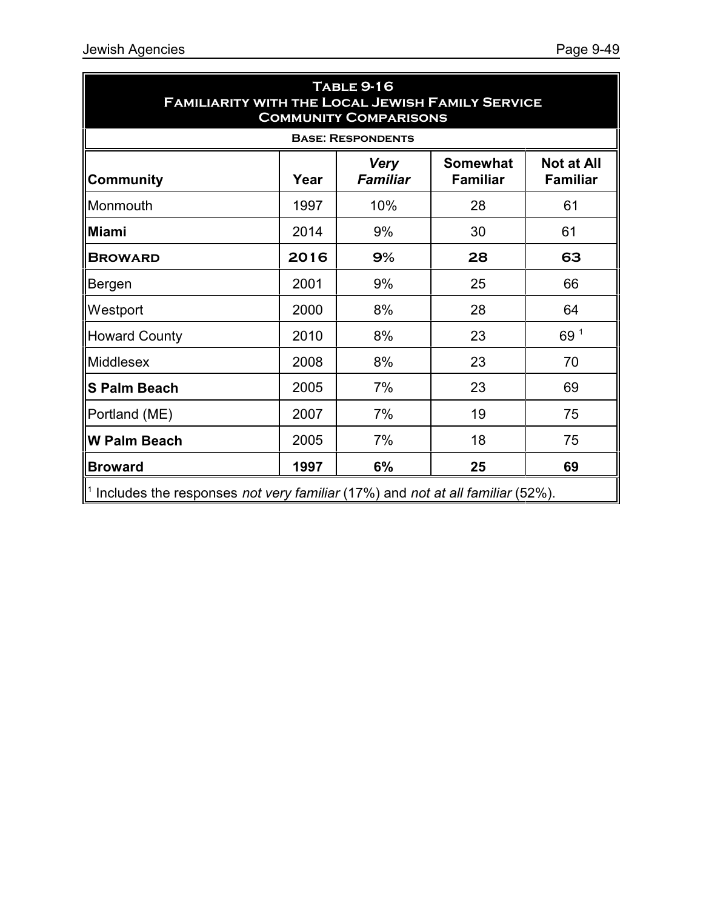| <b>TABLE 9-16</b><br><b>FAMILIARITY WITH THE LOCAL JEWISH FAMILY SERVICE</b><br><b>COMMUNITY COMPARISONS</b>                             |      |                          |    |      |  |  |  |  |
|------------------------------------------------------------------------------------------------------------------------------------------|------|--------------------------|----|------|--|--|--|--|
|                                                                                                                                          |      | <b>BASE: RESPONDENTS</b> |    |      |  |  |  |  |
| <b>Somewhat</b><br><b>Not at All</b><br><b>Very</b><br><b>Familiar</b><br><b>Familiar</b><br><b>Familiar</b><br><b>Community</b><br>Year |      |                          |    |      |  |  |  |  |
| Monmouth                                                                                                                                 | 1997 | 10%                      | 28 | 61   |  |  |  |  |
| Miami                                                                                                                                    | 2014 | 9%                       | 30 | 61   |  |  |  |  |
| <b>BROWARD</b>                                                                                                                           | 2016 | 9%                       | 28 | 63   |  |  |  |  |
| Bergen                                                                                                                                   | 2001 | 9%                       | 25 | 66   |  |  |  |  |
| Westport                                                                                                                                 | 2000 | 8%                       | 28 | 64   |  |  |  |  |
| <b>Howard County</b>                                                                                                                     | 2010 | 8%                       | 23 | 69 1 |  |  |  |  |
| Middlesex                                                                                                                                | 2008 | 8%                       | 23 | 70   |  |  |  |  |
| S Palm Beach                                                                                                                             | 2005 | 7%                       | 23 | 69   |  |  |  |  |
| Portland (ME)                                                                                                                            | 2007 | 7%                       | 19 | 75   |  |  |  |  |
| W Palm Beach                                                                                                                             | 2005 | 7%                       | 18 | 75   |  |  |  |  |
| <b>Broward</b>                                                                                                                           | 1997 | 6%                       | 25 | 69   |  |  |  |  |
| $\parallel$ <sup>1</sup> Includes the responses <i>not very familiar</i> (17%) and <i>not at all familiar</i> (52%).                     |      |                          |    |      |  |  |  |  |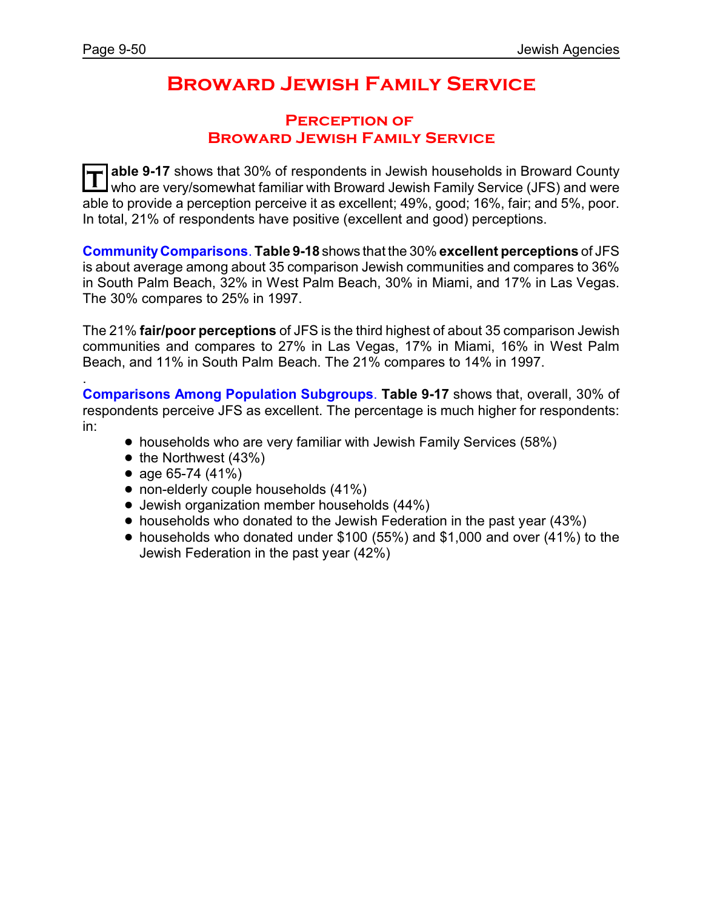.

# **Broward Jewish Family Service**

### **Perception of Broward Jewish Family Service**

**T able 9-17** shows that 30% of respondents in Jewish households in Broward County who are very/somewhat familiar with Broward Jewish Family Service (JFS) and were able to provide a perception perceive it as excellent; 49%, good; 16%, fair; and 5%, poor. In total, 21% of respondents have positive (excellent and good) perceptions.

**CommunityComparisons**. **Table 9-18** shows that the 30% **excellent perceptions** of JFS is about average among about 35 comparison Jewish communities and compares to 36% in South Palm Beach, 32% in West Palm Beach, 30% in Miami, and 17% in Las Vegas. The 30% compares to 25% in 1997.

The 21% **fair/poor perceptions** of JFS is the third highest of about 35 comparison Jewish communities and compares to 27% in Las Vegas, 17% in Miami, 16% in West Palm Beach, and 11% in South Palm Beach. The 21% compares to 14% in 1997.

**Comparisons Among Population Subgroups**. **Table 9-17** shows that, overall, 30% of respondents perceive JFS as excellent. The percentage is much higher for respondents: in:

- households who are very familiar with Jewish Family Services (58%)
- $\bullet$  the Northwest (43%)
- age  $65-74$  (41%)
- non-elderly couple households (41%)
- ! Jewish organization member households (44%)
- households who donated to the Jewish Federation in the past year (43%)
- $\bullet$  households who donated under \$100 (55%) and \$1,000 and over (41%) to the Jewish Federation in the past year (42%)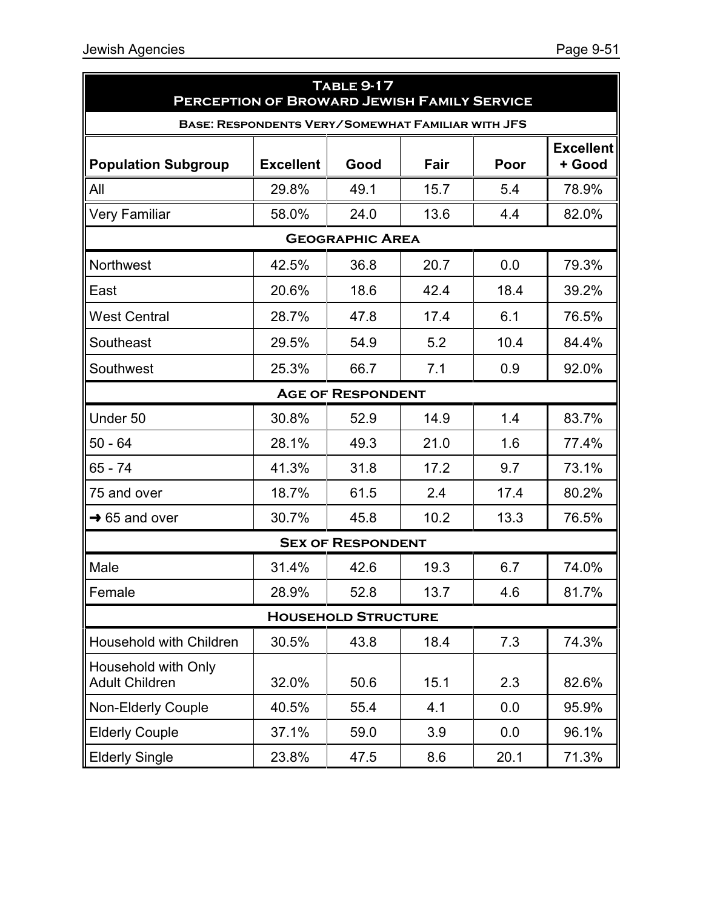| <b>TABLE 9-17</b><br><b>PERCEPTION OF BROWARD JEWISH FAMILY SERVICE</b> |                                                          |                            |      |      |                            |
|-------------------------------------------------------------------------|----------------------------------------------------------|----------------------------|------|------|----------------------------|
|                                                                         | <b>BASE: RESPONDENTS VERY/SOMEWHAT FAMILIAR WITH JFS</b> |                            |      |      |                            |
| <b>Population Subgroup</b>                                              | <b>Excellent</b>                                         | Good                       | Fair | Poor | <b>Excellent</b><br>+ Good |
| All                                                                     | 29.8%                                                    | 49.1                       | 15.7 | 5.4  | 78.9%                      |
| Very Familiar                                                           | 58.0%                                                    | 24.0                       | 13.6 | 4.4  | 82.0%                      |
|                                                                         |                                                          | <b>GEOGRAPHIC AREA</b>     |      |      |                            |
| <b>Northwest</b>                                                        | 42.5%                                                    | 36.8                       | 20.7 | 0.0  | 79.3%                      |
| East                                                                    | 20.6%                                                    | 18.6                       | 42.4 | 18.4 | 39.2%                      |
| <b>West Central</b>                                                     | 28.7%                                                    | 47.8                       | 17.4 | 6.1  | 76.5%                      |
| Southeast                                                               | 29.5%                                                    | 54.9                       | 5.2  | 10.4 | 84.4%                      |
| Southwest                                                               | 25.3%                                                    | 66.7                       | 7.1  | 0.9  | 92.0%                      |
|                                                                         |                                                          | <b>AGE OF RESPONDENT</b>   |      |      |                            |
| Under 50                                                                | 30.8%                                                    | 52.9                       | 14.9 | 1.4  | 83.7%                      |
| $50 - 64$                                                               | 28.1%                                                    | 49.3                       | 21.0 | 1.6  | 77.4%                      |
| 65 - 74                                                                 | 41.3%                                                    | 31.8                       | 17.2 | 9.7  | 73.1%                      |
| 75 and over                                                             | 18.7%                                                    | 61.5                       | 2.4  | 17.4 | 80.2%                      |
| $\rightarrow$ 65 and over                                               | 30.7%                                                    | 45.8                       | 10.2 | 13.3 | 76.5%                      |
|                                                                         |                                                          | <b>SEX OF RESPONDENT</b>   |      |      |                            |
| Male                                                                    | 31.4%                                                    | 42.6                       | 19.3 | 6.7  | 74.0%                      |
| Female                                                                  | 28.9%                                                    | 52.8                       | 13.7 | 4.6  | 81.7%                      |
|                                                                         |                                                          | <b>HOUSEHOLD STRUCTURE</b> |      |      |                            |
| Household with Children                                                 | 30.5%                                                    | 43.8                       | 18.4 | 7.3  | 74.3%                      |
| Household with Only<br><b>Adult Children</b>                            | 32.0%                                                    | 50.6                       | 15.1 | 2.3  | 82.6%                      |
| <b>Non-Elderly Couple</b>                                               | 40.5%                                                    | 55.4                       | 4.1  | 0.0  | 95.9%                      |
| <b>Elderly Couple</b>                                                   | 37.1%                                                    | 59.0                       | 3.9  | 0.0  | 96.1%                      |
| <b>Elderly Single</b>                                                   | 23.8%                                                    | 47.5                       | 8.6  | 20.1 | 71.3%                      |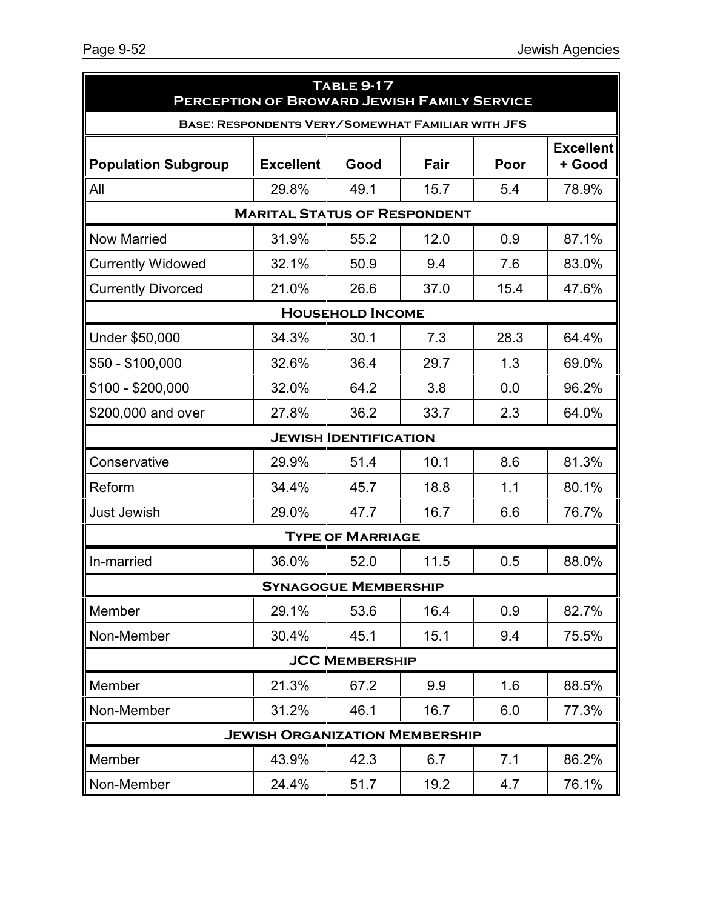| <b>TABLE 9-17</b><br><b>PERCEPTION OF BROWARD JEWISH FAMILY SERVICE</b> |                                                          |                              |      |      |                            |  |  |  |
|-------------------------------------------------------------------------|----------------------------------------------------------|------------------------------|------|------|----------------------------|--|--|--|
|                                                                         | <b>BASE: RESPONDENTS VERY/SOMEWHAT FAMILIAR WITH JFS</b> |                              |      |      |                            |  |  |  |
| <b>Population Subgroup</b>                                              | <b>Excellent</b>                                         | Good                         | Fair | Poor | <b>Excellent</b><br>+ Good |  |  |  |
| All                                                                     | 29.8%                                                    | 49.1                         | 15.7 | 5.4  | 78.9%                      |  |  |  |
|                                                                         | <b>MARITAL STATUS OF RESPONDENT</b>                      |                              |      |      |                            |  |  |  |
| <b>Now Married</b>                                                      | 31.9%                                                    | 55.2                         | 12.0 | 0.9  | 87.1%                      |  |  |  |
| <b>Currently Widowed</b>                                                | 32.1%                                                    | 50.9                         | 9.4  | 7.6  | 83.0%                      |  |  |  |
| <b>Currently Divorced</b>                                               | 21.0%                                                    | 26.6                         | 37.0 | 15.4 | 47.6%                      |  |  |  |
|                                                                         |                                                          | <b>HOUSEHOLD INCOME</b>      |      |      |                            |  |  |  |
| Under \$50,000                                                          | 34.3%                                                    | 30.1                         | 7.3  | 28.3 | 64.4%                      |  |  |  |
| $$50 - $100,000$                                                        | 32.6%                                                    | 36.4                         | 29.7 | 1.3  | 69.0%                      |  |  |  |
| $$100 - $200,000$                                                       | 32.0%                                                    | 64.2                         | 3.8  | 0.0  | 96.2%                      |  |  |  |
| \$200,000 and over                                                      | 27.8%                                                    | 36.2                         | 33.7 | 2.3  | 64.0%                      |  |  |  |
|                                                                         |                                                          | <b>JEWISH IDENTIFICATION</b> |      |      |                            |  |  |  |
| Conservative                                                            | 29.9%                                                    | 51.4                         | 10.1 | 8.6  | 81.3%                      |  |  |  |
| Reform                                                                  | 34.4%                                                    | 45.7                         | 18.8 | 1.1  | 80.1%                      |  |  |  |
| <b>Just Jewish</b>                                                      | 29.0%                                                    | 47.7                         | 16.7 | 6.6  | 76.7%                      |  |  |  |
|                                                                         |                                                          | <b>TYPE OF MARRIAGE</b>      |      |      |                            |  |  |  |
| In-married                                                              | 36.0%                                                    | 52.0                         | 11.5 | 0.5  | 88.0%                      |  |  |  |
|                                                                         |                                                          | <b>SYNAGOGUE MEMBERSHIP</b>  |      |      |                            |  |  |  |
| Member                                                                  | 29.1%                                                    | 53.6                         | 16.4 | 0.9  | 82.7%                      |  |  |  |
| Non-Member                                                              | 30.4%                                                    | 45.1                         | 15.1 | 9.4  | 75.5%                      |  |  |  |
| <b>JCC MEMBERSHIP</b>                                                   |                                                          |                              |      |      |                            |  |  |  |
| Member                                                                  | 21.3%                                                    | 67.2                         | 9.9  | 1.6  | 88.5%                      |  |  |  |
| Non-Member                                                              | 31.2%                                                    | 46.1                         | 16.7 | 6.0  | 77.3%                      |  |  |  |
|                                                                         | <b>JEWISH ORGANIZATION MEMBERSHIP</b>                    |                              |      |      |                            |  |  |  |
| Member                                                                  | 43.9%                                                    | 42.3                         | 6.7  | 7.1  | 86.2%                      |  |  |  |
| Non-Member                                                              | 24.4%                                                    | 51.7                         | 19.2 | 4.7  | 76.1%                      |  |  |  |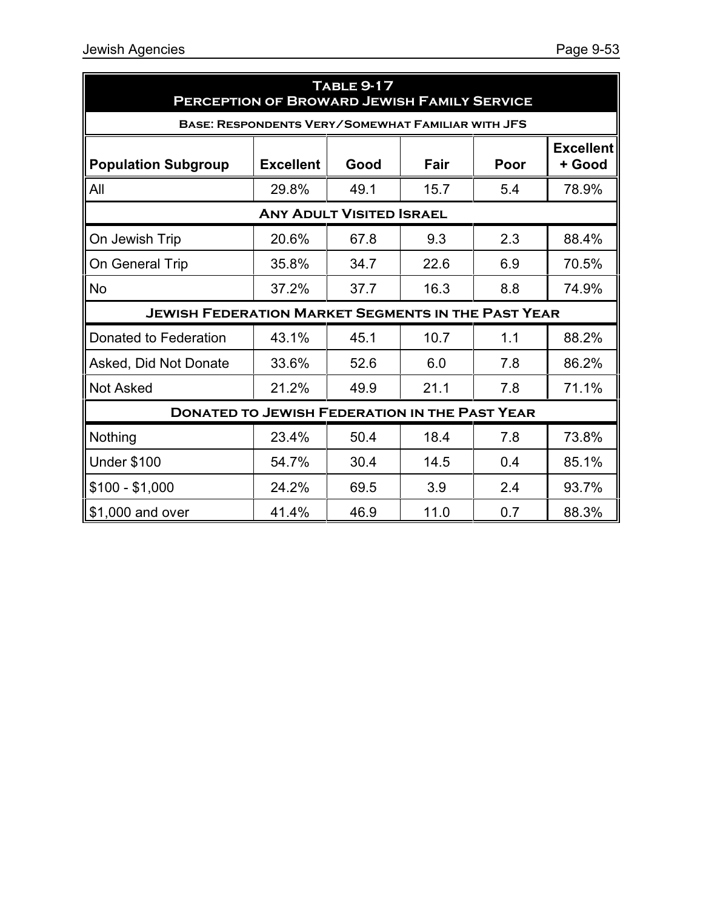| <b>TABLE 9-17</b><br>PERCEPTION OF BROWARD JEWISH FAMILY SERVICE |                                                          |                                 |      |      |                            |  |  |  |
|------------------------------------------------------------------|----------------------------------------------------------|---------------------------------|------|------|----------------------------|--|--|--|
|                                                                  | <b>BASE: RESPONDENTS VERY/SOMEWHAT FAMILIAR WITH JFS</b> |                                 |      |      |                            |  |  |  |
| <b>Population Subgroup</b>                                       | <b>Excellent</b>                                         | Good                            | Fair | Poor | <b>Excellent</b><br>+ Good |  |  |  |
| All                                                              | 29.8%                                                    | 49.1                            | 15.7 | 5.4  | 78.9%                      |  |  |  |
|                                                                  |                                                          | <b>ANY ADULT VISITED ISRAEL</b> |      |      |                            |  |  |  |
| On Jewish Trip                                                   | 20.6%                                                    | 67.8                            | 9.3  | 2.3  | 88.4%                      |  |  |  |
| On General Trip                                                  | 35.8%                                                    | 34.7                            | 22.6 | 6.9  | 70.5%                      |  |  |  |
| No                                                               | 37.2%                                                    | 37.7                            | 16.3 | 8.8  | 74.9%                      |  |  |  |
| <b>JEWISH FEDERATION MARKET SEGMENTS IN THE PAST YEAR</b>        |                                                          |                                 |      |      |                            |  |  |  |
| Donated to Federation                                            | 43.1%                                                    | 45.1                            | 10.7 | 1.1  | 88.2%                      |  |  |  |
| Asked, Did Not Donate                                            | 33.6%                                                    | 52.6                            | 6.0  | 7.8  | 86.2%                      |  |  |  |
| <b>Not Asked</b>                                                 | 21.2%                                                    | 49.9                            | 21.1 | 7.8  | 71.1%                      |  |  |  |
| <b>DONATED TO JEWISH FEDERATION IN THE PAST YEAR</b>             |                                                          |                                 |      |      |                            |  |  |  |
| Nothing                                                          | 23.4%                                                    | 50.4                            | 18.4 | 7.8  | 73.8%                      |  |  |  |
| <b>Under \$100</b>                                               | 54.7%                                                    | 30.4                            | 14.5 | 0.4  | 85.1%                      |  |  |  |
| $$100 - $1,000$                                                  | 24.2%                                                    | 69.5                            | 3.9  | 2.4  | 93.7%                      |  |  |  |
| \$1,000 and over                                                 | 41.4%                                                    | 46.9                            | 11.0 | 0.7  | 88.3%                      |  |  |  |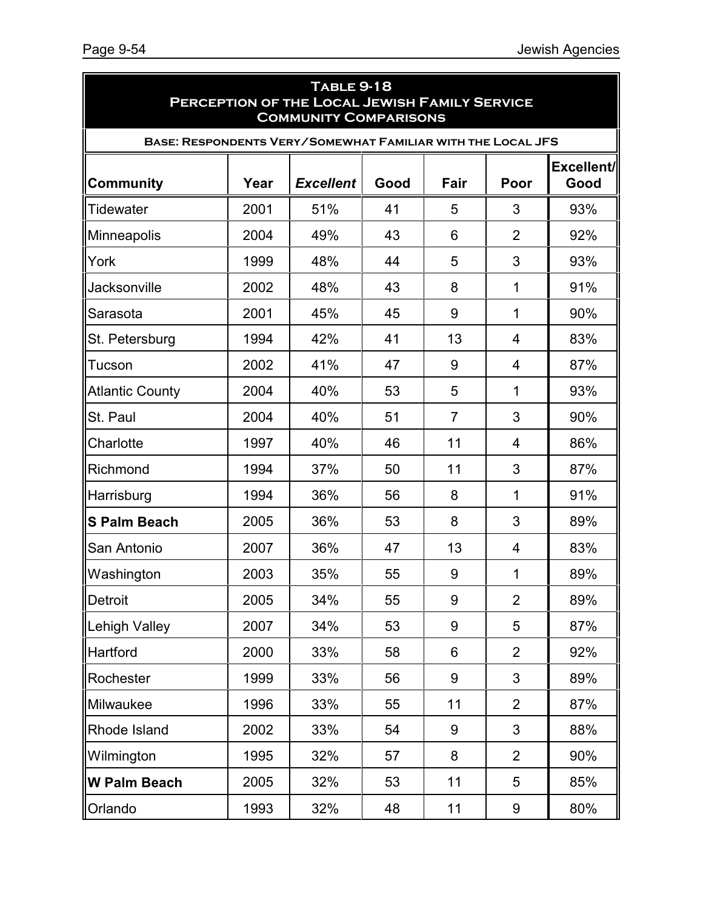| <b>TABLE 9-18</b><br>PERCEPTION OF THE LOCAL JEWISH FAMILY SERVICE<br><b>COMMUNITY COMPARISONS</b> |      |                  |      |                |                |                    |
|----------------------------------------------------------------------------------------------------|------|------------------|------|----------------|----------------|--------------------|
| <b>BASE: RESPONDENTS VERY/SOMEWHAT FAMILIAR WITH THE LOCAL JFS</b>                                 |      |                  |      |                |                |                    |
| <b>Community</b>                                                                                   | Year | <b>Excellent</b> | Good | Fair           | Poor           | Excellent/<br>Good |
| <b>Tidewater</b>                                                                                   | 2001 | 51%              | 41   | 5              | 3              | 93%                |
| Minneapolis                                                                                        | 2004 | 49%              | 43   | 6              | $\overline{2}$ | 92%                |
| York                                                                                               | 1999 | 48%              | 44   | 5              | 3              | 93%                |
| Jacksonville                                                                                       | 2002 | 48%              | 43   | 8              | 1              | 91%                |
| Sarasota                                                                                           | 2001 | 45%              | 45   | 9              | 1              | 90%                |
| St. Petersburg                                                                                     | 1994 | 42%              | 41   | 13             | 4              | 83%                |
| Tucson                                                                                             | 2002 | 41%              | 47   | 9              | 4              | 87%                |
| <b>Atlantic County</b>                                                                             | 2004 | 40%              | 53   | 5              | 1              | 93%                |
| St. Paul                                                                                           | 2004 | 40%              | 51   | $\overline{7}$ | 3              | 90%                |
| Charlotte                                                                                          | 1997 | 40%              | 46   | 11             | 4              | 86%                |
| Richmond                                                                                           | 1994 | 37%              | 50   | 11             | 3              | 87%                |
| Harrisburg                                                                                         | 1994 | 36%              | 56   | 8              | 1              | 91%                |
| <b>S Palm Beach</b>                                                                                | 2005 | 36%              | 53   | 8              | 3              | 89%                |
| San Antonio                                                                                        | 2007 | 36%              | 47   | 13             | 4              | 83%                |
| Washington                                                                                         | 2003 | 35%              | 55   | 9              | 1              | 89%                |
| Detroit                                                                                            | 2005 | 34%              | 55   | 9              | $\overline{2}$ | 89%                |
| <b>Lehigh Valley</b>                                                                               | 2007 | 34%              | 53   | 9              | 5              | 87%                |
| Hartford                                                                                           | 2000 | 33%              | 58   | 6              | $\overline{2}$ | 92%                |
| Rochester                                                                                          | 1999 | 33%              | 56   | 9              | 3              | 89%                |
| Milwaukee                                                                                          | 1996 | 33%              | 55   | 11             | $\overline{2}$ | 87%                |
| Rhode Island                                                                                       | 2002 | 33%              | 54   | 9              | 3              | 88%                |
| Wilmington                                                                                         | 1995 | 32%              | 57   | 8              | $\overline{2}$ | 90%                |
| <b>W Palm Beach</b>                                                                                | 2005 | 32%              | 53   | 11             | 5              | 85%                |
| Orlando                                                                                            | 1993 | 32%              | 48   | 11             | 9              | 80%                |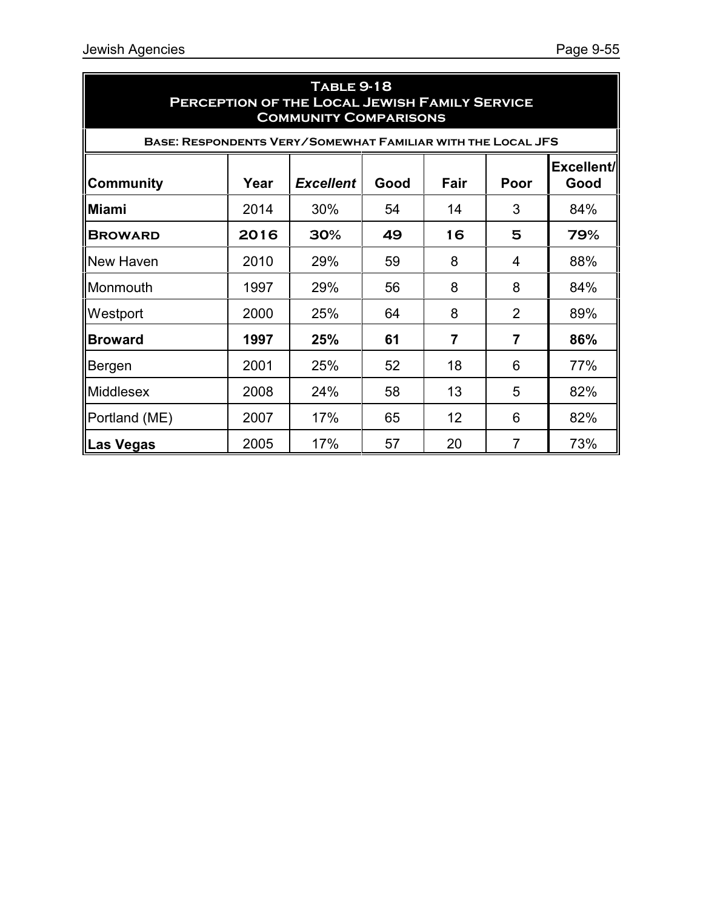| <b>TABLE 9-18</b><br>PERCEPTION OF THE LOCAL JEWISH FAMILY SERVICE<br><b>COMMUNITY COMPARISONS</b> |                                                                        |     |    |    |                |     |  |  |
|----------------------------------------------------------------------------------------------------|------------------------------------------------------------------------|-----|----|----|----------------|-----|--|--|
| <b>BASE: RESPONDENTS VERY/SOMEWHAT FAMILIAR WITH THE LOCAL JFS</b>                                 |                                                                        |     |    |    |                |     |  |  |
| <b>Community</b>                                                                                   | Excellent/<br>Year<br><b>Excellent</b><br>Fair<br>Poor<br>Good<br>Good |     |    |    |                |     |  |  |
| Miami                                                                                              | 2014                                                                   | 30% | 54 | 14 | 3              | 84% |  |  |
| <b>BROWARD</b>                                                                                     | 2016                                                                   | 30% | 49 | 16 | 5              | 79% |  |  |
| New Haven                                                                                          | 2010                                                                   | 29% | 59 | 8  | 4              | 88% |  |  |
| Monmouth                                                                                           | 1997                                                                   | 29% | 56 | 8  | 8              | 84% |  |  |
| Westport                                                                                           | 2000                                                                   | 25% | 64 | 8  | $\overline{2}$ | 89% |  |  |
| <b>Broward</b>                                                                                     | 1997                                                                   | 25% | 61 | 7  | $\overline{7}$ | 86% |  |  |
| Bergen                                                                                             | 2001                                                                   | 25% | 52 | 18 | 6              | 77% |  |  |
| <b>Middlesex</b>                                                                                   | 2008                                                                   | 24% | 58 | 13 | 5              | 82% |  |  |
| Portland (ME)                                                                                      | 2007                                                                   | 17% | 65 | 12 | 6              | 82% |  |  |
| Las Vegas                                                                                          | 2005                                                                   | 17% | 57 | 20 | $\overline{7}$ | 73% |  |  |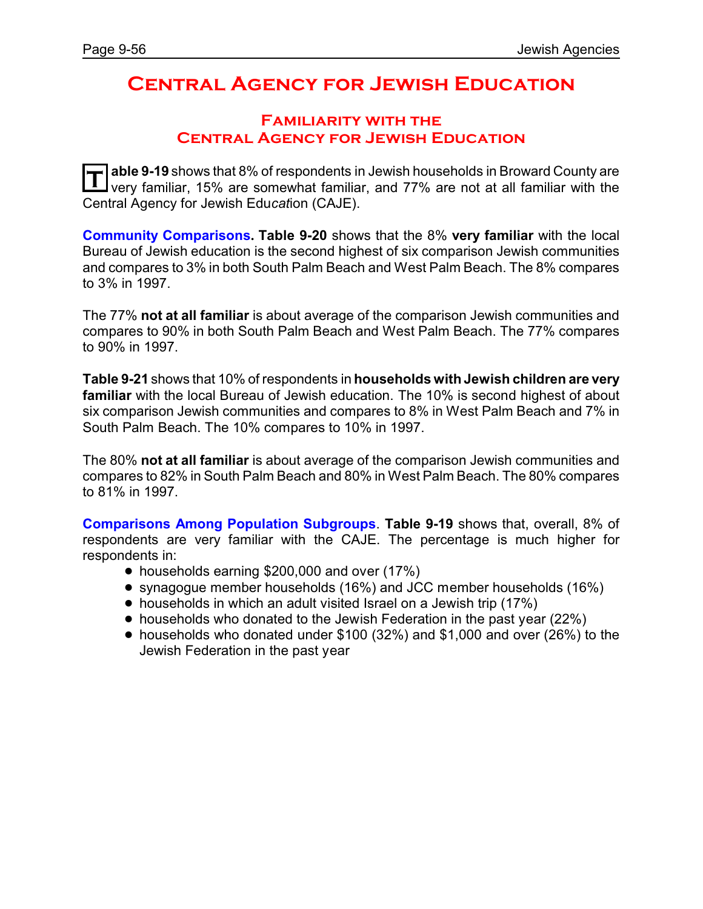## **Central Agency for Jewish Education**

### **Familiarity with the Central Agency for Jewish Education**

**T able 9-19** shows that 8% of respondents in Jewish households in Broward County are very familiar, 15% are somewhat familiar, and 77% are not at all familiar with the Central Agency for Jewish Edu*cat*ion (CAJE).

**Community Comparisons. Table 9-20** shows that the 8% **very familiar** with the local Bureau of Jewish education is the second highest of six comparison Jewish communities and compares to 3% in both South Palm Beach and West Palm Beach. The 8% compares to 3% in 1997.

The 77% **not at all familiar** is about average of the comparison Jewish communities and compares to 90% in both South Palm Beach and West Palm Beach. The 77% compares to 90% in 1997.

**Table 9-21** shows that 10% of respondents in **households with Jewish children are very familiar** with the local Bureau of Jewish education. The 10% is second highest of about six comparison Jewish communities and compares to 8% in West Palm Beach and 7% in South Palm Beach. The 10% compares to 10% in 1997.

The 80% **not at all familiar** is about average of the comparison Jewish communities and compares to 82% in South Palm Beach and 80% in West Palm Beach. The 80% compares to 81% in 1997.

**Comparisons Among Population Subgroups**. **Table 9-19** shows that, overall, 8% of respondents are very familiar with the CAJE. The percentage is much higher for respondents in:

- households earning \$200,000 and over (17%)
- ! synagogue member households (16%) and JCC member households (16%)
- households in which an adult visited Israel on a Jewish trip (17%)
- households who donated to the Jewish Federation in the past year (22%)
- ! households who donated under \$100 (32%) and \$1,000 and over (26%) to the Jewish Federation in the past year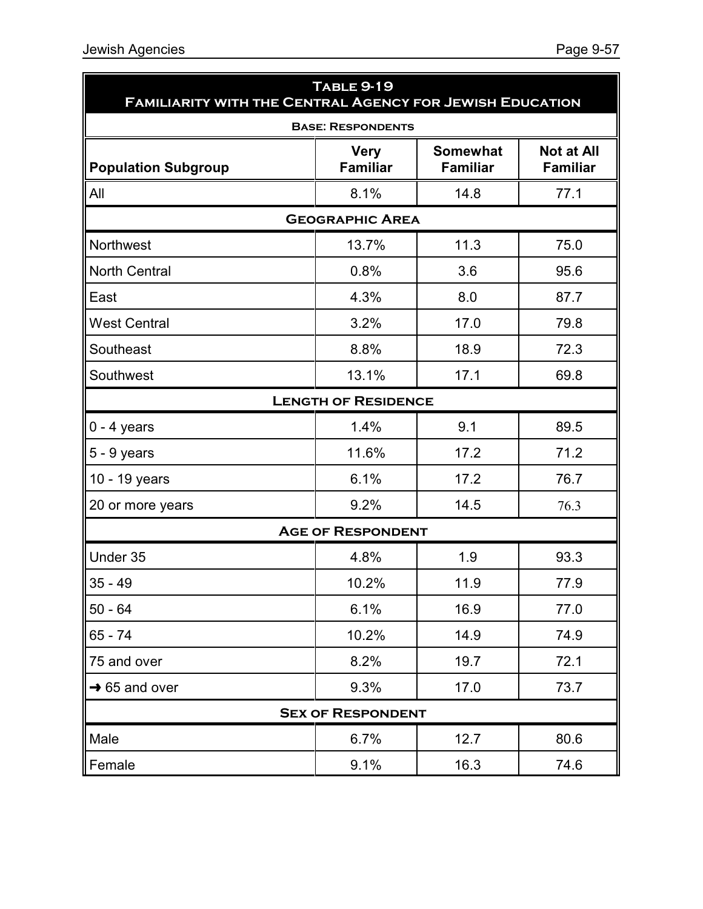| <b>TABLE 9-19</b><br><b>FAMILIARITY WITH THE CENTRAL AGENCY FOR JEWISH EDUCATION</b> |                                |                                    |                                      |  |  |  |
|--------------------------------------------------------------------------------------|--------------------------------|------------------------------------|--------------------------------------|--|--|--|
|                                                                                      | <b>BASE: RESPONDENTS</b>       |                                    |                                      |  |  |  |
| <b>Population Subgroup</b>                                                           | <b>Very</b><br><b>Familiar</b> | <b>Somewhat</b><br><b>Familiar</b> | <b>Not at All</b><br><b>Familiar</b> |  |  |  |
| All                                                                                  | 8.1%                           | 14.8                               | 77.1                                 |  |  |  |
|                                                                                      | <b>GEOGRAPHIC AREA</b>         |                                    |                                      |  |  |  |
| <b>Northwest</b>                                                                     | 13.7%                          | 11.3                               | 75.0                                 |  |  |  |
| <b>North Central</b>                                                                 | 0.8%                           | 3.6                                | 95.6                                 |  |  |  |
| East                                                                                 | 4.3%                           | 8.0                                | 87.7                                 |  |  |  |
| <b>West Central</b>                                                                  | 3.2%                           | 17.0                               | 79.8                                 |  |  |  |
| Southeast                                                                            | 8.8%                           | 18.9                               | 72.3                                 |  |  |  |
| Southwest                                                                            | 13.1%                          | 17.1                               | 69.8                                 |  |  |  |
|                                                                                      | <b>LENGTH OF RESIDENCE</b>     |                                    |                                      |  |  |  |
| $0 - 4$ years                                                                        | 1.4%                           | 9.1                                | 89.5                                 |  |  |  |
| $5 - 9$ years                                                                        | 11.6%                          | 17.2                               | 71.2                                 |  |  |  |
| 10 - 19 years                                                                        | 6.1%                           | 17.2                               | 76.7                                 |  |  |  |
| 20 or more years                                                                     | 9.2%                           | 14.5                               | 76.3                                 |  |  |  |
|                                                                                      | <b>AGE OF RESPONDENT</b>       |                                    |                                      |  |  |  |
| Under 35                                                                             | 4.8%                           | 1.9                                | 93.3                                 |  |  |  |
| $35 - 49$                                                                            | 10.2%                          | 11.9                               | 77.9                                 |  |  |  |
| $50 - 64$                                                                            | 6.1%                           | 16.9                               | 77.0                                 |  |  |  |
| $65 - 74$                                                                            | 10.2%                          | 14.9                               | 74.9                                 |  |  |  |
| 75 and over                                                                          | 8.2%                           | 19.7                               | 72.1                                 |  |  |  |
| $\rightarrow$ 65 and over                                                            | 9.3%                           | 17.0                               | 73.7                                 |  |  |  |
| <b>SEX OF RESPONDENT</b>                                                             |                                |                                    |                                      |  |  |  |
| Male                                                                                 | 6.7%                           | 12.7                               | 80.6                                 |  |  |  |
| Female                                                                               | 9.1%                           | 16.3                               | 74.6                                 |  |  |  |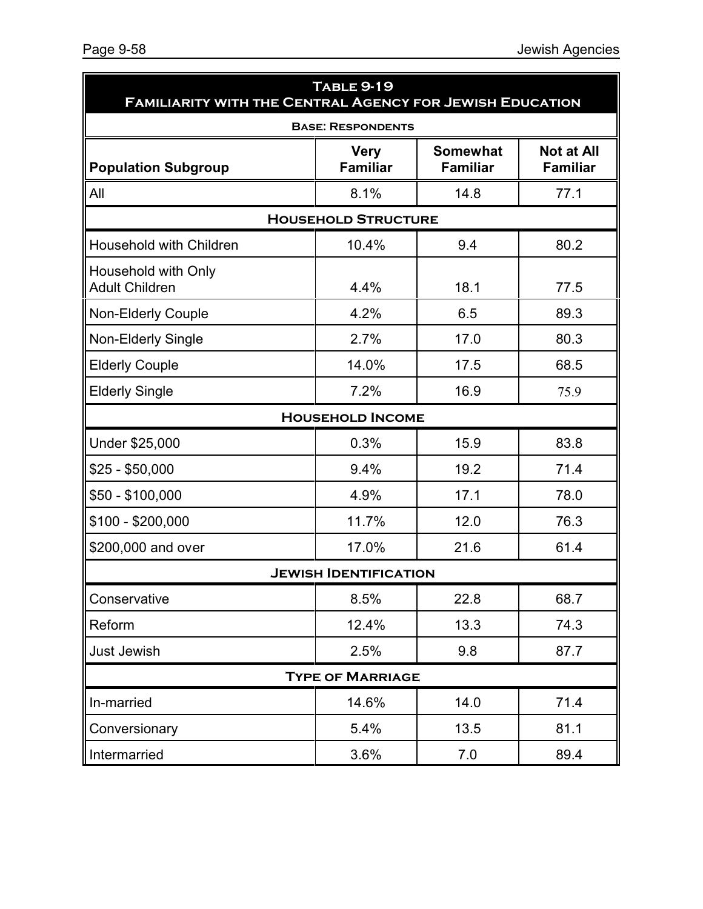| <b>TABLE 9-19</b><br><b>FAMILIARITY WITH THE CENTRAL AGENCY FOR JEWISH EDUCATION</b> |                                |                                    |                                      |  |  |  |
|--------------------------------------------------------------------------------------|--------------------------------|------------------------------------|--------------------------------------|--|--|--|
|                                                                                      | <b>BASE: RESPONDENTS</b>       |                                    |                                      |  |  |  |
| <b>Population Subgroup</b>                                                           | <b>Very</b><br><b>Familiar</b> | <b>Somewhat</b><br><b>Familiar</b> | <b>Not at All</b><br><b>Familiar</b> |  |  |  |
| All                                                                                  | 8.1%                           | 14.8                               | 77.1                                 |  |  |  |
|                                                                                      | <b>HOUSEHOLD STRUCTURE</b>     |                                    |                                      |  |  |  |
| <b>Household with Children</b>                                                       | 10.4%                          | 9.4                                | 80.2                                 |  |  |  |
| Household with Only<br><b>Adult Children</b>                                         | 4.4%                           | 18.1                               | 77.5                                 |  |  |  |
| <b>Non-Elderly Couple</b>                                                            | 4.2%                           | 6.5                                | 89.3                                 |  |  |  |
| <b>Non-Elderly Single</b>                                                            | 2.7%                           | 17.0                               | 80.3                                 |  |  |  |
| <b>Elderly Couple</b>                                                                | 14.0%                          | 17.5                               | 68.5                                 |  |  |  |
| <b>Elderly Single</b>                                                                | 7.2%                           | 16.9                               | 75.9                                 |  |  |  |
|                                                                                      | <b>HOUSEHOLD INCOME</b>        |                                    |                                      |  |  |  |
| Under \$25,000                                                                       | 0.3%                           | 15.9                               | 83.8                                 |  |  |  |
| $$25 - $50,000$                                                                      | 9.4%                           | 19.2                               | 71.4                                 |  |  |  |
| $$50 - $100,000$                                                                     | 4.9%                           | 17.1                               | 78.0                                 |  |  |  |
| \$100 - \$200,000                                                                    | 11.7%                          | 12.0                               | 76.3                                 |  |  |  |
| \$200,000 and over                                                                   | 17.0%                          | 21.6                               | 61.4                                 |  |  |  |
|                                                                                      | <b>JEWISH IDENTIFICATION</b>   |                                    |                                      |  |  |  |
| Conservative                                                                         | 8.5%                           | 22.8                               | 68.7                                 |  |  |  |
| Reform                                                                               | 12.4%                          | 13.3                               | 74.3                                 |  |  |  |
| <b>Just Jewish</b>                                                                   | 2.5%                           | 9.8                                | 87.7                                 |  |  |  |
| <b>TYPE OF MARRIAGE</b>                                                              |                                |                                    |                                      |  |  |  |
| In-married                                                                           | 14.6%                          | 14.0                               | 71.4                                 |  |  |  |
| Conversionary                                                                        | 5.4%                           | 13.5                               | 81.1                                 |  |  |  |
| Intermarried                                                                         | 3.6%                           | 7.0                                | 89.4                                 |  |  |  |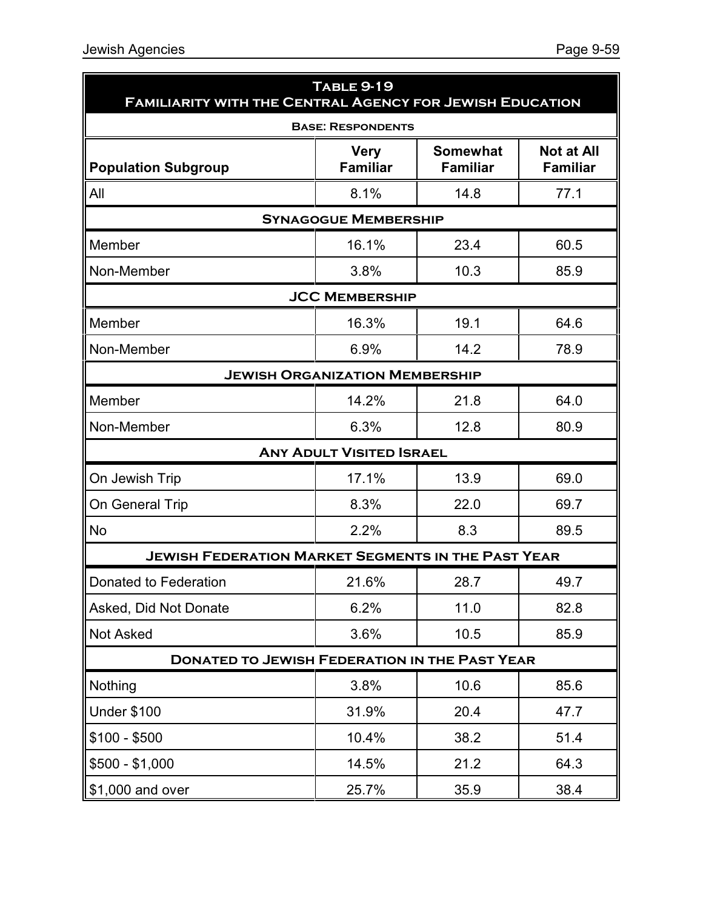| <b>TABLE 9-19</b><br><b>FAMILIARITY WITH THE CENTRAL AGENCY FOR JEWISH EDUCATION</b> |                                 |                                    |                                      |  |  |  |
|--------------------------------------------------------------------------------------|---------------------------------|------------------------------------|--------------------------------------|--|--|--|
|                                                                                      | <b>BASE: RESPONDENTS</b>        |                                    |                                      |  |  |  |
| <b>Population Subgroup</b>                                                           | <b>Very</b><br><b>Familiar</b>  | <b>Somewhat</b><br><b>Familiar</b> | <b>Not at All</b><br><b>Familiar</b> |  |  |  |
| All                                                                                  | 8.1%                            | 14.8                               | 77.1                                 |  |  |  |
|                                                                                      | <b>SYNAGOGUE MEMBERSHIP</b>     |                                    |                                      |  |  |  |
| Member                                                                               | 16.1%                           | 23.4                               | 60.5                                 |  |  |  |
| Non-Member                                                                           | 3.8%                            | 10.3                               | 85.9                                 |  |  |  |
|                                                                                      | <b>JCC MEMBERSHIP</b>           |                                    |                                      |  |  |  |
| Member                                                                               | 16.3%                           | 19.1                               | 64.6                                 |  |  |  |
| Non-Member                                                                           | 6.9%                            | 14.2                               | 78.9                                 |  |  |  |
| <b>JEWISH ORGANIZATION MEMBERSHIP</b>                                                |                                 |                                    |                                      |  |  |  |
| Member                                                                               | 14.2%                           | 21.8                               | 64.0                                 |  |  |  |
| Non-Member                                                                           | 6.3%                            | 12.8                               | 80.9                                 |  |  |  |
|                                                                                      | <b>ANY ADULT VISITED ISRAEL</b> |                                    |                                      |  |  |  |
| On Jewish Trip                                                                       | 17.1%                           | 13.9                               | 69.0                                 |  |  |  |
| On General Trip                                                                      | 8.3%                            | 22.0                               | 69.7                                 |  |  |  |
| <b>No</b>                                                                            | 2.2%                            | 8.3                                | 89.5                                 |  |  |  |
| <b>JEWISH FEDERATION MARKET SEGMENTS IN THE PAST YEAR</b>                            |                                 |                                    |                                      |  |  |  |
| Donated to Federation                                                                | 21.6%                           | 28.7                               | 49.7                                 |  |  |  |
| Asked, Did Not Donate                                                                | 6.2%                            | 11.0                               | 82.8                                 |  |  |  |
| <b>Not Asked</b>                                                                     | 3.6%                            | 10.5                               | 85.9                                 |  |  |  |
| <b>DONATED TO JEWISH FEDERATION IN THE PAST YEAR</b>                                 |                                 |                                    |                                      |  |  |  |
| Nothing                                                                              | 3.8%                            | 10.6                               | 85.6                                 |  |  |  |
| <b>Under \$100</b>                                                                   | 31.9%                           | 20.4                               | 47.7                                 |  |  |  |
| $$100 - $500$                                                                        | 10.4%                           | 38.2                               | 51.4                                 |  |  |  |
| $$500 - $1,000$                                                                      | 14.5%                           | 21.2                               | 64.3                                 |  |  |  |
| \$1,000 and over                                                                     | 25.7%                           | 35.9                               | 38.4                                 |  |  |  |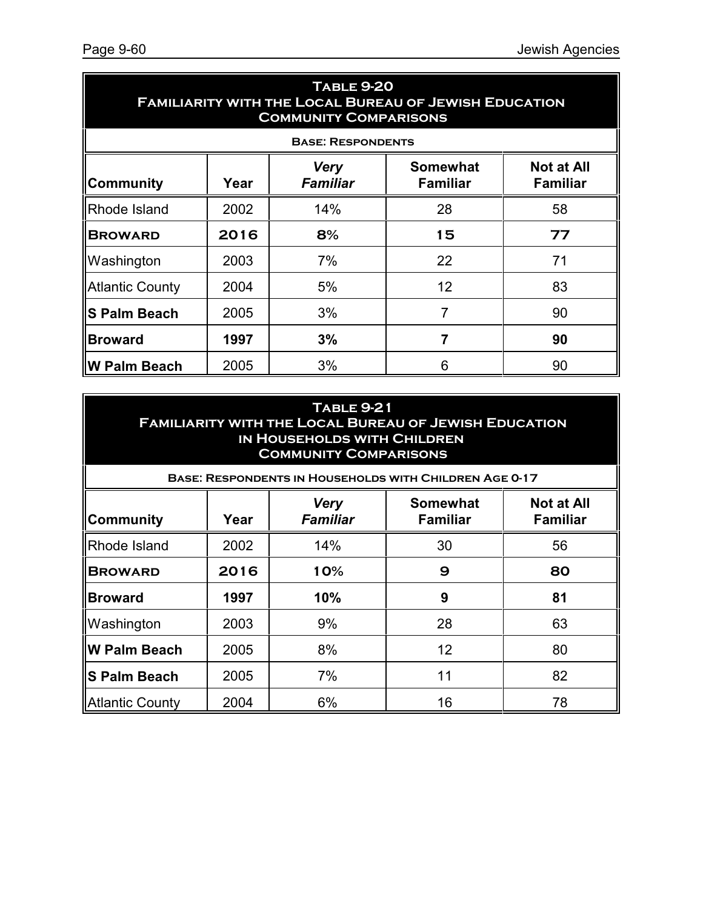| <b>TABLE 9-20</b><br><b>FAMILIARITY WITH THE LOCAL BUREAU OF JEWISH EDUCATION</b><br><b>COMMUNITY COMPARISONS</b> |                                                                                                                      |     |                |    |  |  |  |  |
|-------------------------------------------------------------------------------------------------------------------|----------------------------------------------------------------------------------------------------------------------|-----|----------------|----|--|--|--|--|
|                                                                                                                   | <b>BASE: RESPONDENTS</b>                                                                                             |     |                |    |  |  |  |  |
| <b>Community</b>                                                                                                  | <b>Somewhat</b><br><b>Not at All</b><br><b>Very</b><br><b>Familiar</b><br><b>Familiar</b><br><b>Familiar</b><br>Year |     |                |    |  |  |  |  |
| <b>Rhode Island</b>                                                                                               | 2002                                                                                                                 | 14% | 28             | 58 |  |  |  |  |
| <b>BROWARD</b>                                                                                                    | 2016                                                                                                                 | 8%  | 15             | 77 |  |  |  |  |
| Washington                                                                                                        | 2003                                                                                                                 | 7%  | 22             | 71 |  |  |  |  |
| <b>Atlantic County</b>                                                                                            | 2004                                                                                                                 | 5%  | 12             | 83 |  |  |  |  |
| ∥S Palm Beach                                                                                                     | 2005                                                                                                                 | 3%  | 7              | 90 |  |  |  |  |
| <b>Broward</b>                                                                                                    | 1997                                                                                                                 | 3%  | $\overline{7}$ | 90 |  |  |  |  |
| ∥W Palm Beach                                                                                                     | 2005                                                                                                                 | 3%  | 6              | 90 |  |  |  |  |

| <b>TABLE 9-21</b><br><b>FAMILIARITY WITH THE LOCAL BUREAU OF JEWISH EDUCATION</b><br>IN HOUSEHOLDS WITH CHILDREN<br><b>COMMUNITY COMPARISONS</b><br><b>BASE: RESPONDENTS IN HOUSEHOLDS WITH CHILDREN AGE 0-17</b> |      |                                                                                                              |    |    |  |  |  |  |  |
|-------------------------------------------------------------------------------------------------------------------------------------------------------------------------------------------------------------------|------|--------------------------------------------------------------------------------------------------------------|----|----|--|--|--|--|--|
| ∥Community                                                                                                                                                                                                        | Year | <b>Not at All</b><br><b>Somewhat</b><br><b>Very</b><br><b>Familiar</b><br><b>Familiar</b><br><b>Familiar</b> |    |    |  |  |  |  |  |
| Rhode Island                                                                                                                                                                                                      | 2002 | 14%                                                                                                          | 30 | 56 |  |  |  |  |  |
| <b>BROWARD</b>                                                                                                                                                                                                    | 2016 | 10%                                                                                                          | 9  | 80 |  |  |  |  |  |
| <b>Broward</b>                                                                                                                                                                                                    | 1997 | 10%                                                                                                          | 9  | 81 |  |  |  |  |  |
| Washington                                                                                                                                                                                                        | 2003 | 9%                                                                                                           | 28 | 63 |  |  |  |  |  |
| llW Palm Beach                                                                                                                                                                                                    | 2005 | 8%                                                                                                           | 12 | 80 |  |  |  |  |  |
| ∥S Palm Beach                                                                                                                                                                                                     | 2005 | 7%                                                                                                           | 11 | 82 |  |  |  |  |  |
| Atlantic County                                                                                                                                                                                                   | 2004 | 6%                                                                                                           | 16 | 78 |  |  |  |  |  |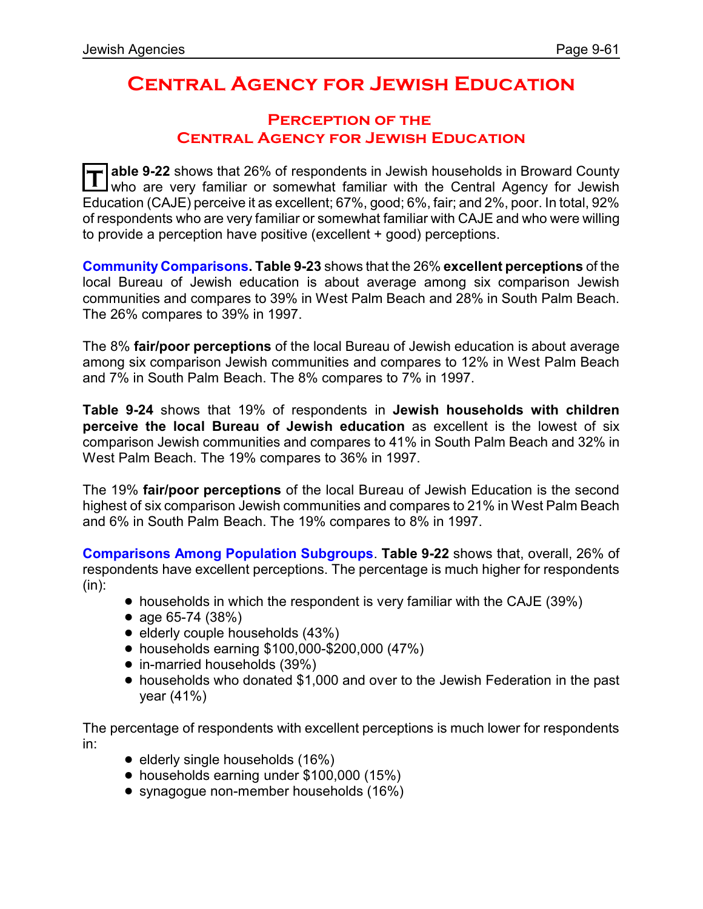## **Central Agency for Jewish Education**

### **Perception of the Central Agency for Jewish Education**

**T able 9-22** shows that 26% of respondents in Jewish households in Broward County who are very familiar or somewhat familiar with the Central Agency for Jewish Education (CAJE) perceive it as excellent; 67%, good; 6%, fair; and 2%, poor. In total, 92% of respondents who are very familiar or somewhat familiar with CAJE and who were willing to provide a perception have positive (excellent + good) perceptions.

**Community Comparisons. Table 9-23** shows that the 26% **excellent perceptions** of the local Bureau of Jewish education is about average among six comparison Jewish communities and compares to 39% in West Palm Beach and 28% in South Palm Beach. The 26% compares to 39% in 1997.

The 8% **fair/poor perceptions** of the local Bureau of Jewish education is about average among six comparison Jewish communities and compares to 12% in West Palm Beach and 7% in South Palm Beach. The 8% compares to 7% in 1997.

**Table 9-24** shows that 19% of respondents in **Jewish households with children perceive the local Bureau of Jewish education** as excellent is the lowest of six comparison Jewish communities and compares to 41% in South Palm Beach and 32% in West Palm Beach. The 19% compares to 36% in 1997.

The 19% **fair/poor perceptions** of the local Bureau of Jewish Education is the second highest of six comparison Jewish communities and compares to 21% in West Palm Beach and 6% in South Palm Beach. The 19% compares to 8% in 1997.

**Comparisons Among Population Subgroups**. **Table 9-22** shows that, overall, 26% of respondents have excellent perceptions. The percentage is much higher for respondents (in):

- households in which the respondent is very familiar with the CAJE (39%)
- age 65-74 (38%)
- $\bullet$  elderly couple households (43%)
- ! households earning \$100,000-\$200,000 (47%)
- in-married households (39%)
- ! households who donated \$1,000 and over to the Jewish Federation in the past year (41%)

The percentage of respondents with excellent perceptions is much lower for respondents in:

- $\bullet$  elderly single households (16%)
- households earning under \$100,000 (15%)
- synagogue non-member households (16%)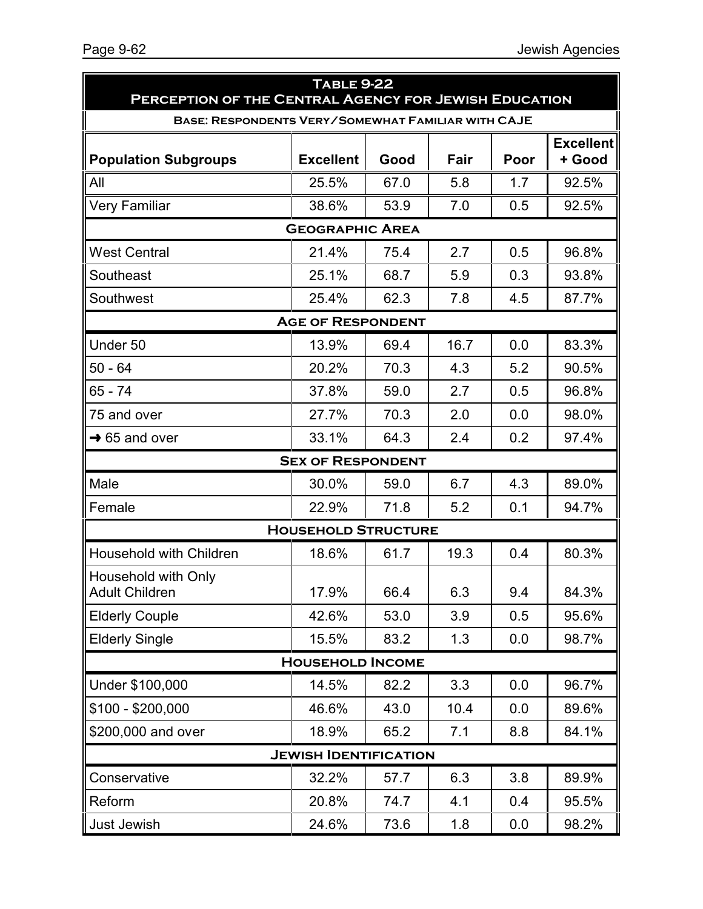| <b>TABLE 9-22</b><br>PERCEPTION OF THE CENTRAL AGENCY FOR JEWISH EDUCATION |                              |      |      |      |                            |  |
|----------------------------------------------------------------------------|------------------------------|------|------|------|----------------------------|--|
| <b>BASE: RESPONDENTS VERY/SOMEWHAT FAMILIAR WITH CAJE</b>                  |                              |      |      |      |                            |  |
| <b>Population Subgroups</b>                                                | <b>Excellent</b>             | Good | Fair | Poor | <b>Excellent</b><br>+ Good |  |
| All                                                                        | 25.5%                        | 67.0 | 5.8  | 1.7  | 92.5%                      |  |
| <b>Very Familiar</b>                                                       | 38.6%                        | 53.9 | 7.0  | 0.5  | 92.5%                      |  |
|                                                                            | <b>GEOGRAPHIC AREA</b>       |      |      |      |                            |  |
| <b>West Central</b>                                                        | 21.4%                        | 75.4 | 2.7  | 0.5  | 96.8%                      |  |
| Southeast                                                                  | 25.1%                        | 68.7 | 5.9  | 0.3  | 93.8%                      |  |
| Southwest                                                                  | 25.4%                        | 62.3 | 7.8  | 4.5  | 87.7%                      |  |
|                                                                            | <b>AGE OF RESPONDENT</b>     |      |      |      |                            |  |
| Under 50                                                                   | 13.9%                        | 69.4 | 16.7 | 0.0  | 83.3%                      |  |
| $50 - 64$                                                                  | 20.2%                        | 70.3 | 4.3  | 5.2  | 90.5%                      |  |
| $65 - 74$                                                                  | 37.8%                        | 59.0 | 2.7  | 0.5  | 96.8%                      |  |
| 75 and over                                                                | 27.7%                        | 70.3 | 2.0  | 0.0  | 98.0%                      |  |
| $\rightarrow$ 65 and over                                                  | 33.1%                        | 64.3 | 2.4  | 0.2  | 97.4%                      |  |
|                                                                            | <b>SEX OF RESPONDENT</b>     |      |      |      |                            |  |
| Male                                                                       | 30.0%                        | 59.0 | 6.7  | 4.3  | 89.0%                      |  |
| Female                                                                     | 22.9%                        | 71.8 | 5.2  | 0.1  | 94.7%                      |  |
|                                                                            | <b>HOUSEHOLD STRUCTURE</b>   |      |      |      |                            |  |
| <b>Household with Children</b>                                             | 18.6%                        | 61.7 | 19.3 | 0.4  | 80.3%                      |  |
| Household with Only<br><b>Adult Children</b>                               | 17.9%                        | 66.4 | 6.3  | 9.4  | 84.3%                      |  |
| <b>Elderly Couple</b>                                                      | 42.6%                        | 53.0 | 3.9  | 0.5  | 95.6%                      |  |
| <b>Elderly Single</b>                                                      | 15.5%                        | 83.2 | 1.3  | 0.0  | 98.7%                      |  |
|                                                                            | <b>HOUSEHOLD INCOME</b>      |      |      |      |                            |  |
| Under \$100,000                                                            | 14.5%                        | 82.2 | 3.3  | 0.0  | 96.7%                      |  |
| \$100 - \$200,000                                                          | 46.6%                        | 43.0 | 10.4 | 0.0  | 89.6%                      |  |
| \$200,000 and over                                                         | 18.9%                        | 65.2 | 7.1  | 8.8  | 84.1%                      |  |
|                                                                            | <b>JEWISH IDENTIFICATION</b> |      |      |      |                            |  |
| Conservative                                                               | 32.2%                        | 57.7 | 6.3  | 3.8  | 89.9%                      |  |
| Reform                                                                     | 20.8%                        | 74.7 | 4.1  | 0.4  | 95.5%                      |  |
| Just Jewish                                                                | 24.6%                        | 73.6 | 1.8  | 0.0  | 98.2%                      |  |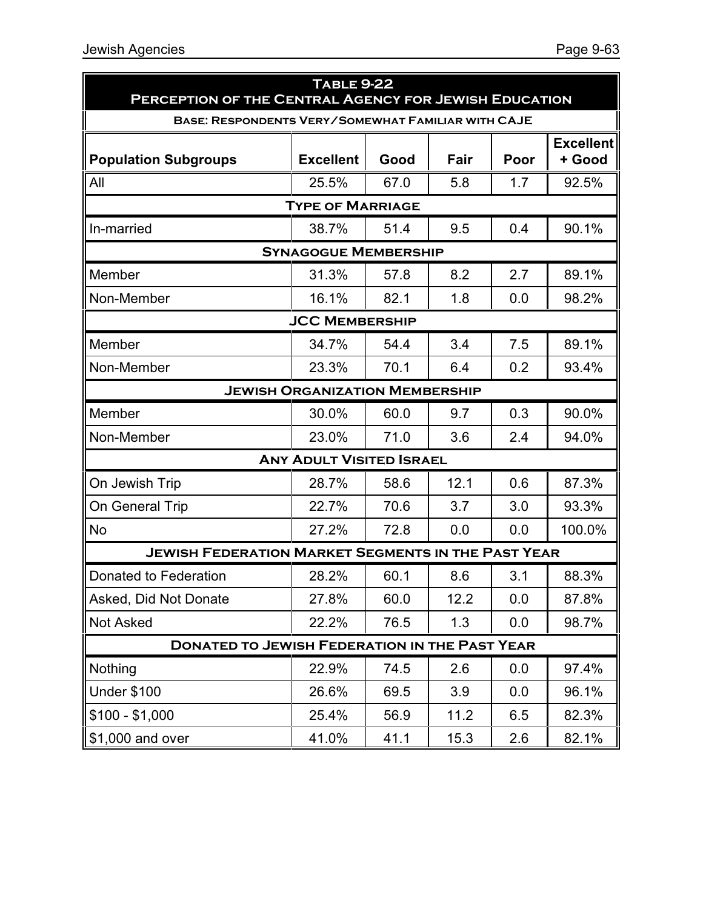|                                                           | <b>TABLE 9-22</b>                     |      |      |      |                            |  |
|-----------------------------------------------------------|---------------------------------------|------|------|------|----------------------------|--|
| PERCEPTION OF THE CENTRAL AGENCY FOR JEWISH EDUCATION     |                                       |      |      |      |                            |  |
| BASE: RESPONDENTS VERY/SOMEWHAT FAMILIAR WITH CAJE        |                                       |      |      |      |                            |  |
| <b>Population Subgroups</b>                               | <b>Excellent</b>                      | Good | Fair | Poor | <b>Excellent</b><br>+ Good |  |
| All                                                       | 25.5%                                 | 67.0 | 5.8  | 1.7  | 92.5%                      |  |
|                                                           | <b>TYPE OF MARRIAGE</b>               |      |      |      |                            |  |
| In-married                                                | 38.7%                                 | 51.4 | 9.5  | 0.4  | 90.1%                      |  |
|                                                           | <b>SYNAGOGUE MEMBERSHIP</b>           |      |      |      |                            |  |
| Member                                                    | 31.3%                                 | 57.8 | 8.2  | 2.7  | 89.1%                      |  |
| Non-Member                                                | 16.1%                                 | 82.1 | 1.8  | 0.0  | 98.2%                      |  |
|                                                           | <b>JCC MEMBERSHIP</b>                 |      |      |      |                            |  |
| Member                                                    | 34.7%                                 | 54.4 | 3.4  | 7.5  | 89.1%                      |  |
| Non-Member                                                | 23.3%                                 | 70.1 | 6.4  | 0.2  | 93.4%                      |  |
|                                                           | <b>JEWISH ORGANIZATION MEMBERSHIP</b> |      |      |      |                            |  |
| Member                                                    | 30.0%                                 | 60.0 | 9.7  | 0.3  | 90.0%                      |  |
| Non-Member                                                | 23.0%                                 | 71.0 | 3.6  | 2.4  | 94.0%                      |  |
|                                                           | <b>ANY ADULT VISITED ISRAEL</b>       |      |      |      |                            |  |
| On Jewish Trip                                            | 28.7%                                 | 58.6 | 12.1 | 0.6  | 87.3%                      |  |
| On General Trip                                           | 22.7%                                 | 70.6 | 3.7  | 3.0  | 93.3%                      |  |
| No                                                        | 27.2%                                 | 72.8 | 0.0  | 0.0  | 100.0%                     |  |
| <b>JEWISH FEDERATION MARKET SEGMENTS IN THE PAST YEAR</b> |                                       |      |      |      |                            |  |
| Donated to Federation                                     | 28.2%                                 | 60.1 | 8.6  | 3.1  | 88.3%                      |  |
| Asked, Did Not Donate                                     | 27.8%                                 | 60.0 | 12.2 | 0.0  | 87.8%                      |  |
| Not Asked                                                 | 22.2%                                 | 76.5 | 1.3  | 0.0  | 98.7%                      |  |
| <b>DONATED TO JEWISH FEDERATION IN THE PAST YEAR</b>      |                                       |      |      |      |                            |  |
| Nothing                                                   | 22.9%                                 | 74.5 | 2.6  | 0.0  | 97.4%                      |  |
| <b>Under \$100</b>                                        | 26.6%                                 | 69.5 | 3.9  | 0.0  | 96.1%                      |  |
| $$100 - $1,000$                                           | 25.4%                                 | 56.9 | 11.2 | 6.5  | 82.3%                      |  |
| \$1,000 and over                                          | 41.0%                                 | 41.1 | 15.3 | 2.6  | 82.1%                      |  |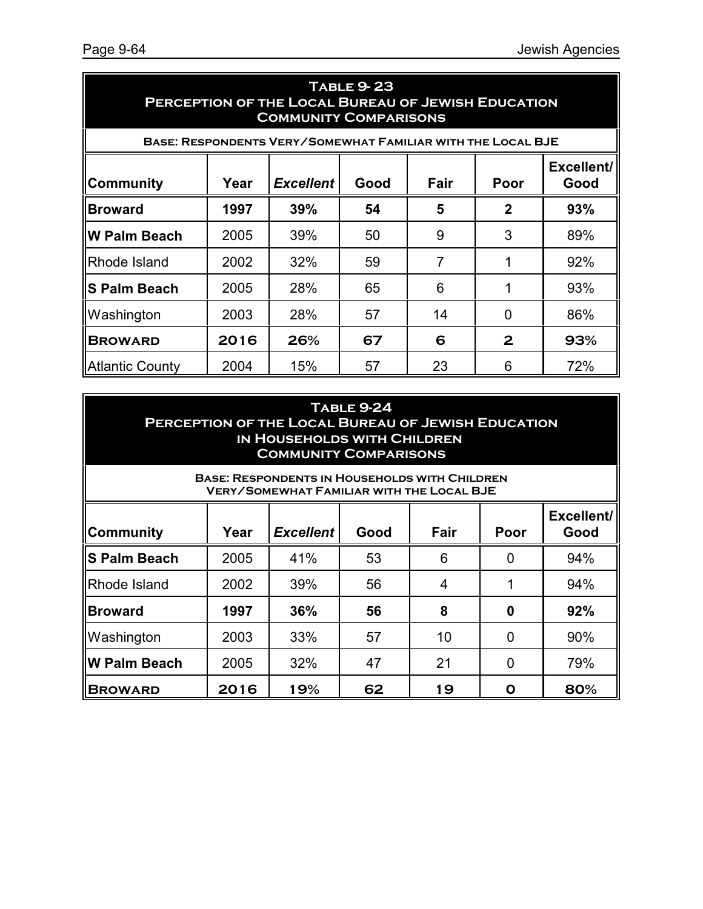| <b>TABLE 9-23</b><br>PERCEPTION OF THE LOCAL BUREAU OF JEWISH EDUCATION<br><b>COMMUNITY COMPARISONS</b> |                                                                        |                                                             |    |    |              |     |  |  |
|---------------------------------------------------------------------------------------------------------|------------------------------------------------------------------------|-------------------------------------------------------------|----|----|--------------|-----|--|--|
|                                                                                                         |                                                                        | BASE: RESPONDENTS VERY/SOMEWHAT FAMILIAR WITH THE LOCAL BJE |    |    |              |     |  |  |
| ∥Community                                                                                              | Excellent/<br>Year<br><b>Excellent</b><br>Fair<br>Good<br>Poor<br>Good |                                                             |    |    |              |     |  |  |
| <b>Broward</b>                                                                                          | 1997                                                                   | 39%                                                         | 54 | 5  | $\mathbf{2}$ | 93% |  |  |
| ∥W Palm Beach                                                                                           | 2005                                                                   | 39%                                                         | 50 | 9  | 3            | 89% |  |  |
| <b>Rhode Island</b>                                                                                     | 2002                                                                   | 32%                                                         | 59 | 7  |              | 92% |  |  |
| ∥S Palm Beach                                                                                           | 2005                                                                   | 28%                                                         | 65 | 6  |              | 93% |  |  |
| Washington                                                                                              | 2003                                                                   | 28%                                                         | 57 | 14 | 0            | 86% |  |  |
| <b>BROWARD</b>                                                                                          | 2016                                                                   | 26%                                                         | 67 | 6  | 2            | 93% |  |  |
| Atlantic County                                                                                         | 2004                                                                   | 15%                                                         | 57 | 23 | 6            | 72% |  |  |

| <b>TABLE 9-24</b>                                         |
|-----------------------------------------------------------|
| <b>PERCEPTION OF THE LOCAL BUREAU OF JEWISH EDUCATION</b> |
| IN HOUSEHOLDS WITH CHILDREN                               |
| <b>COMMUNITY COMPARISONS</b>                              |

| <b>BASE: RESPONDENTS IN HOUSEHOLDS WITH CHILDREN</b><br><b>VERY/SOMEWHAT FAMILIAR WITH THE LOCAL BJE</b> |      |                  |      |      |      |                    |
|----------------------------------------------------------------------------------------------------------|------|------------------|------|------|------|--------------------|
| ∥Community                                                                                               | Year | <b>Excellent</b> | Good | Fair | Poor | Excellent/<br>Good |
| ∥S Palm Beach                                                                                            | 2005 | 41%              | 53   | 6    |      | 94%                |
| <b>Rhode Island</b>                                                                                      | 2002 | 39%              | 56   | 4    |      | 94%                |
| <b>Broward</b>                                                                                           | 1997 | 36%              | 56   | 8    | 0    | 92%                |
| Washington                                                                                               | 2003 | 33%              | 57   | 10   | 0    | 90%                |
| ∥W Palm Beach                                                                                            | 2005 | 32%              | 47   | 21   | 0    | 79%                |
| <b>BROWARD</b>                                                                                           | 2016 | 19%              | 62   | 19   | ი    | 80%                |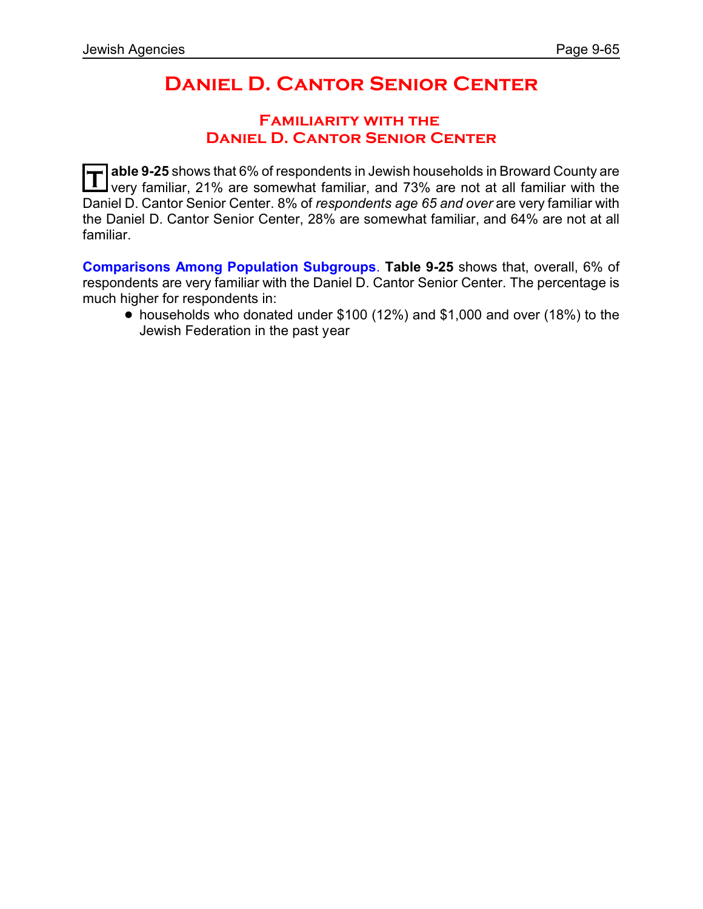# **Daniel D. Cantor Senior Center**

### **Familiarity with the Daniel D. Cantor Senior Center**

**T able 9-25** shows that 6% of respondents in Jewish households in Broward County are very familiar, 21% are somewhat familiar, and 73% are not at all familiar with the Daniel D. Cantor Senior Center. 8% of *respondents age 65 and over* are very familiar with the Daniel D. Cantor Senior Center, 28% are somewhat familiar, and 64% are not at all familiar.

**Comparisons Among Population Subgroups**. **Table 9-25** shows that, overall, 6% of respondents are very familiar with the Daniel D. Cantor Senior Center. The percentage is much higher for respondents in:

! households who donated under \$100 (12%) and \$1,000 and over (18%) to the Jewish Federation in the past year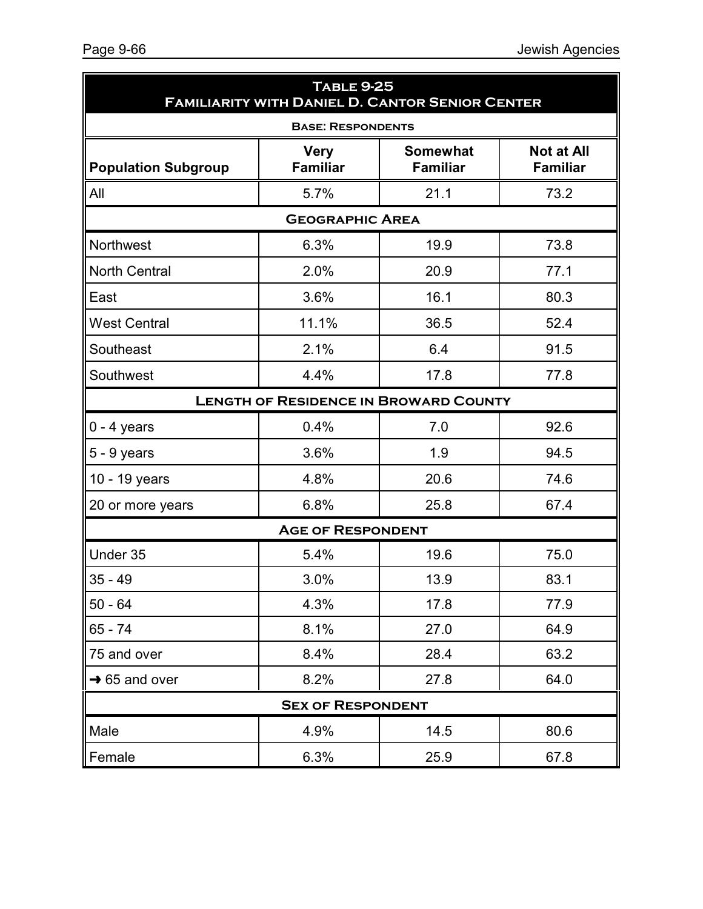| <b>TABLE 9-25</b><br><b>FAMILIARITY WITH DANIEL D. CANTOR SENIOR CENTER</b> |                                              |                                    |                                      |  |  |
|-----------------------------------------------------------------------------|----------------------------------------------|------------------------------------|--------------------------------------|--|--|
| <b>BASE: RESPONDENTS</b>                                                    |                                              |                                    |                                      |  |  |
| <b>Population Subgroup</b>                                                  | <b>Very</b><br><b>Familiar</b>               | <b>Somewhat</b><br><b>Familiar</b> | <b>Not at All</b><br><b>Familiar</b> |  |  |
| All                                                                         | 5.7%                                         | 21.1                               | 73.2                                 |  |  |
|                                                                             | <b>GEOGRAPHIC AREA</b>                       |                                    |                                      |  |  |
| Northwest                                                                   | 6.3%                                         | 19.9                               | 73.8                                 |  |  |
| <b>North Central</b>                                                        | 2.0%                                         | 20.9                               | 77.1                                 |  |  |
| East                                                                        | 3.6%                                         | 16.1                               | 80.3                                 |  |  |
| <b>West Central</b>                                                         | 11.1%                                        | 36.5                               | 52.4                                 |  |  |
| Southeast                                                                   | 2.1%                                         | 6.4                                | 91.5                                 |  |  |
| Southwest                                                                   | 4.4%                                         | 17.8                               | 77.8                                 |  |  |
|                                                                             | <b>LENGTH OF RESIDENCE IN BROWARD COUNTY</b> |                                    |                                      |  |  |
| $0 - 4$ years                                                               | 0.4%                                         | 7.0                                | 92.6                                 |  |  |
| $5 - 9$ years                                                               | 3.6%                                         | 1.9                                | 94.5                                 |  |  |
| 10 - 19 years                                                               | 4.8%                                         | 20.6                               | 74.6                                 |  |  |
| 20 or more years                                                            | 6.8%                                         | 25.8                               | 67.4                                 |  |  |
|                                                                             | <b>AGE OF RESPONDENT</b>                     |                                    |                                      |  |  |
| Under 35                                                                    | 5.4%                                         | 19.6                               | 75.0                                 |  |  |
| $35 - 49$                                                                   | 3.0%                                         | 13.9                               | 83.1                                 |  |  |
| $50 - 64$                                                                   | 4.3%                                         | 17.8                               | 77.9                                 |  |  |
| 65 - 74                                                                     | 8.1%                                         | 27.0                               | 64.9                                 |  |  |
| 75 and over                                                                 | 8.4%                                         | 28.4                               | 63.2                                 |  |  |
| $\rightarrow$ 65 and over                                                   | 8.2%                                         | 27.8                               | 64.0                                 |  |  |
| <b>SEX OF RESPONDENT</b>                                                    |                                              |                                    |                                      |  |  |
| Male                                                                        | 4.9%                                         | 14.5                               | 80.6                                 |  |  |
| Female                                                                      | 6.3%                                         | 25.9                               | 67.8                                 |  |  |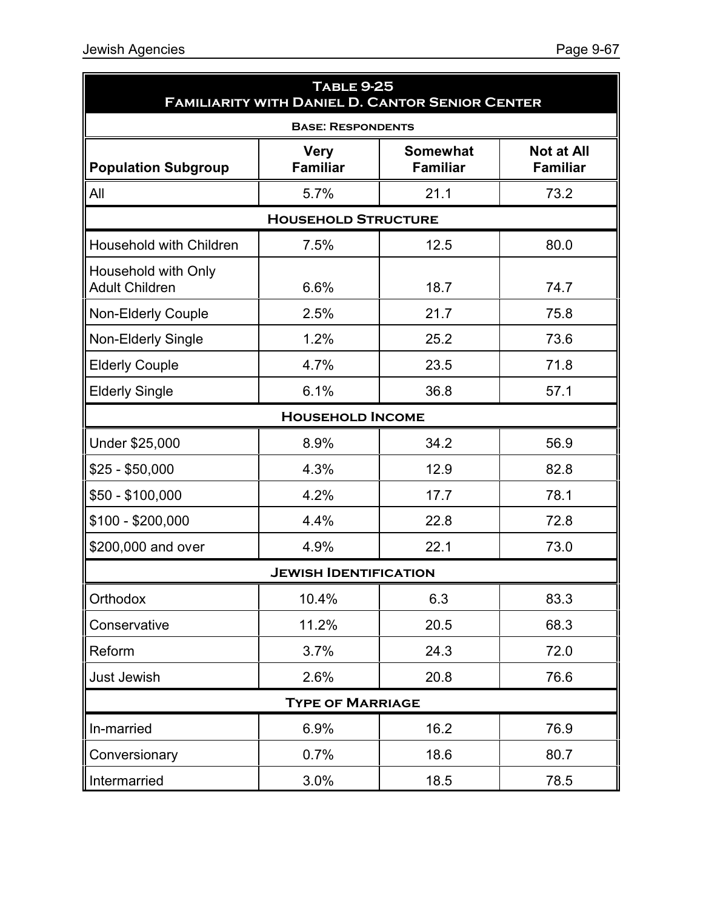| <b>TABLE 9-25</b><br><b>FAMILIARITY WITH DANIEL D. CANTOR SENIOR CENTER</b> |                                |                                    |                                      |  |  |
|-----------------------------------------------------------------------------|--------------------------------|------------------------------------|--------------------------------------|--|--|
| <b>BASE: RESPONDENTS</b>                                                    |                                |                                    |                                      |  |  |
| <b>Population Subgroup</b>                                                  | <b>Very</b><br><b>Familiar</b> | <b>Somewhat</b><br><b>Familiar</b> | <b>Not at All</b><br><b>Familiar</b> |  |  |
| All                                                                         | 5.7%                           | 21.1                               | 73.2                                 |  |  |
|                                                                             | <b>HOUSEHOLD STRUCTURE</b>     |                                    |                                      |  |  |
| Household with Children                                                     | 7.5%                           | 12.5                               | 80.0                                 |  |  |
| Household with Only<br><b>Adult Children</b>                                | 6.6%                           | 18.7                               | 74.7                                 |  |  |
| <b>Non-Elderly Couple</b>                                                   | 2.5%                           | 21.7                               | 75.8                                 |  |  |
| <b>Non-Elderly Single</b>                                                   | 1.2%                           | 25.2                               | 73.6                                 |  |  |
| <b>Elderly Couple</b>                                                       | 4.7%                           | 23.5                               | 71.8                                 |  |  |
| <b>Elderly Single</b>                                                       | 6.1%                           | 36.8                               | 57.1                                 |  |  |
|                                                                             | <b>HOUSEHOLD INCOME</b>        |                                    |                                      |  |  |
| Under \$25,000                                                              | 8.9%                           | 34.2                               | 56.9                                 |  |  |
| $$25 - $50,000$                                                             | 4.3%                           | 12.9                               | 82.8                                 |  |  |
| $$50 - $100,000$                                                            | 4.2%                           | 17.7                               | 78.1                                 |  |  |
| $$100 - $200,000$                                                           | 4.4%                           | 22.8                               | 72.8                                 |  |  |
| \$200,000 and over                                                          | 4.9%                           | 22.1                               | 73.0                                 |  |  |
|                                                                             | <b>JEWISH IDENTIFICATION</b>   |                                    |                                      |  |  |
| Orthodox                                                                    | 10.4%                          | 6.3                                | 83.3                                 |  |  |
| Conservative                                                                | 11.2%                          | 20.5                               | 68.3                                 |  |  |
| Reform                                                                      | 3.7%                           | 24.3                               | 72.0                                 |  |  |
| Just Jewish                                                                 | 2.6%                           | 20.8                               | 76.6                                 |  |  |
| <b>TYPE OF MARRIAGE</b>                                                     |                                |                                    |                                      |  |  |
| In-married                                                                  | 6.9%                           | 16.2                               | 76.9                                 |  |  |
| Conversionary                                                               | 0.7%                           | 18.6                               | 80.7                                 |  |  |
| Intermarried                                                                | 3.0%                           | 18.5                               | 78.5                                 |  |  |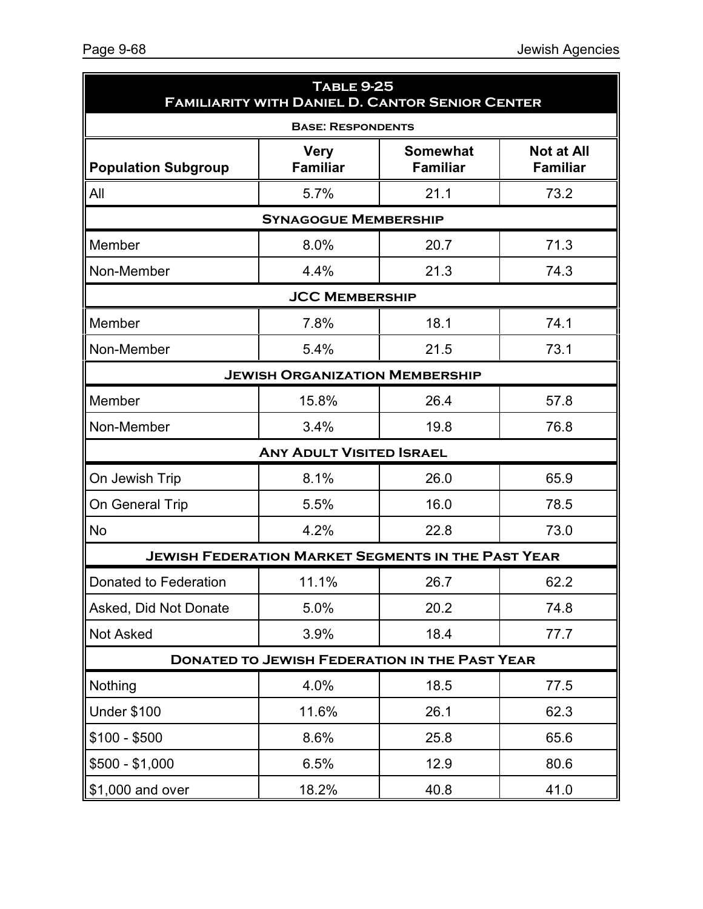| <b>TABLE 9-25</b><br><b>FAMILIARITY WITH DANIEL D. CANTOR SENIOR CENTER</b> |                                                           |                                    |                                      |  |  |
|-----------------------------------------------------------------------------|-----------------------------------------------------------|------------------------------------|--------------------------------------|--|--|
| <b>BASE: RESPONDENTS</b>                                                    |                                                           |                                    |                                      |  |  |
| <b>Population Subgroup</b>                                                  | <b>Very</b><br><b>Familiar</b>                            | <b>Somewhat</b><br><b>Familiar</b> | <b>Not at All</b><br><b>Familiar</b> |  |  |
| All                                                                         | 5.7%                                                      | 21.1                               | 73.2                                 |  |  |
|                                                                             | <b>SYNAGOGUE MEMBERSHIP</b>                               |                                    |                                      |  |  |
| Member                                                                      | 8.0%                                                      | 20.7                               | 71.3                                 |  |  |
| Non-Member                                                                  | 4.4%                                                      | 21.3                               | 74.3                                 |  |  |
|                                                                             | <b>JCC MEMBERSHIP</b>                                     |                                    |                                      |  |  |
| Member                                                                      | 7.8%                                                      | 18.1                               | 74.1                                 |  |  |
| Non-Member                                                                  | 5.4%                                                      | 21.5                               | 73.1                                 |  |  |
|                                                                             | <b>JEWISH ORGANIZATION MEMBERSHIP</b>                     |                                    |                                      |  |  |
| Member                                                                      | 15.8%                                                     | 26.4                               | 57.8                                 |  |  |
| Non-Member                                                                  | 3.4%                                                      | 19.8                               | 76.8                                 |  |  |
|                                                                             | <b>ANY ADULT VISITED ISRAEL</b>                           |                                    |                                      |  |  |
| On Jewish Trip                                                              | 8.1%                                                      | 26.0                               | 65.9                                 |  |  |
| On General Trip                                                             | 5.5%                                                      | 16.0                               | 78.5                                 |  |  |
| <b>No</b>                                                                   | 4.2%                                                      | 22.8                               | 73.0                                 |  |  |
|                                                                             | <b>JEWISH FEDERATION MARKET SEGMENTS IN THE PAST YEAR</b> |                                    |                                      |  |  |
| Donated to Federation                                                       | 11.1%                                                     | 26.7                               | 62.2                                 |  |  |
| Asked, Did Not Donate                                                       | 5.0%                                                      | 20.2                               | 74.8                                 |  |  |
| <b>Not Asked</b>                                                            | 3.9%                                                      | 18.4                               | 77.7                                 |  |  |
| <b>DONATED TO JEWISH FEDERATION IN THE PAST YEAR</b>                        |                                                           |                                    |                                      |  |  |
| Nothing                                                                     | 4.0%                                                      | 18.5                               | 77.5                                 |  |  |
| <b>Under \$100</b>                                                          | 11.6%                                                     | 26.1                               | 62.3                                 |  |  |
| $$100 - $500$                                                               | 8.6%                                                      | 25.8                               | 65.6                                 |  |  |
| $$500 - $1,000$                                                             | 6.5%                                                      | 12.9                               | 80.6                                 |  |  |
| \$1,000 and over                                                            | 18.2%                                                     | 40.8                               | 41.0                                 |  |  |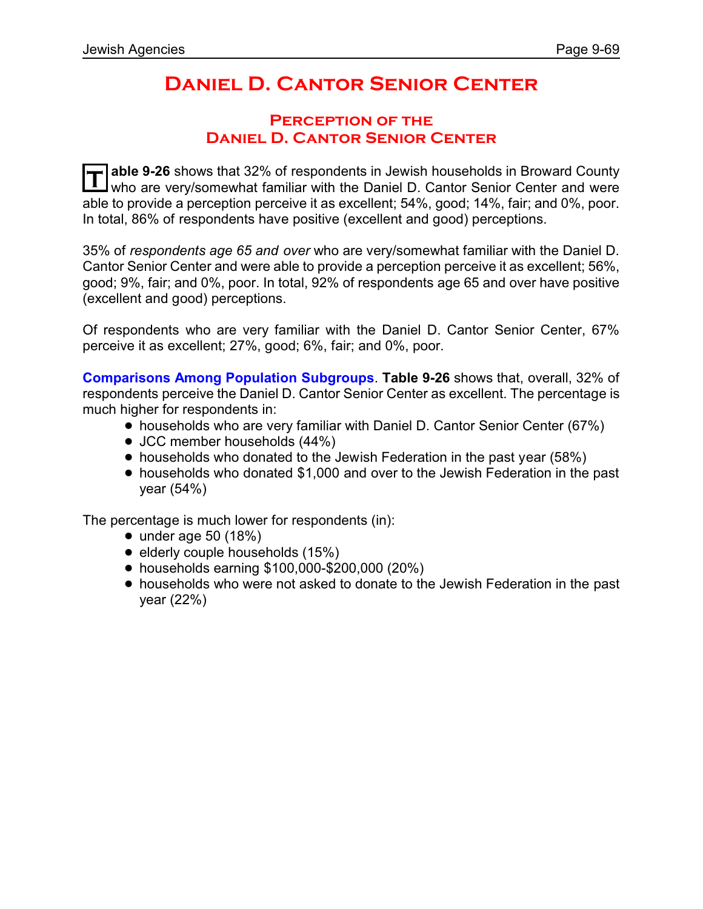# **Daniel D. Cantor Senior Center**

### **Perception of the Daniel D. Cantor Senior Center**

**T able 9-26** shows that 32% of respondents in Jewish households in Broward County who are very/somewhat familiar with the Daniel D. Cantor Senior Center and were able to provide a perception perceive it as excellent; 54%, good; 14%, fair; and 0%, poor. In total, 86% of respondents have positive (excellent and good) perceptions.

35% of *respondents age 65 and over* who are very/somewhat familiar with the Daniel D. Cantor Senior Center and were able to provide a perception perceive it as excellent; 56%, good; 9%, fair; and 0%, poor. In total, 92% of respondents age 65 and over have positive (excellent and good) perceptions.

Of respondents who are very familiar with the Daniel D. Cantor Senior Center, 67% perceive it as excellent; 27%, good; 6%, fair; and 0%, poor.

**Comparisons Among Population Subgroups**. **Table 9-26** shows that, overall, 32% of respondents perceive the Daniel D. Cantor Senior Center as excellent. The percentage is much higher for respondents in:

- households who are very familiar with Daniel D. Cantor Senior Center (67%)
- JCC member households (44%)
- households who donated to the Jewish Federation in the past year (58%)
- ! households who donated \$1,000 and over to the Jewish Federation in the past year (54%)

The percentage is much lower for respondents (in):

- $\bullet$  under age 50 (18%)
- $\bullet$  elderly couple households (15%)
- ! households earning \$100,000-\$200,000 (20%)
- ! households who were not asked to donate to the Jewish Federation in the past year (22%)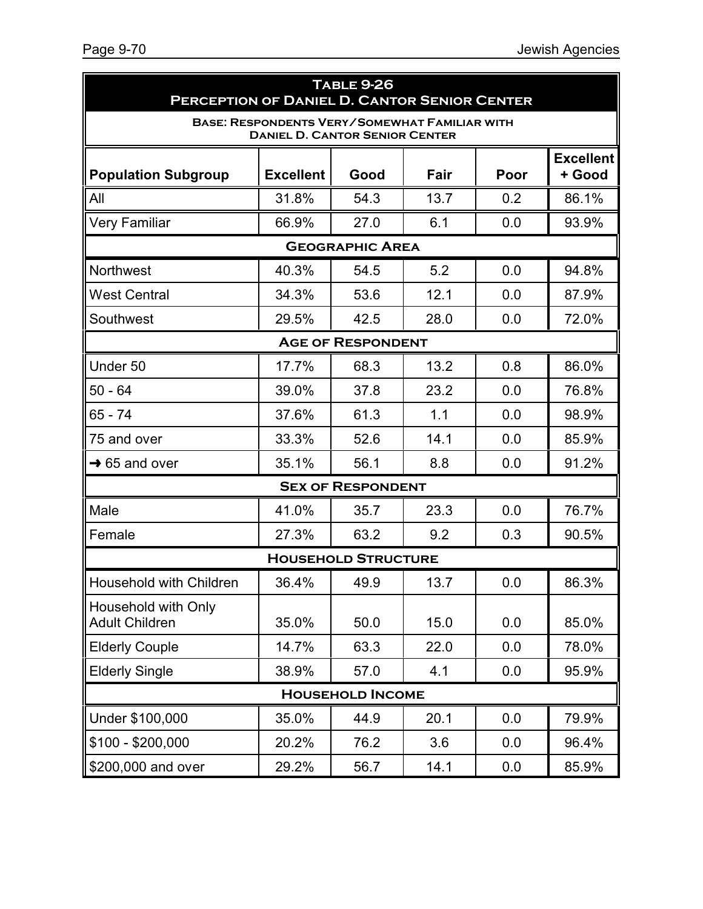| <b>TABLE 9-26</b><br>PERCEPTION OF DANIEL D. CANTOR SENIOR CENTER                             |                  |                            |      |      |                            |
|-----------------------------------------------------------------------------------------------|------------------|----------------------------|------|------|----------------------------|
| <b>BASE: RESPONDENTS VERY/SOMEWHAT FAMILIAR WITH</b><br><b>DANIEL D. CANTOR SENIOR CENTER</b> |                  |                            |      |      |                            |
| <b>Population Subgroup</b>                                                                    | <b>Excellent</b> | Good                       | Fair | Poor | <b>Excellent</b><br>+ Good |
| All                                                                                           | 31.8%            | 54.3                       | 13.7 | 0.2  | 86.1%                      |
| <b>Very Familiar</b>                                                                          | 66.9%            | 27.0                       | 6.1  | 0.0  | 93.9%                      |
|                                                                                               |                  | <b>GEOGRAPHIC AREA</b>     |      |      |                            |
| Northwest                                                                                     | 40.3%            | 54.5                       | 5.2  | 0.0  | 94.8%                      |
| <b>West Central</b>                                                                           | 34.3%            | 53.6                       | 12.1 | 0.0  | 87.9%                      |
| Southwest                                                                                     | 29.5%            | 42.5                       | 28.0 | 0.0  | 72.0%                      |
|                                                                                               |                  | <b>AGE OF RESPONDENT</b>   |      |      |                            |
| Under 50                                                                                      | 17.7%            | 68.3                       | 13.2 | 0.8  | 86.0%                      |
| $50 - 64$                                                                                     | 39.0%            | 37.8                       | 23.2 | 0.0  | 76.8%                      |
| 65 - 74                                                                                       | 37.6%            | 61.3                       | 1.1  | 0.0  | 98.9%                      |
| 75 and over                                                                                   | 33.3%            | 52.6                       | 14.1 | 0.0  | 85.9%                      |
| $\rightarrow$ 65 and over                                                                     | 35.1%            | 56.1                       | 8.8  | 0.0  | 91.2%                      |
|                                                                                               |                  | <b>SEX OF RESPONDENT</b>   |      |      |                            |
| Male                                                                                          | 41.0%            | 35.7                       | 23.3 | 0.0  | 76.7%                      |
| Female                                                                                        | 27.3%            | 63.2                       | 9.2  | 0.3  | 90.5%                      |
|                                                                                               |                  | <b>HOUSEHOLD STRUCTURE</b> |      |      |                            |
| Household with Children                                                                       | 36.4%            | 49.9                       | 13.7 | 0.0  | 86.3%                      |
| Household with Only<br><b>Adult Children</b>                                                  | 35.0%            | 50.0                       | 15.0 | 0.0  | 85.0%                      |
| <b>Elderly Couple</b>                                                                         | 14.7%            | 63.3                       | 22.0 | 0.0  | 78.0%                      |
| <b>Elderly Single</b>                                                                         | 38.9%            | 57.0                       | 4.1  | 0.0  | 95.9%                      |
| <b>HOUSEHOLD INCOME</b>                                                                       |                  |                            |      |      |                            |
| Under \$100,000                                                                               | 35.0%            | 44.9                       | 20.1 | 0.0  | 79.9%                      |
| $$100 - $200,000$                                                                             | 20.2%            | 76.2                       | 3.6  | 0.0  | 96.4%                      |
| \$200,000 and over                                                                            | 29.2%            | 56.7                       | 14.1 | 0.0  | 85.9%                      |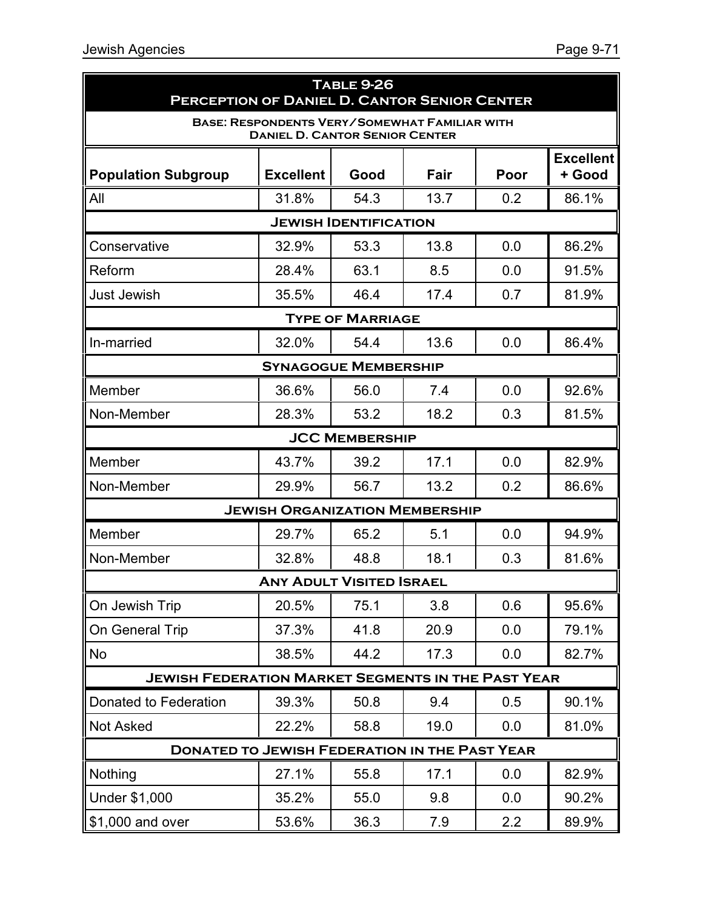| <b>TABLE 9-26</b><br><b>PERCEPTION OF DANIEL D. CANTOR SENIOR CENTER</b>                      |                                       |                              |      |      |                            |
|-----------------------------------------------------------------------------------------------|---------------------------------------|------------------------------|------|------|----------------------------|
| <b>BASE: RESPONDENTS VERY/SOMEWHAT FAMILIAR WITH</b><br><b>DANIEL D. CANTOR SENIOR CENTER</b> |                                       |                              |      |      |                            |
| <b>Population Subgroup</b>                                                                    | <b>Excellent</b>                      | Good                         | Fair | Poor | <b>Excellent</b><br>+ Good |
| All                                                                                           | 31.8%                                 | 54.3                         | 13.7 | 0.2  | 86.1%                      |
|                                                                                               |                                       | <b>JEWISH IDENTIFICATION</b> |      |      |                            |
| Conservative                                                                                  | 32.9%                                 | 53.3                         | 13.8 | 0.0  | 86.2%                      |
| Reform                                                                                        | 28.4%                                 | 63.1                         | 8.5  | 0.0  | 91.5%                      |
| <b>Just Jewish</b>                                                                            | 35.5%                                 | 46.4                         | 17.4 | 0.7  | 81.9%                      |
|                                                                                               |                                       | <b>TYPE OF MARRIAGE</b>      |      |      |                            |
| In-married                                                                                    | 32.0%                                 | 54.4                         | 13.6 | 0.0  | 86.4%                      |
|                                                                                               | <b>SYNAGOGUE MEMBERSHIP</b>           |                              |      |      |                            |
| Member                                                                                        | 36.6%                                 | 56.0                         | 7.4  | 0.0  | 92.6%                      |
| Non-Member                                                                                    | 28.3%                                 | 53.2                         | 18.2 | 0.3  | 81.5%                      |
|                                                                                               |                                       | <b>JCC MEMBERSHIP</b>        |      |      |                            |
| Member                                                                                        | 43.7%                                 | 39.2                         | 17.1 | 0.0  | 82.9%                      |
| Non-Member                                                                                    | 29.9%                                 | 56.7                         | 13.2 | 0.2  | 86.6%                      |
|                                                                                               | <b>JEWISH ORGANIZATION MEMBERSHIP</b> |                              |      |      |                            |
| Member                                                                                        | 29.7%                                 | 65.2                         | 5.1  | 0.0  | 94.9%                      |
| Non-Member                                                                                    | 32.8%                                 | 48.8                         | 18.1 | 0.3  | 81.6%                      |
|                                                                                               | <b>ANY ADULT VISITED ISRAEL</b>       |                              |      |      |                            |
| On Jewish Trip                                                                                | 20.5%                                 | 75.1                         | 3.8  | 0.6  | 95.6%                      |
| On General Trip                                                                               | 37.3%                                 | 41.8                         | 20.9 | 0.0  | 79.1%                      |
| <b>No</b>                                                                                     | 38.5%                                 | 44.2                         | 17.3 | 0.0  | 82.7%                      |
| <b>JEWISH FEDERATION MARKET SEGMENTS IN THE PAST YEAR</b>                                     |                                       |                              |      |      |                            |
| Donated to Federation                                                                         | 39.3%                                 | 50.8                         | 9.4  | 0.5  | 90.1%                      |
| <b>Not Asked</b>                                                                              | 22.2%                                 | 58.8                         | 19.0 | 0.0  | 81.0%                      |
| <b>DONATED TO JEWISH FEDERATION IN THE PAST YEAR</b>                                          |                                       |                              |      |      |                            |
| Nothing                                                                                       | 27.1%                                 | 55.8                         | 17.1 | 0.0  | 82.9%                      |
| <b>Under \$1,000</b>                                                                          | 35.2%                                 | 55.0                         | 9.8  | 0.0  | 90.2%                      |
| \$1,000 and over                                                                              | 53.6%                                 | 36.3                         | 7.9  | 2.2  | 89.9%                      |